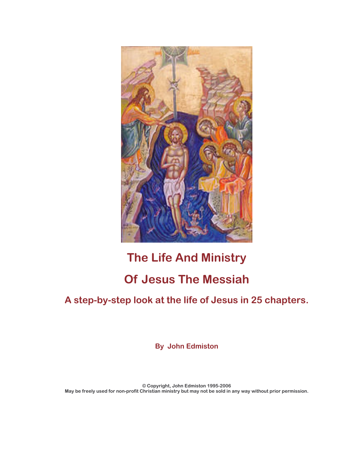

# The Life And Ministry

# Of Jesus The Messiah

A step-by-step look at the life of Jesus in 25 chapters.

By John Edmiston

© Copyright, John Edmiston 1995-2006 May be freely used for non-profit Christian ministry but may not be sold in any way without prior permission.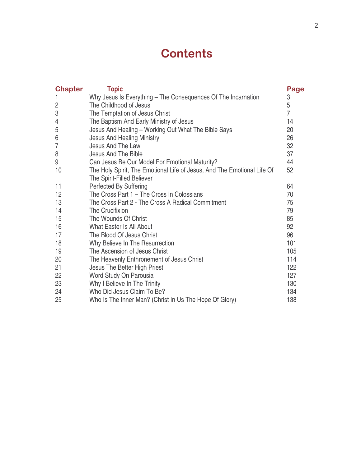# **Contents**

| <b>Chapter</b> | <b>Topic</b>                                                                                          | Page           |
|----------------|-------------------------------------------------------------------------------------------------------|----------------|
| 1              | Why Jesus Is Everything – The Consequences Of The Incarnation                                         | 3              |
| $\overline{2}$ | The Childhood of Jesus                                                                                | 5              |
| $\sqrt{3}$     | The Temptation of Jesus Christ                                                                        | $\overline{7}$ |
| 4              | The Baptism And Early Ministry of Jesus                                                               | 14             |
| 5              | Jesus And Healing - Working Out What The Bible Says                                                   | 20             |
| $6\phantom{a}$ | <b>Jesus And Healing Ministry</b>                                                                     | 26             |
| $\overline{7}$ | Jesus And The Law                                                                                     | 32             |
| 8              | Jesus And The Bible                                                                                   | 37             |
| $9\,$          | Can Jesus Be Our Model For Emotional Maturity?                                                        | 44             |
| 10             | The Holy Spirit, The Emotional Life of Jesus, And The Emotional Life Of<br>The Spirit-Filled Believer | 52             |
| 11             | Perfected By Suffering                                                                                | 64             |
| 12             | The Cross Part 1 - The Cross In Colossians                                                            | 70             |
| 13             | The Cross Part 2 - The Cross A Radical Commitment                                                     | 75             |
| 14             | The Crucifixion                                                                                       | 79             |
| 15             | The Wounds Of Christ                                                                                  | 85             |
| 16             | What Easter Is All About                                                                              | 92             |
| 17             | The Blood Of Jesus Christ                                                                             | 96             |
| 18             | Why Believe In The Resurrection                                                                       | 101            |
| 19             | The Ascension of Jesus Christ                                                                         | 105            |
| 20             | The Heavenly Enthronement of Jesus Christ                                                             | 114            |
| 21             | Jesus The Better High Priest                                                                          | 122            |
| 22             | Word Study On Parousia                                                                                | 127            |
| 23             | Why I Believe In The Trinity                                                                          | 130            |
| 24             | Who Did Jesus Claim To Be?                                                                            | 134            |
| 25             | Who Is The Inner Man? (Christ In Us The Hope Of Glory)                                                | 138            |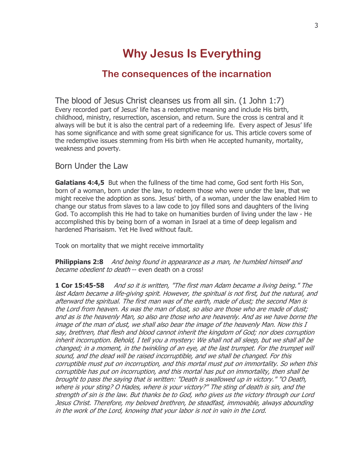## Why Jesus Is Everything

## The consequences of the incarnation

The blood of Jesus Christ cleanses us from all sin. (1 John 1:7) Every recorded part of Jesus' life has a redemptive meaning and include His birth, childhood, ministry, resurrection, ascension, and return. Sure the cross is central and it always will be but it is also the central part of a redeeming life. Every aspect of Jesus' life has some significance and with some great significance for us. This article covers some of the redemptive issues stemming from His birth when He accepted humanity, mortality, weakness and poverty.

#### Born Under the Law

Galatians 4:4,5 But when the fullness of the time had come, God sent forth His Son, born of a woman, born under the law, to redeem those who were under the law, that we might receive the adoption as sons. Jesus' birth, of a woman, under the law enabled Him to change our status from slaves to a law code to joy filled sons and daughters of the living God. To accomplish this He had to take on humanities burden of living under the law - He accomplished this by being born of a woman in Israel at a time of deep legalism and hardened Pharisaism. Yet He lived without fault.

Took on mortality that we might receive immortality

**Philippians 2:8** And being found in appearance as a man, he humbled himself and became obedient to death -- even death on a cross!

1 Cor 15:45-58 And so it is written, "The first man Adam became a living being." The last Adam became a life-giving spirit. However, the spiritual is not first, but the natural, and afterward the spiritual. The first man was of the earth, made of dust; the second Man is the Lord from heaven. As was the man of dust, so also are those who are made of dust; and as is the heavenly Man, so also are those who are heavenly. And as we have borne the image of the man of dust, we shall also bear the image of the heavenly Man. Now this I say, brethren, that flesh and blood cannot inherit the kingdom of God; nor does corruption inherit incorruption. Behold, I tell you a mystery: We shall not all sleep, but we shall all be changed; in a moment, in the twinkling of an eye, at the last trumpet. For the trumpet will sound, and the dead will be raised incorruptible, and we shall be changed. For this corruptible must put on incorruption, and this mortal must put on immortality. So when this corruptible has put on incorruption, and this mortal has put on immortality, then shall be brought to pass the saying that is written: "Death is swallowed up in victory." "O Death, where is your sting? O Hades, where is your victory?" The sting of death is sin, and the strength of sin is the law. But thanks be to God, who gives us the victory through our Lord Jesus Christ. Therefore, my beloved brethren, be steadfast, immovable, always abounding in the work of the Lord, knowing that your labor is not in vain in the Lord.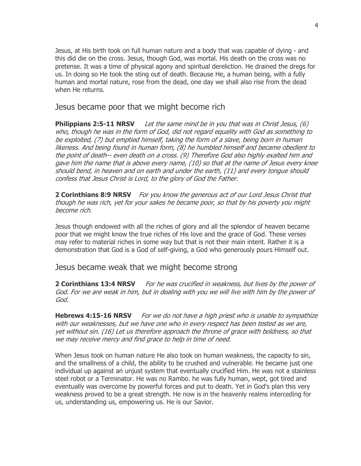Jesus, at His birth took on full human nature and a body that was capable of dying - and this did die on the cross. Jesus, though God, was mortal. His death on the cross was no pretense. It was a time of physical agony and spiritual dereliction. He drained the dregs for us. In doing so He took the sting out of death. Because He, a human being, with a fully human and mortal nature, rose from the dead, one day we shall also rise from the dead when He returns.

Jesus became poor that we might become rich

**Philippians 2:5-11 NRSV** Let the same mind be in you that was in Christ Jesus,  $(6)$ who, though he was in the form of God, did not regard equality with God as something to be exploited, (7) but emptied himself, taking the form of a slave, being born in human likeness. And being found in human form, (8) he humbled himself and became obedient to the point of death-- even death on a cross. (9) Therefore God also highly exalted him and gave him the name that is above every name, (10) so that at the name of Jesus every knee should bend, in heaven and on earth and under the earth, (11) and every tongue should confess that Jesus Christ is Lord, to the glory of God the Father.

**2 Corinthians 8:9 NRSV** For you know the generous act of our Lord Jesus Christ that though he was rich, yet for your sakes he became poor, so that by his poverty you might become rich.

Jesus though endowed with all the riches of glory and all the splendor of heaven became poor that we might know the true riches of His love and the grace of God. These verses may refer to material riches in some way but that is not their main intent. Rather it is a demonstration that God is a God of self-giving, a God who generously pours Himself out.

Jesus became weak that we might become strong

**2 Corinthians 13:4 NRSV** For he was crucified in weakness, but lives by the power of God. For we are weak in him, but in dealing with you we will live with him by the power of God.

Hebrews 4:15-16 NRSV For we do not have a high priest who is unable to sympathize with our weaknesses, but we have one who in every respect has been tested as we are, yet without sin. (16) Let us therefore approach the throne of grace with boldness, so that we may receive mercy and find grace to help in time of need.

When Jesus took on human nature He also took on human weakness, the capacity to sin, and the smallness of a child, the ability to be crushed and vulnerable. He became just one individual up against an unjust system that eventually crucified Him. He was not a stainless steel robot or a Terminator. He was no Rambo. he was fully human, wept, got tired and eventually was overcome by powerful forces and put to death. Yet in God's plan this very weakness proved to be a great strength. He now is in the heavenly realms interceding for us, understanding us, empowering us. He is our Savior.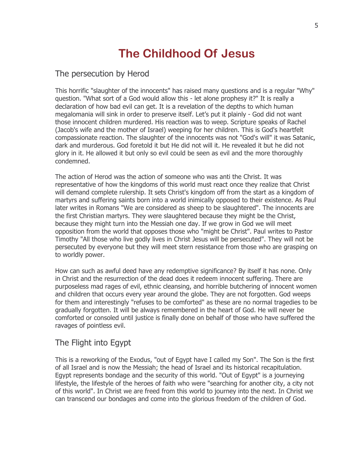# The Childhood Of Jesus

## The persecution by Herod

This horrific "slaughter of the innocents" has raised many questions and is a regular "Why" question. "What sort of a God would allow this - let alone prophesy it?" It is really a declaration of how bad evil can get. It is a revelation of the depths to which human megalomania will sink in order to preserve itself. Let's put it plainly - God did not want those innocent children murdered. His reaction was to weep. Scripture speaks of Rachel (Jacob's wife and the mother of Israel) weeping for her children. This is God's heartfelt compassionate reaction. The slaughter of the innocents was not "God's will" it was Satanic, dark and murderous. God foretold it but He did not will it. He revealed it but he did not glory in it. He allowed it but only so evil could be seen as evil and the more thoroughly condemned.

The action of Herod was the action of someone who was anti the Christ. It was representative of how the kingdoms of this world must react once they realize that Christ will demand complete rulership. It sets Christ's kingdom off from the start as a kingdom of martyrs and suffering saints born into a world inimically opposed to their existence. As Paul later writes in Romans "We are considered as sheep to be slaughtered". The innocents are the first Christian martyrs. They were slaughtered because they might be the Christ, because they might turn into the Messiah one day. If we grow in God we will meet opposition from the world that opposes those who "might be Christ". Paul writes to Pastor Timothy "All those who live godly lives in Christ Jesus will be persecuted". They will not be persecuted by everyone but they will meet stern resistance from those who are grasping on to worldly power.

How can such as awful deed have any redemptive significance? By itself it has none. Only in Christ and the resurrection of the dead does it redeem innocent suffering. There are purposeless mad rages of evil, ethnic cleansing, and horrible butchering of innocent women and children that occurs every year around the globe. They are not forgotten. God weeps for them and interestingly "refuses to be comforted" as these are no normal tragedies to be gradually forgotten. It will be always remembered in the heart of God. He will never be comforted or consoled until justice is finally done on behalf of those who have suffered the ravages of pointless evil.

## The Flight into Egypt

This is a reworking of the Exodus, "out of Egypt have I called my Son". The Son is the first of all Israel and is now the Messiah; the head of Israel and its historical recapitulation. Egypt represents bondage and the security of this world. "Out of Egypt" is a journeying lifestyle, the lifestyle of the heroes of faith who were "searching for another city, a city not of this world". In Christ we are freed from this world to journey into the next. In Christ we can transcend our bondages and come into the glorious freedom of the children of God.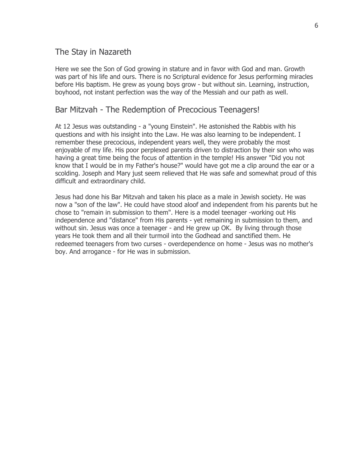### The Stay in Nazareth

Here we see the Son of God growing in stature and in favor with God and man. Growth was part of his life and ours. There is no Scriptural evidence for Jesus performing miracles before His baptism. He grew as young boys grow - but without sin. Learning, instruction, boyhood, not instant perfection was the way of the Messiah and our path as well.

### Bar Mitzvah - The Redemption of Precocious Teenagers!

At 12 Jesus was outstanding - a "young Einstein". He astonished the Rabbis with his questions and with his insight into the Law. He was also learning to be independent. I remember these precocious, independent years well, they were probably the most enjoyable of my life. His poor perplexed parents driven to distraction by their son who was having a great time being the focus of attention in the temple! His answer "Did you not know that I would be in my Father's house?" would have got me a clip around the ear or a scolding. Joseph and Mary just seem relieved that He was safe and somewhat proud of this difficult and extraordinary child.

Jesus had done his Bar Mitzvah and taken his place as a male in Jewish society. He was now a "son of the law". He could have stood aloof and independent from his parents but he chose to "remain in submission to them". Here is a model teenager -working out His independence and "distance" from His parents - yet remaining in submission to them, and without sin. Jesus was once a teenager - and He grew up OK. By living through those years He took them and all their turmoil into the Godhead and sanctified them. He redeemed teenagers from two curses - overdependence on home - Jesus was no mother's boy. And arrogance - for He was in submission.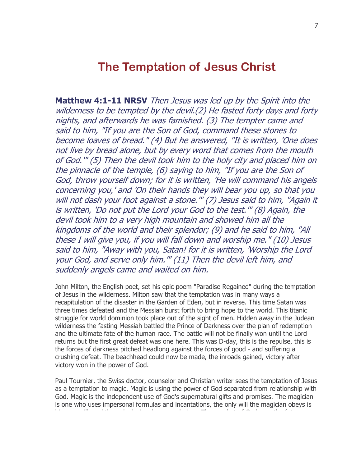## The Temptation of Jesus Christ

Matthew 4:1-11 NRSV Then Jesus was led up by the Spirit into the wilderness to be tempted by the devil.(2) He fasted forty days and forty nights, and afterwards he was famished. (3) The tempter came and said to him, "If you are the Son of God, command these stones to become loaves of bread." (4) But he answered, "It is written, 'One does not live by bread alone, but by every word that comes from the mouth of God.'" (5) Then the devil took him to the holy city and placed him on the pinnacle of the temple, (6) saying to him, "If you are the Son of God, throw yourself down; for it is written, 'He will command his angels concerning you,' and 'On their hands they will bear you up, so that you will not dash your foot against a stone."" (7) Jesus said to him, "Again it is written, 'Do not put the Lord your God to the test.'" (8) Again, the devil took him to a very high mountain and showed him all the kingdoms of the world and their splendor; (9) and he said to him, "All these I will give you, if you will fall down and worship me." (10) Jesus said to him, "Away with you, Satan! for it is written, 'Worship the Lord your God, and serve only him.'" (11) Then the devil left him, and suddenly angels came and waited on him.

John Milton, the English poet, set his epic poem "Paradise Regained" during the temptation of Jesus in the wilderness. Milton saw that the temptation was in many ways a recapitulation of the disaster in the Garden of Eden, but in reverse. This time Satan was three times defeated and the Messiah burst forth to bring hope to the world. This titanic struggle for world dominion took place out of the sight of men. Hidden away in the Judean wilderness the fasting Messiah battled the Prince of Darkness over the plan of redemption and the ultimate fate of the human race. The battle will not be finally won until the Lord returns but the first great defeat was one here. This was D-day, this is the repulse, this is the forces of darkness pitched headlong against the forces of good - and suffering a crushing defeat. The beachhead could now be made, the inroads gained, victory after victory won in the power of God.

Paul Tournier, the Swiss doctor, counselor and Christian writer sees the temptation of Jesus as a temptation to magic. Magic is using the power of God separated from relationship with God. Magic is the independent use of God's supernatural gifts and promises. The magician is one who uses impersonal formulas and incantations, the only will the magician obeys is his own will, and the only desires her own desires. The prophet of God sees the future -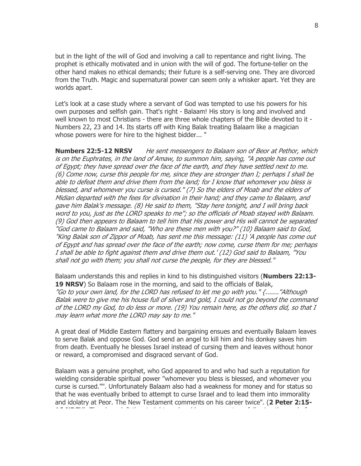but in the light of the will of God and involving a call to repentance and right living. The prophet is ethically motivated and in union with the will of god. The fortune-teller on the other hand makes no ethical demands; their future is a self-serving one. They are divorced from the Truth. Magic and supernatural power can seem only a whisker apart. Yet they are worlds apart.

Let's look at a case study where a servant of God was tempted to use his powers for his own purposes and selfish gain. That's right - Balaam! His story is long and involved and well known to most Christians - there are three whole chapters of the Bible devoted to it - Numbers 22, 23 and 14. Its starts off with King Balak treating Balaam like a magician whose powers were for hire to the highest bidder... "

Numbers 22:5-12 NRSV He sent messengers to Balaam son of Beor at Pethor, which is on the Euphrates, in the land of Amaw, to summon him, saying, "A people has come out of Egypt; they have spread over the face of the earth, and they have settled next to me. (6) Come now, curse this people for me, since they are stronger than I; perhaps I shall be able to defeat them and drive them from the land; for I know that whomever you bless is blessed, and whomever you curse is cursed." (7) So the elders of Moab and the elders of Midian departed with the fees for divination in their hand; and they came to Balaam, and gave him Balak's message. (8) He said to them, "Stay here tonight, and I will bring back word to you, just as the LORD speaks to me"; so the officials of Moab stayed with Balaam. (9) God then appears to Balaam to tell him that His power and His will cannot be separated "God came to Balaam and said, "Who are these men with you?" (10) Balaam said to God, "King Balak son of Zippor of Moab, has sent me this message: (11) 'A people has come out of Egypt and has spread over the face of the earth; now come, curse them for me; perhaps I shall be able to fight against them and drive them out.' (12) God said to Balaam, "You shall not go with them; you shall not curse the people, for they are blessed."

Balaam understands this and replies in kind to his distinguished visitors (**Numbers 22:13-19 NRSV**) So Balaam rose in the morning, and said to the officials of Balak, "Go to your own land, for the LORD has refused to let me go with you." {......."Although Balak were to give me his house full of silver and gold, I could not go beyond the command of the LORD my God, to do less or more. (19) You remain here, as the others did, so that I may learn what more the LORD may say to me."

A great deal of Middle Eastern flattery and bargaining ensues and eventually Balaam leaves to serve Balak and oppose God. God send an angel to kill him and his donkey saves him from death. Eventually he blesses Israel instead of cursing them and leaves without honor or reward, a compromised and disgraced servant of God.

Balaam was a genuine prophet, who God appeared to and who had such a reputation for wielding considerable spiritual power "whomever you bless is blessed, and whomever you curse is cursed."". Unfortunately Balaam also had a weakness for money and for status so that he was eventually bribed to attempt to curse Israel and to lead them into immorality and idolatry at Peor. The New Testament comments on his career twice". (2 Peter 2:15-16 NRSV) They have left the straight road and have gone astray, following the road of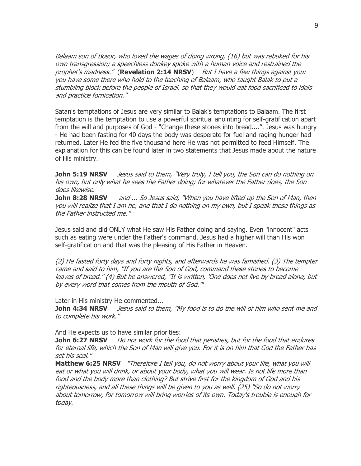Balaam son of Bosor, who loved the wages of doing wrong, (16) but was rebuked for his own transgression; a speechless donkey spoke with a human voice and restrained the prophet's madness." (Revelation 2:14 NRSV) But I have a few things against you: you have some there who hold to the teaching of Balaam, who taught Balak to put a stumbling block before the people of Israel, so that they would eat food sacrificed to idols and practice fornication."

Satan's temptations of Jesus are very similar to Balak's temptations to Balaam. The first temptation is the temptation to use a powerful spiritual anointing for self-gratification apart from the will and purposes of God - "Change these stones into bread....". Jesus was hungry - He had been fasting for 40 days the body was desperate for fuel and raging hunger had returned. Later He fed the five thousand here He was not permitted to feed Himself. The explanation for this can be found later in two statements that Jesus made about the nature of His ministry.

**John 5:19 NRSV** Jesus said to them, "Very truly, I tell you, the Son can do nothing on his own, but only what he sees the Father doing; for whatever the Father does, the Son does likewise.

**John 8:28 NRSV** and ... So Jesus said, "When you have lifted up the Son of Man, then you will realize that I am he, and that I do nothing on my own, but I speak these things as the Father instructed me."

Jesus said and did ONLY what He saw His Father doing and saying. Even "innocent" acts such as eating were under the Father's command. Jesus had a higher will than His won self-gratification and that was the pleasing of His Father in Heaven.

(2) He fasted forty days and forty nights, and afterwards he was famished. (3) The tempter came and said to him, "If you are the Son of God, command these stones to become loaves of bread." (4) But he answered, "It is written, 'One does not live by bread alone, but by every word that comes from the mouth of God.'"

#### Later in His ministry He commented...

John 4:34 NRSV *Jesus said to them, "My food is to do the will of him who sent me and* to complete his work."

And He expects us to have similar priorities:

**John 6:27 NRSV** Do not work for the food that perishes, but for the food that endures for eternal life, which the Son of Man will give you. For it is on him that God the Father has set his seal."

Matthew 6:25 NRSV "Therefore I tell you, do not worry about your life, what you will eat or what you will drink, or about your body, what you will wear. Is not life more than food and the body more than clothing? But strive first for the kingdom of God and his righteousness, and all these things will be given to you as well. (25) "So do not worry about tomorrow, for tomorrow will bring worries of its own. Today's trouble is enough for today.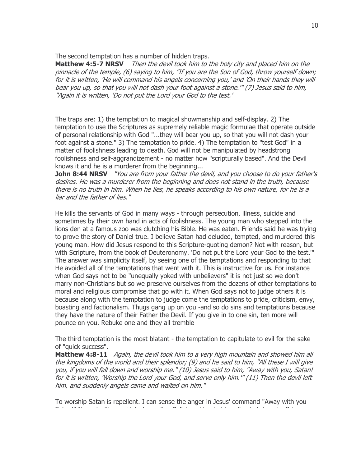The second temptation has a number of hidden traps.

**Matthew 4:5-7 NRSV** Then the devil took him to the holy city and placed him on the pinnacle of the temple, (6) saying to him, "If you are the Son of God, throw yourself down; for it is written, 'He will command his angels concerning you,' and 'On their hands they will bear you up, so that you will not dash your foot against a stone.'" (7) Jesus said to him, "Again it is written, 'Do not put the Lord your God to the test.'

The traps are: 1) the temptation to magical showmanship and self-display. 2) The temptation to use the Scriptures as supremely reliable magic formulae that operate outside of personal relationship with God "...they will bear you up, so that you will not dash your foot against a stone." 3) The temptation to pride. 4) The temptation to "test God" in a matter of foolishness leading to death. God will not be manipulated by headstrong foolishness and self-aggrandizement - no matter how "scripturally based". And the Devil knows it and he is a murderer from the beginning...

**John 8:44 NRSV** "You are from your father the devil, and you choose to do your father's desires. He was a murderer from the beginning and does not stand in the truth, because there is no truth in him. When he lies, he speaks according to his own nature, for he is a liar and the father of lies."

He kills the servants of God in many ways - through persecution, illness, suicide and sometimes by their own hand in acts of foolishness. The young man who stepped into the lions den at a famous zoo was clutching his Bible. He was eaten. Friends said he was trying to prove the story of Daniel true. I believe Satan had deluded, tempted, and murdered this young man. How did Jesus respond to this Scripture-quoting demon? Not with reason, but with Scripture, from the book of Deuteronomy. 'Do not put the Lord your God to the test.'" The answer was simplicity itself, by seeing one of the temptations and responding to that He avoided all of the temptations that went with it. This is instructive for us. For instance when God says not to be "unequally yoked with unbelievers" it is not just so we don't marry non-Christians but so we preserve ourselves from the dozens of other temptations to moral and religious compromise that go with it. When God says not to judge others it is because along with the temptation to judge come the temptations to pride, criticism, envy, boasting and factionalism. Thugs gang up on you -and so do sins and temptations because they have the nature of their Father the Devil. If you give in to one sin, ten more will pounce on you. Rebuke one and they all tremble

The third temptation is the most blatant - the temptation to capitulate to evil for the sake of "quick success".

**Matthew 4:8-11** Again, the devil took him to a very high mountain and showed him all the kingdoms of the world and their splendor; (9) and he said to him, "All these I will give you, if you will fall down and worship me." (10) Jesus said to him, "Away with you, Satan! for it is written, 'Worship the Lord your God, and serve only him.'" (11) Then the devil left him, and suddenly angels came and waited on him."

To worship Satan is repellent. I can sense the anger in Jesus' command "Away with you Satan!" It cracks like a whiplash sending Belial packing to his sulfur-fed domain. It is an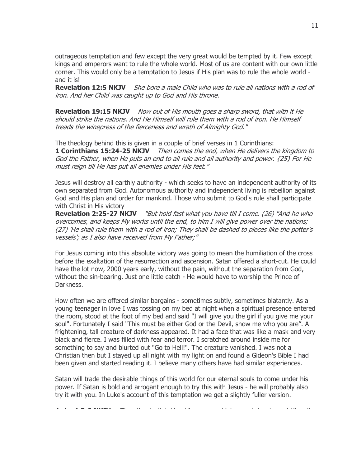outrageous temptation and few except the very great would be tempted by it. Few except kings and emperors want to rule the whole world. Most of us are content with our own little corner. This would only be a temptation to Jesus if His plan was to rule the whole world and it is!

Revelation 12:5 NKJV She bore a male Child who was to rule all nations with a rod of iron. And her Child was caught up to God and His throne.

**Revelation 19:15 NKJV** Now out of His mouth goes a sharp sword, that with it He should strike the nations. And He Himself will rule them with a rod of iron. He Himself treads the winepress of the fierceness and wrath of Almighty God."

The theology behind this is given in a couple of brief verses in 1 Corinthians:

**1 Corinthians 15:24-25 NKJV** Then comes the end, when He delivers the kingdom to God the Father, when He puts an end to all rule and all authority and power. {25} For He must reign till He has put all enemies under His feet."

Jesus will destroy all earthly authority - which seeks to have an independent authority of its own separated from God. Autonomous authority and independent living is rebellion against God and His plan and order for mankind. Those who submit to God's rule shall participate with Christ in His victory

Revelation 2:25-27 NKJV "But hold fast what you have till I come. (26) "And he who overcomes, and keeps My works until the end, to him I will give power over the nations; (27) 'He shall rule them with a rod of iron; They shall be dashed to pieces like the potter's vessels'; as I also have received from My Father;"

For Jesus coming into this absolute victory was going to mean the humiliation of the cross before the exaltation of the resurrection and ascension. Satan offered a short-cut. He could have the lot now, 2000 years early, without the pain, without the separation from God, without the sin-bearing. Just one little catch - He would have to worship the Prince of Darkness.

How often we are offered similar bargains - sometimes subtly, sometimes blatantly. As a young teenager in love I was tossing on my bed at night when a spiritual presence entered the room, stood at the foot of my bed and said "I will give you the girl if you give me your soul". Fortunately I said "This must be either God or the Devil, show me who you are". A frightening, tall creature of darkness appeared. It had a face that was like a mask and very black and fierce. I was filled with fear and terror. I scratched around inside me for something to say and blurted out "Go to Hell!". The creature vanished. I was not a Christian then but I stayed up all night with my light on and found a Gideon's Bible I had been given and started reading it. I believe many others have had similar experiences.

Satan will trade the desirable things of this world for our eternal souls to come under his power. If Satan is bold and arrogant enough to try this with Jesus - he will probably also try it with you. In Luke's account of this temptation we get a slightly fuller version.

 $\mathbf{L}$  , then  $\mathbf{L}$  and the devil, taking  $\mathbf{L}$  and  $\mathbf{L}$  all all  $\mathbf{L}$  all  $\mathbf{L}$  all  $\mathbf{L}$  all  $\mathbf{L}$  all  $\mathbf{L}$  and  $\mathbf{L}$  all  $\mathbf{L}$  all  $\mathbf{L}$  all  $\mathbf{L}$  all  $\mathbf{L}$  and  $\mathbf{L}$  and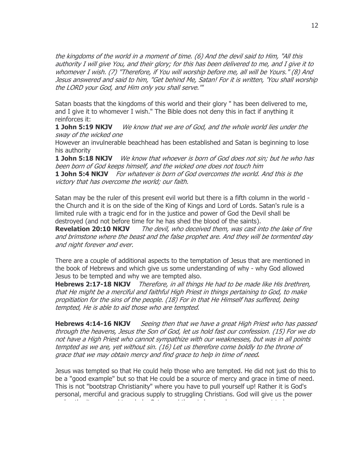the kingdoms of the world in a moment of time. (6) And the devil said to Him, "All this authority I will give You, and their glory; for this has been delivered to me, and I give it to whomever I wish. (7) "Therefore, if You will worship before me, all will be Yours." (8) And Jesus answered and said to him, "Get behind Me, Satan! For it is written, 'You shall worship the LORD your God, and Him only you shall serve.'"

Satan boasts that the kingdoms of this world and their glory " has been delivered to me, and I give it to whomever I wish." The Bible does not deny this in fact if anything it reinforces it:

**1 John 5:19 NKJV** We know that we are of God, and the whole world lies under the sway of the wicked one

However an invulnerable beachhead has been established and Satan is beginning to lose his authority

1 John 5:18 NKJV We know that whoever is born of God does not sin; but he who has been born of God keeps himself, and the wicked one does not touch him **1 John 5:4 NKJV** For whatever is born of God overcomes the world. And this is the victory that has overcome the world; our faith.

Satan may be the ruler of this present evil world but there is a fifth column in the world the Church and it is on the side of the King of Kings and Lord of Lords. Satan's rule is a limited rule with a tragic end for in the justice and power of God the Devil shall be destroyed (and not before time for he has shed the blood of the saints).

**Revelation 20:10 NKJV** The devil, who deceived them, was cast into the lake of fire and brimstone where the beast and the false prophet are. And they will be tormented day and night forever and ever.

There are a couple of additional aspects to the temptation of Jesus that are mentioned in the book of Hebrews and which give us some understanding of why - why God allowed Jesus to be tempted and why we are tempted also.

**Hebrews 2:17-18 NKJV** Therefore, in all things He had to be made like His brethren, that He might be a merciful and faithful High Priest in things pertaining to God, to make propitiation for the sins of the people. (18) For in that He Himself has suffered, being tempted, He is able to aid those who are tempted.

**Hebrews 4:14-16 NKJV** Seeing then that we have a great High Priest who has passed through the heavens, Jesus the Son of God, let us hold fast our confession. (15) For we do not have a High Priest who cannot sympathize with our weaknesses, but was in all points tempted as we are, yet without sin. (16) Let us therefore come boldly to the throne of grace that we may obtain mercy and find grace to help in time of need.

Jesus was tempted so that He could help those who are tempted. He did not just do this to be a "good example" but so that He could be a source of mercy and grace in time of need. This is not "bootstrap Christianity" where you have to pull yourself up! Rather it is God's personal, merciful and gracious supply to struggling Christians. God will give us the power and authority we need to rebuke Satan and the wisdom and encouragement to be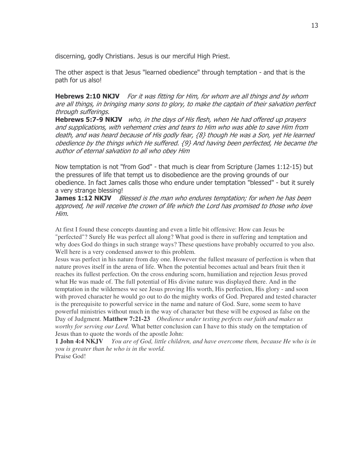discerning, godly Christians. Jesus is our merciful High Priest.

The other aspect is that Jesus "learned obedience" through temptation - and that is the path for us also!

Hebrews 2:10 NKJV For it was fitting for Him, for whom are all things and by whom are all things, in bringing many sons to glory, to make the captain of their salvation perfect through sufferings.

Hebrews 5:7-9 NKJV who, in the days of His flesh, when He had offered up prayers and supplications, with vehement cries and tears to Him who was able to save Him from death, and was heard because of His godly fear, {8} though He was a Son, yet He learned obedience by the things which He suffered. {9} And having been perfected, He became the author of eternal salvation to all who obey Him

Now temptation is not "from God" - that much is clear from Scripture (James 1:12-15) but the pressures of life that tempt us to disobedience are the proving grounds of our obedience. In fact James calls those who endure under temptation "blessed" - but it surely a very strange blessing!

**James 1:12 NKJV** Blessed is the man who endures temptation; for when he has been approved, he will receive the crown of life which the Lord has promised to those who love Him.

At first I found these concepts daunting and even a little bit offensive: How can Jesus be "perfected"? Surely He was perfect all along? What good is there in suffering and temptation and why does God do things in such strange ways? These questions have probably occurred to you also. Well here is a very condensed answer to this problem.

Jesus was perfect in his nature from day one. However the fullest measure of perfection is when that nature proves itself in the arena of life. When the potential becomes actual and bears fruit then it reaches its fullest perfection. On the cross enduring scorn, humiliation and rejection Jesus proved what He was made of. The full potential of His divine nature was displayed there. And in the temptation in the wilderness we see Jesus proving His worth, His perfection, His glory - and soon with proved character he would go out to do the mighty works of God. Prepared and tested character is the prerequisite to powerful service in the name and nature of God. Sure, some seem to have powerful ministries without much in the way of character but these will be exposed as false on the Day of Judgment. **Matthew 7:21-23** *Obedience under testing perfects our faith and makes us worthy for serving our Lord.* What better conclusion can I have to this study on the temptation of Jesus than to quote the words of the apostle John:

**1 John 4:4 NKJV** *You are of God, little children, and have overcome them, because He who is in you is greater than he who is in the world.*

Praise God!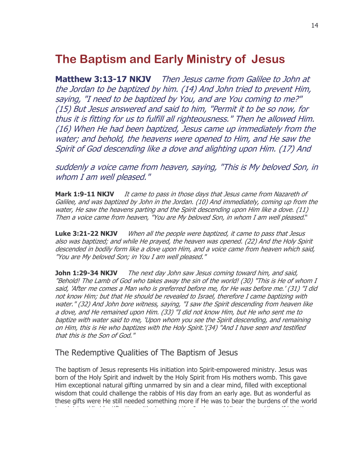## The Baptism and Early Ministry of Jesus

Matthew 3:13-17 NKJV Then Jesus came from Galilee to John at the Jordan to be baptized by him. (14) And John tried to prevent Him, saying, "I need to be baptized by You, and are You coming to me?" (15) But Jesus answered and said to him, "Permit it to be so now, for thus it is fitting for us to fulfill all righteousness." Then he allowed Him. (16) When He had been baptized, Jesus came up immediately from the water; and behold, the heavens were opened to Him, and He saw the Spirit of God descending like a dove and alighting upon Him. (17) And

suddenly a voice came from heaven, saying, "This is My beloved Son, in whom I am well pleased."

Mark 1:9-11 NKJV It came to pass in those days that Jesus came from Nazareth of Galilee, and was baptized by John in the Jordan. (10) And immediately, coming up from the water, He saw the heavens parting and the Spirit descending upon Him like a dove. (11) Then a voice came from heaven, "You are My beloved Son, in whom I am well pleased."

Luke 3:21-22 NKJV When all the people were baptized, it came to pass that Jesus also was baptized; and while He prayed, the heaven was opened. (22) And the Holy Spirit descended in bodily form like a dove upon Him, and a voice came from heaven which said, "You are My beloved Son; in You I am well pleased."

John 1:29-34 NKJV The next day John saw Jesus coming toward him, and said, "Behold! The Lamb of God who takes away the sin of the world! (30) "This is He of whom I said, 'After me comes a Man who is preferred before me, for He was before me.' (31) "I did not know Him; but that He should be revealed to Israel, therefore I came baptizing with water." (32) And John bore witness, saying, "I saw the Spirit descending from heaven like a dove, and He remained upon Him. (33) "I did not know Him, but He who sent me to baptize with water said to me, 'Upon whom you see the Spirit descending, and remaining on Him, this is He who baptizes with the Holy Spirit.'(34) "And I have seen and testified that this is the Son of God."

#### The Redemptive Qualities of The Baptism of Jesus

The baptism of Jesus represents His initiation into Spirit-empowered ministry. Jesus was born of the Holy Spirit and indwelt by the Holy Spirit from His mothers womb. This gave Him exceptional natural gifting unmarred by sin and a clear mind, filled with exceptional wisdom that could challenge the rabbis of His day from an early age. But as wonderful as these gifts were He still needed something more if He was to bear the burdens of the world in ministry. His identification with sinners at the Jordan and His plunging Himself into the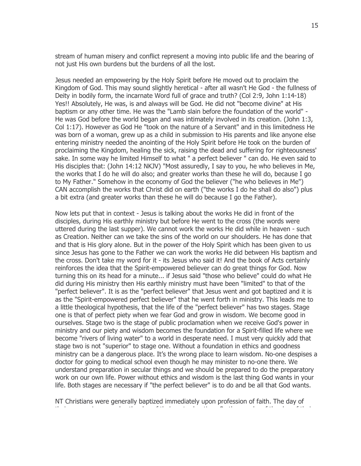stream of human misery and conflict represent a moving into public life and the bearing of not just His own burdens but the burdens of all the lost.

Jesus needed an empowering by the Holy Spirit before He moved out to proclaim the Kingdom of God. This may sound slightly heretical - after all wasn't He God - the fullness of Deity in bodily form, the incarnate Word full of grace and truth? (Col 2:9, John 1:14-18) Yes!! Absolutely, He was, is and always will be God. He did not "become divine" at His baptism or any other time. He was the "Lamb slain before the foundation of the world" - He was God before the world began and was intimately involved in its creation. (John 1:3, Col 1:17). However as God He "took on the nature of a Servant" and in this limitedness He was born of a woman, grew up as a child in submission to His parents and like anyone else entering ministry needed the anointing of the Holy Spirit before He took on the burden of proclaiming the Kingdom, healing the sick, raising the dead and suffering for righteousness' sake. In some way he limited Himself to what " a perfect believer " can do. He even said to His disciples that: (John 14:12 NKJV) "Most assuredly, I say to you, he who believes in Me, the works that I do he will do also; and greater works than these he will do, because I go to My Father." Somehow in the economy of God the believer ("he who believes in Me") CAN accomplish the works that Christ did on earth ("the works I do he shall do also") plus a bit extra (and greater works than these he will do because I go the Father).

Now lets put that in context - Jesus is talking about the works He did in front of the disciples, during His earthly ministry but before He went to the cross (the words were uttered during the last supper). We cannot work the works He did while in heaven - such as Creation. Neither can we take the sins of the world on our shoulders. He has done that and that is His glory alone. But in the power of the Holy Spirit which has been given to us since Jesus has gone to the Father we can work the works He did between His baptism and the cross. Don't take my word for it - its Jesus who said it! And the book of Acts certainly reinforces the idea that the Spirit-empowered believer can do great things for God. Now turning this on its head for a minute... if Jesus said "those who believe" could do what He did during His ministry then His earthly ministry must have been "limited" to that of the "perfect believer". It is as the "perfect believer" that Jesus went and got baptized and it is as the "Spirit-empowered perfect believer" that he went forth in ministry. This leads me to a little theological hypothesis, that the life of the "perfect believer" has two stages. Stage one is that of perfect piety when we fear God and grow in wisdom. We become good in ourselves. Stage two is the stage of public proclamation when we receive God's power in ministry and our piety and wisdom becomes the foundation for a Spirit-filled life where we become "rivers of living water" to a world in desperate need. I must very quickly add that stage two is not "superior" to stage one. Without a foundation in ethics and goodness ministry can be a dangerous place. It's the wrong place to learn wisdom. No-one despises a doctor for going to medical school even though he may minister to no-one there. We understand preparation in secular things and we should be prepared to do the preparatory work on our own life. Power without ethics and wisdom is the last thing God wants in your life. Both stages are necessary if "the perfect believer" is to do and be all that God wants.

NT Christians were generally baptized immediately upon profession of faith. The day of their conversion was also the day of their water baptism. So they spoke of the day of their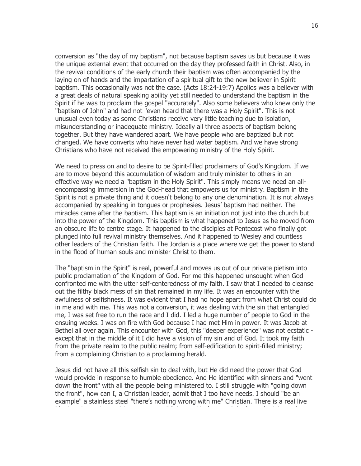conversion as "the day of my baptism", not because baptism saves us but because it was the unique external event that occurred on the day they professed faith in Christ. Also, in the revival conditions of the early church their baptism was often accompanied by the laying on of hands and the impartation of a spiritual gift to the new believer in Spirit baptism. This occasionally was not the case. (Acts 18:24-19:7) Apollos was a believer with a great deals of natural speaking ability yet still needed to understand the baptism in the Spirit if he was to proclaim the gospel "accurately". Also some believers who knew only the "baptism of John" and had not "even heard that there was a Holy Spirit". This is not unusual even today as some Christians receive very little teaching due to isolation, misunderstanding or inadequate ministry. Ideally all three aspects of baptism belong together. But they have wandered apart. We have people who are baptized but not changed. We have converts who have never had water baptism. And we have strong Christians who have not received the empowering ministry of the Holy Spirit.

We need to press on and to desire to be Spirit-filled proclaimers of God's Kingdom. If we are to move beyond this accumulation of wisdom and truly minister to others in an effective way we need a "baptism in the Holy Spirit". This simply means we need an allencompassing immersion in the God-head that empowers us for ministry. Baptism in the Spirit is not a private thing and it doesn't belong to any one denomination. It is not always accompanied by speaking in tongues or prophesies. Jesus' baptism had neither. The miracles came after the baptism. This baptism is an initiation not just into the church but into the power of the Kingdom. This baptism is what happened to Jesus as he moved from an obscure life to centre stage. It happened to the disciples at Pentecost who finally got plunged into full revival ministry themselves. And it happened to Wesley and countless other leaders of the Christian faith. The Jordan is a place where we get the power to stand in the flood of human souls and minister Christ to them.

The "baptism in the Spirit" is real, powerful and moves us out of our private pietism into public proclamation of the Kingdom of God. For me this happened unsought when God confronted me with the utter self-centeredness of my faith. I saw that I needed to cleanse out the filthy black mess of sin that remained in my life. It was an encounter with the awfulness of selfishness. It was evident that I had no hope apart from what Christ could do in me and with me. This was not a conversion, it was dealing with the sin that entangled me, I was set free to run the race and I did. I led a huge number of people to God in the ensuing weeks. I was on fire with God because I had met Him in power. It was Jacob at Bethel all over again. This encounter with God, this "deeper experience" was not ecstatic except that in the middle of it I did have a vision of my sin and of God. It took my faith from the private realm to the public realm; from self-edification to spirit-filled ministry; from a complaining Christian to a proclaiming herald.

Jesus did not have all this selfish sin to deal with, but He did need the power that God would provide in response to humble obedience. And He identified with sinners and "went down the front" with all the people being ministered to. I still struggle with "going down the front", how can I, a Christian leader, admit that I too have needs. I should "be an example" a stainless steel "there's nothing wrong with me" Christian. There is a real live Pharisee in me just waiting to get out. It's hypocritical to say I don't need ministry, that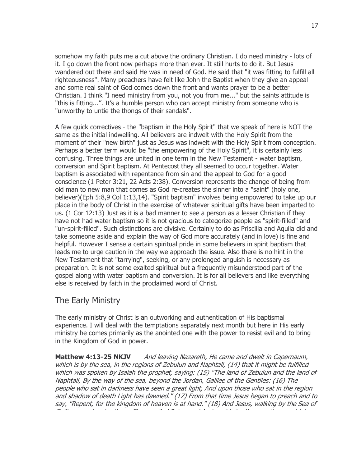somehow my faith puts me a cut above the ordinary Christian. I do need ministry - lots of it. I go down the front now perhaps more than ever. It still hurts to do it. But Jesus wandered out there and said He was in need of God. He said that "it was fitting to fulfill all righteousness". Many preachers have felt like John the Baptist when they give an appeal and some real saint of God comes down the front and wants prayer to be a better Christian. I think "I need ministry from you, not you from me..." but the saints attitude is "this is fitting...". It's a humble person who can accept ministry from someone who is "unworthy to untie the thongs of their sandals".

A few quick correctives - the "baptism in the Holy Spirit" that we speak of here is NOT the same as the initial indwelling. All believers are indwelt with the Holy Spirit from the moment of their "new birth" just as Jesus was indwelt with the Holy Spirit from conception. Perhaps a better term would be "the empowering of the Holy Spirit", it is certainly less confusing. Three things are united in one term in the New Testament - water baptism, conversion and Spirit baptism. At Pentecost they all seemed to occur together. Water baptism is associated with repentance from sin and the appeal to God for a good conscience (1 Peter 3:21, 22 Acts 2:38). Conversion represents the change of being from old man to new man that comes as God re-creates the sinner into a "saint" (holy one, believer)(Eph 5:8,9 Col 1:13,14). "Spirit baptism" involves being empowered to take up our place in the body of Christ in the exercise of whatever spiritual gifts have been imparted to us. (1 Cor 12:13) Just as it is a bad manner to see a person as a lesser Christian if they have not had water baptism so it is not gracious to categorize people as "spirit-filled" and "un-spirit-filled". Such distinctions are divisive. Certainly to do as Priscilla and Aquila did and take someone aside and explain the way of God more accurately (and in love) is fine and helpful. However I sense a certain spiritual pride in some believers in spirit baptism that leads me to urge caution in the way we approach the issue. Also there is no hint in the New Testament that "tarrying", seeking, or any prolonged anguish is necessary as preparation. It is not some exalted spiritual but a frequently misunderstood part of the gospel along with water baptism and conversion. It is for all believers and like everything else is received by faith in the proclaimed word of Christ.

#### The Early Ministry

The early ministry of Christ is an outworking and authentication of His baptismal experience. I will deal with the temptations separately next month but here in His early ministry he comes primarily as the anointed one with the power to resist evil and to bring in the Kingdom of God in power.

Matthew 4:13-25 NKJV And leaving Nazareth, He came and dwelt in Capernaum, which is by the sea, in the regions of Zebulun and Naphtali, (14) that it might be fulfilled which was spoken by Isaiah the prophet, saying: (15) "The land of Zebulun and the land of Naphtali, By the way of the sea, beyond the Jordan, Galilee of the Gentiles: (16) The people who sat in darkness have seen a great light, And upon those who sat in the region and shadow of death Light has dawned." (17) From that time Jesus began to preach and to say, "Repent, for the kingdom of heaven is at hand." (18) And Jesus, walking by the Sea of  $G_{\rm min}$  saw two brothers; Simon called Peter, and Andrew his brother, casting a net into  $\alpha$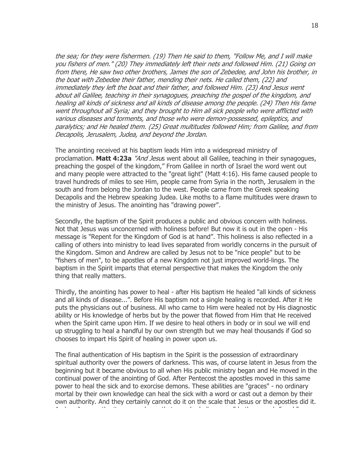the sea; for they were fishermen. (19) Then He said to them, "Follow Me, and I will make you fishers of men." (20) They immediately left their nets and followed Him. (21) Going on from there, He saw two other brothers, James the son of Zebedee, and John his brother, in the boat with Zebedee their father, mending their nets. He called them, (22) and immediately they left the boat and their father, and followed Him. (23) And Jesus went about all Galilee, teaching in their synagogues, preaching the gospel of the kingdom, and healing all kinds of sickness and all kinds of disease among the people. (24) Then His fame went throughout all Syria; and they brought to Him all sick people who were afflicted with various diseases and torments, and those who were demon-possessed, epileptics, and paralytics; and He healed them. (25) Great multitudes followed Him; from Galilee, and from Decapolis, Jerusalem, Judea, and beyond the Jordan.

The anointing received at his baptism leads Him into a widespread ministry of proclamation. Matt 4:23a "And Jesus went about all Galilee, teaching in their synagogues, preaching the gospel of the kingdom," From Galilee in north of Israel the word went out and many people were attracted to the "great light" (Matt 4:16). His fame caused people to travel hundreds of miles to see Him, people came from Syria in the north, Jerusalem in the south and from belong the Jordan to the west. People came from the Greek speaking Decapolis and the Hebrew speaking Judea. Like moths to a flame multitudes were drawn to the ministry of Jesus. The anointing has "drawing power".

Secondly, the baptism of the Spirit produces a public and obvious concern with holiness. Not that Jesus was unconcerned with holiness before! But now it is out in the open - His message is "Repent for the Kingdom of God is at hand". This holiness is also reflected in a calling of others into ministry to lead lives separated from worldly concerns in the pursuit of the Kingdom. Simon and Andrew are called by Jesus not to be "nice people" but to be "fishers of men", to be apostles of a new Kingdom not just improved world-lings. The baptism in the Spirit imparts that eternal perspective that makes the Kingdom the only thing that really matters.

Thirdly, the anointing has power to heal - after His baptism He healed "all kinds of sickness and all kinds of disease...". Before His baptism not a single healing is recorded. After it He puts the physicians out of business. All who came to Him were healed not by His diagnostic ability or His knowledge of herbs but by the power that flowed from Him that He received when the Spirit came upon Him. If we desire to heal others in body or in soul we will end up struggling to heal a handful by our own strength but we may heal thousands if God so chooses to impart His Spirit of healing in power upon us.

The final authentication of His baptism in the Spirit is the possession of extraordinary spiritual authority over the powers of darkness. This was, of course latent in Jesus from the beginning but it became obvious to all when His public ministry began and He moved in the continual power of the anointing of God. After Pentecost the apostles moved in this same power to heal the sick and to exorcise demons. These abilities are "graces" - no ordinary mortal by their own knowledge can heal the sick with a word or cast out a demon by their own authority. And they certainly cannot do it on the scale that Jesus or the apostles did it. And on Jesus authority we can know that we who believe can "do these works" and "even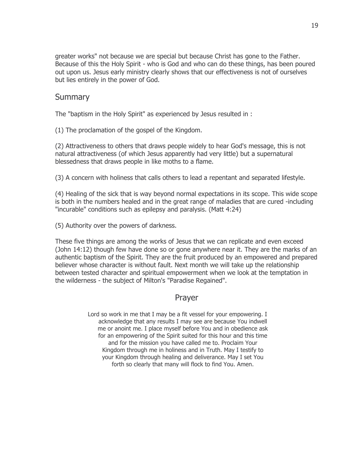greater works" not because we are special but because Christ has gone to the Father. Because of this the Holy Spirit - who is God and who can do these things, has been poured out upon us. Jesus early ministry clearly shows that our effectiveness is not of ourselves but lies entirely in the power of God.

#### **Summary**

The "baptism in the Holy Spirit" as experienced by Jesus resulted in :

(1) The proclamation of the gospel of the Kingdom.

(2) Attractiveness to others that draws people widely to hear God's message, this is not natural attractiveness (of which Jesus apparently had very little) but a supernatural blessedness that draws people in like moths to a flame.

(3) A concern with holiness that calls others to lead a repentant and separated lifestyle.

(4) Healing of the sick that is way beyond normal expectations in its scope. This wide scope is both in the numbers healed and in the great range of maladies that are cured -including "incurable" conditions such as epilepsy and paralysis. (Matt 4:24)

(5) Authority over the powers of darkness.

These five things are among the works of Jesus that we can replicate and even exceed (John 14:12) though few have done so or gone anywhere near it. They are the marks of an authentic baptism of the Spirit. They are the fruit produced by an empowered and prepared believer whose character is without fault. Next month we will take up the relationship between tested character and spiritual empowerment when we look at the temptation in the wilderness - the subject of Milton's "Paradise Regained".

#### Prayer

 Lord so work in me that I may be a fit vessel for your empowering. I acknowledge that any results I may see are because You indwell me or anoint me. I place myself before You and in obedience ask for an empowering of the Spirit suited for this hour and this time and for the mission you have called me to. Proclaim Your Kingdom through me in holiness and in Truth. May I testify to your Kingdom through healing and deliverance. May I set You forth so clearly that many will flock to find You. Amen.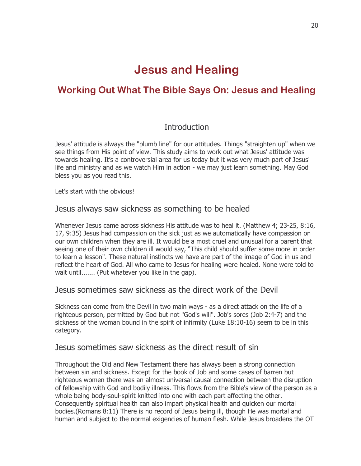## Jesus and Healing

## Working Out What The Bible Says On: Jesus and Healing

#### **Introduction**

Jesus' attitude is always the "plumb line" for our attitudes. Things "straighten up" when we see things from His point of view. This study aims to work out what Jesus' attitude was towards healing. It's a controversial area for us today but it was very much part of Jesus' life and ministry and as we watch Him in action - we may just learn something. May God bless you as you read this.

Let's start with the obvious!

#### Jesus always saw sickness as something to be healed

Whenever Jesus came across sickness His attitude was to heal it. (Matthew 4; 23-25, 8:16, 17, 9:35) Jesus had compassion on the sick just as we automatically have compassion on our own children when they are ill. It would be a most cruel and unusual for a parent that seeing one of their own children ill would say, "This child should suffer some more in order to learn a lesson". These natural instincts we have are part of the image of God in us and reflect the heart of God. All who came to Jesus for healing were healed. None were told to wait until....... (Put whatever you like in the gap).

#### Jesus sometimes saw sickness as the direct work of the Devil

Sickness can come from the Devil in two main ways - as a direct attack on the life of a righteous person, permitted by God but not "God's will". Job's sores (Job 2:4-7) and the sickness of the woman bound in the spirit of infirmity (Luke 18:10-16) seem to be in this category.

#### Jesus sometimes saw sickness as the direct result of sin

Throughout the Old and New Testament there has always been a strong connection between sin and sickness. Except for the book of Job and some cases of barren but righteous women there was an almost universal causal connection between the disruption of fellowship with God and bodily illness. This flows from the Bible's view of the person as a whole being body-soul-spirit knitted into one with each part affecting the other. Consequently spiritual health can also impart physical health and quicken our mortal bodies.(Romans 8:11) There is no record of Jesus being ill, though He was mortal and human and subject to the normal exigencies of human flesh. While Jesus broadens the OT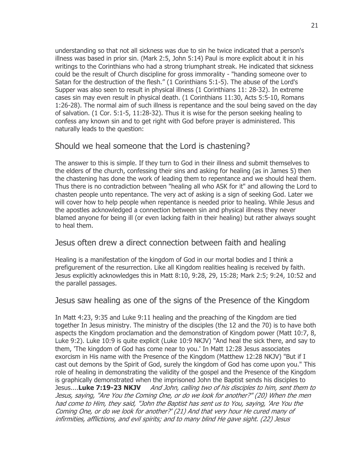understanding so that not all sickness was due to sin he twice indicated that a person's illness was based in prior sin. (Mark 2:5, John 5:14) Paul is more explicit about it in his writings to the Corinthians who had a strong triumphant streak. He indicated that sickness could be the result of Church discipline for gross immorality - "handing someone over to Satan for the destruction of the flesh." (1 Corinthians 5:1-5). The abuse of the Lord's Supper was also seen to result in physical illness (1 Corinthians 11: 28-32). In extreme cases sin may even result in physical death. (1 Corinthians 11:30, Acts 5:5-10, Romans 1:26-28). The normal aim of such illness is repentance and the soul being saved on the day of salvation. (1 Cor. 5:1-5, 11:28-32). Thus it is wise for the person seeking healing to confess any known sin and to get right with God before prayer is administered. This naturally leads to the question:

## Should we heal someone that the Lord is chastening?

The answer to this is simple. If they turn to God in their illness and submit themselves to the elders of the church, confessing their sins and asking for healing (as in James 5) then the chastening has done the work of leading them to repentance and we should heal them. Thus there is no contradiction between "healing all who ASK for it" and allowing the Lord to chasten people unto repentance. The very act of asking is a sign of seeking God. Later we will cover how to help people when repentance is needed prior to healing. While Jesus and the apostles acknowledged a connection between sin and physical illness they never blamed anyone for being ill (or even lacking faith in their healing) but rather always sought to heal them.

## Jesus often drew a direct connection between faith and healing

Healing is a manifestation of the kingdom of God in our mortal bodies and I think a prefigurement of the resurrection. Like all Kingdom realities healing is received by faith. Jesus explicitly acknowledges this in Matt 8:10, 9:28, 29, 15:28; Mark 2:5; 9:24, 10:52 and the parallel passages.

## Jesus saw healing as one of the signs of the Presence of the Kingdom

In Matt 4:23, 9:35 and Luke 9:11 healing and the preaching of the Kingdom are tied together In Jesus ministry. The ministry of the disciples (the 12 and the 70) is to have both aspects the Kingdom proclamation and the demonstration of Kingdom power (Matt 10:7, 8, Luke 9:2). Luke 10:9 is quite explicit (Luke 10:9 NKJV) "And heal the sick there, and say to them, 'The kingdom of God has come near to you.' In Matt 12:28 Jesus associates exorcism in His name with the Presence of the Kingdom (Matthew 12:28 NKJV) "But if I cast out demons by the Spirit of God, surely the kingdom of God has come upon you." This role of healing in demonstrating the validity of the gospel and the Presence of the Kingdom is graphically demonstrated when the imprisoned John the Baptist sends his disciples to Jesus....Luke 7:19-23 NKJV And John, calling two of his disciples to him, sent them to Jesus, saying, "Are You the Coming One, or do we look for another?" (20) When the men had come to Him, they said, "John the Baptist has sent us to You, saying, 'Are You the Coming One, or do we look for another?' (21) And that very hour He cured many of infirmities, afflictions, and evil spirits; and to many blind He gave sight. (22) Jesus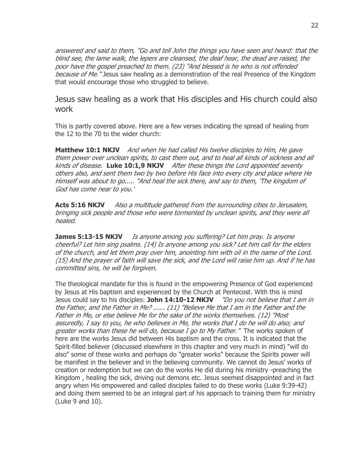answered and said to them, "Go and tell John the things you have seen and heard: that the blind see, the lame walk, the lepers are cleansed, the deaf hear, the dead are raised, the poor have the gospel preached to them. (23) "And blessed is he who is not offended because of Me. "Jesus saw healing as a demonstration of the real Presence of the Kingdom that would encourage those who struggled to believe.

## Jesus saw healing as a work that His disciples and His church could also work

This is partly covered above. Here are a few verses indicating the spread of healing from the 12 to the 70 to the wider church:

Matthew 10:1 NKJV And when He had called His twelve disciples to Him, He gave them power over unclean spirits, to cast them out, and to heal all kinds of sickness and all kinds of disease. Luke 10:1,9 NKJV After these things the Lord appointed seventy others also, and sent them two by two before His face into every city and place where He Himself was about to go..... "And heal the sick there, and say to them, 'The kingdom of God has come near to you.'

Acts 5:16 NKJV Also a multitude gathered from the surrounding cities to Jerusalem, bringing sick people and those who were tormented by unclean spirits, and they were all healed.

**James 5:13-15 NKJV** *Is anyone among you suffering? Let him pray. Is anyone* cheerful? Let him sing psalms. (14) Is anyone among you sick? Let him call for the elders of the church, and let them pray over him, anointing him with oil in the name of the Lord. (15) And the prayer of faith will save the sick, and the Lord will raise him up. And if he has committed sins, he will be forgiven.

The theological mandate for this is found in the empowering Presence of God experienced by Jesus at His baptism and experienced by the Church at Pentecost. With this is mind Jesus could say to his disciples: John 14:10-12 NKJV *"Do you not believe that I am in* the Father, and the Father in Me? ...... (11) "Believe Me that I am in the Father and the Father in Me, or else believe Me for the sake of the works themselves. (12) "Most assuredly, I say to you, he who believes in Me, the works that I do he will do also; and greater works than these he will do, because I go to My Father." The works spoken of here are the works Jesus did between His baptism and the cross. It is indicated that the Spirit-filled believer (discussed elsewhere in this chapter and very much in mind) "will do also" some of these works and perhaps do "greater works" because the Spirits power will be manifest in the believer and in the believing community. We cannot do Jesus' works of creation or redemption but we can do the works He did during his ministry -preaching the Kingdom , healing the sick, driving out demons etc. Jesus seemed disappointed and in fact angry when His empowered and called disciples failed to do these works (Luke 9:39-42) and doing them seemed to be an integral part of his approach to training them for ministry (Luke 9 and 10).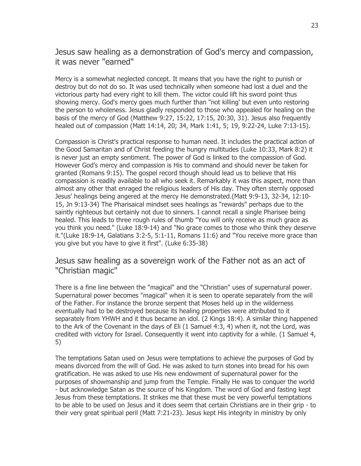Jesus saw healing as a demonstration of God's mercy and compassion, it was never "earned"

Mercy is a somewhat neglected concept. It means that you have the right to punish or destroy but do not do so. It was used technically when someone had lost a duel and the victorious party had every right to kill them. The victor could lift his sword point thus showing mercy. God's mercy goes much further than "not killing' but even unto restoring the person to wholeness. Jesus gladly responded to those who appealed for healing on the basis of the mercy of God (Matthew 9:27, 15:22, 17:15, 20:30, 31). Jesus also frequently healed out of compassion (Matt 14:14, 20; 34, Mark 1:41, 5; 19, 9:22-24, Luke 7:13-15).

Compassion is Christ's practical response to human need. It includes the practical action of the Good Samaritan and of Christ feeding the hungry multitudes (Luke 10:33, Mark 8:2) it is never just an empty sentiment. The power of God is linked to the compassion of God. However God's mercy and compassion is His to command and should never be taken for granted (Romans 9:15). The gospel record though should lead us to believe that His compassion is readily available to all who seek it. Remarkably it was this aspect, more than almost any other that enraged the religious leaders of His day. They often sternly opposed Jesus' healings being angered at the mercy He demonstrated.(Matt 9:9-13, 32-34, 12:10- 15, Jn 9:13-34) The Pharisaical mindset sees healings as "rewards" perhaps due to the saintly righteous but certainly not due to sinners. I cannot recall a single Pharisee being healed. This leads to three rough rules of thumb "You will only receive as much grace as you think you need." (Luke 18:9-14) and "No grace comes to those who think they deserve it."(Luke 18:9-14, Galatians 3:2-5, 5:1-11, Romans 11:6) and "You receive more grace than you give but you have to give it first". (Luke 6:35-38)

## Jesus saw healing as a sovereign work of the Father not as an act of "Christian magic"

There is a fine line between the "magical" and the "Christian" uses of supernatural power. Supernatural power becomes "magical" when it is seen to operate separately from the will of the Father. For instance the bronze serpent that Moses held up in the wilderness eventually had to be destroyed because its healing properties were attributed to it separately from YHWH and it thus became an idol. (2 Kings 18:4). A similar thing happened to the Ark of the Covenant in the days of Eli (1 Samuel 4:3, 4) when it, not the Lord, was credited with victory for Israel. Consequently it went into captivity for a while. (1 Samuel 4, 5)

The temptations Satan used on Jesus were temptations to achieve the purposes of God by means divorced from the will of God. He was asked to turn stones into bread for his own gratification. He was asked to use His new endowment of supernatural power for the purposes of showmanship and jump from the Temple. Finally He was to conquer the world - but acknowledge Satan as the source of his Kingdom. The word of God and fasting kept Jesus from these temptations. It strikes me that these must be very powerful temptations to be able to be used on Jesus and it does seem that certain Christians are in their grip - to their very great spiritual peril (Matt 7:21-23). Jesus kept His integrity in ministry by only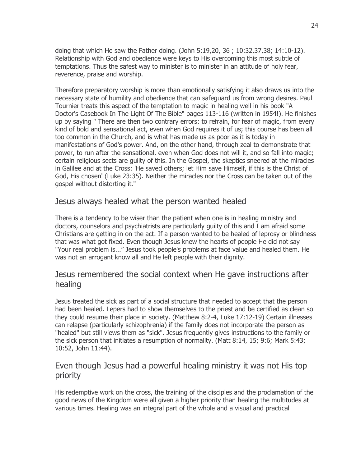doing that which He saw the Father doing. (John 5:19,20, 36 ; 10:32,37,38; 14:10-12). Relationship with God and obedience were keys to His overcoming this most subtle of temptations. Thus the safest way to minister is to minister in an attitude of holy fear, reverence, praise and worship.

Therefore preparatory worship is more than emotionally satisfying it also draws us into the necessary state of humility and obedience that can safeguard us from wrong desires. Paul Tournier treats this aspect of the temptation to magic in healing well in his book "A Doctor's Casebook In The Light Of The Bible" pages 113-116 (written in 1954!). He finishes up by saying " There are then two contrary errors: to refrain, for fear of magic, from every kind of bold and sensational act, even when God requires it of us; this course has been all too common in the Church, and is what has made us as poor as it is today in manifestations of God's power. And, on the other hand, through zeal to demonstrate that power, to run after the sensational, even when God does not will it, and so fall into magic; certain religious sects are guilty of this. In the Gospel, the skeptics sneered at the miracles in Galilee and at the Cross: 'He saved others; let Him save Himself, if this is the Christ of God, His chosen' (Luke 23:35). Neither the miracles nor the Cross can be taken out of the gospel without distorting it."

### Jesus always healed what the person wanted healed

There is a tendency to be wiser than the patient when one is in healing ministry and doctors, counselors and psychiatrists are particularly guilty of this and I am afraid some Christians are getting in on the act. If a person wanted to be healed of leprosy or blindness that was what got fixed. Even though Jesus knew the hearts of people He did not say "Your real problem is..." Jesus took people's problems at face value and healed them. He was not an arrogant know all and He left people with their dignity.

## Jesus remembered the social context when He gave instructions after healing

Jesus treated the sick as part of a social structure that needed to accept that the person had been healed. Lepers had to show themselves to the priest and be certified as clean so they could resume their place in society. (Matthew 8:2-4, Luke 17:12-19) Certain illnesses can relapse (particularly schizophrenia) if the family does not incorporate the person as "healed" but still views them as "sick". Jesus frequently gives instructions to the family or the sick person that initiates a resumption of normality. (Matt 8:14, 15; 9:6; Mark 5:43; 10:52, John 11:44).

### Even though Jesus had a powerful healing ministry it was not His top priority

His redemptive work on the cross, the training of the disciples and the proclamation of the good news of the Kingdom were all given a higher priority than healing the multitudes at various times. Healing was an integral part of the whole and a visual and practical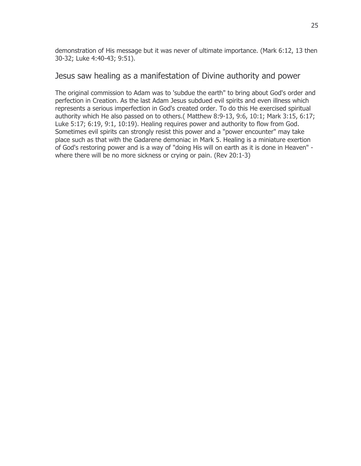demonstration of His message but it was never of ultimate importance. (Mark 6:12, 13 then 30-32; Luke 4:40-43; 9:51).

### Jesus saw healing as a manifestation of Divine authority and power

The original commission to Adam was to 'subdue the earth" to bring about God's order and perfection in Creation. As the last Adam Jesus subdued evil spirits and even illness which represents a serious imperfection in God's created order. To do this He exercised spiritual authority which He also passed on to others.( Matthew 8:9-13, 9:6, 10:1; Mark 3:15, 6:17; Luke 5:17; 6:19, 9:1, 10:19). Healing requires power and authority to flow from God. Sometimes evil spirits can strongly resist this power and a "power encounter" may take place such as that with the Gadarene demoniac in Mark 5. Healing is a miniature exertion of God's restoring power and is a way of "doing His will on earth as it is done in Heaven" where there will be no more sickness or crying or pain. (Rev 20:1-3)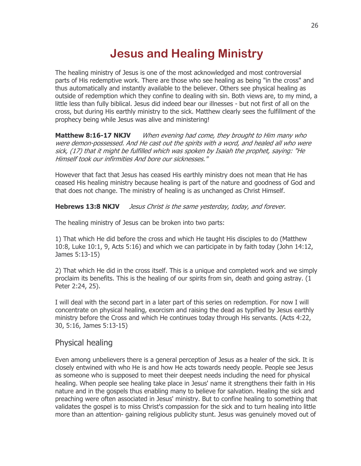## Jesus and Healing Ministry

The healing ministry of Jesus is one of the most acknowledged and most controversial parts of His redemptive work. There are those who see healing as being "in the cross" and thus automatically and instantly available to the believer. Others see physical healing as outside of redemption which they confine to dealing with sin. Both views are, to my mind, a little less than fully biblical. Jesus did indeed bear our illnesses - but not first of all on the cross, but during His earthly ministry to the sick. Matthew clearly sees the fulfillment of the prophecy being while Jesus was alive and ministering!

Matthew 8:16-17 NKJV When evening had come, they brought to Him many who were demon-possessed. And He cast out the spirits with a word, and healed all who were sick, (17) that it might be fulfilled which was spoken by Isaiah the prophet, saying: "He Himself took our infirmities And bore our sicknesses."

However that fact that Jesus has ceased His earthly ministry does not mean that He has ceased His healing ministry because healing is part of the nature and goodness of God and that does not change. The ministry of healing is as unchanged as Christ Himself.

#### Hebrews 13:8 NKJV Jesus Christ is the same yesterday, today, and forever.

The healing ministry of Jesus can be broken into two parts:

1) That which He did before the cross and which He taught His disciples to do (Matthew 10:8, Luke 10:1, 9, Acts 5:16) and which we can participate in by faith today (John 14:12, James 5:13-15)

2) That which He did in the cross itself. This is a unique and completed work and we simply proclaim its benefits. This is the healing of our spirits from sin, death and going astray. (1 Peter 2:24, 25).

I will deal with the second part in a later part of this series on redemption. For now I will concentrate on physical healing, exorcism and raising the dead as typified by Jesus earthly ministry before the Cross and which He continues today through His servants. (Acts 4:22, 30, 5:16, James 5:13-15)

#### Physical healing

Even among unbelievers there is a general perception of Jesus as a healer of the sick. It is closely entwined with who He is and how He acts towards needy people. People see Jesus as someone who is supposed to meet their deepest needs including the need for physical healing. When people see healing take place in Jesus' name it strengthens their faith in His nature and in the gospels thus enabling many to believe for salvation. Healing the sick and preaching were often associated in Jesus' ministry. But to confine healing to something that validates the gospel is to miss Christ's compassion for the sick and to turn healing into little more than an attention- gaining religious publicity stunt. Jesus was genuinely moved out of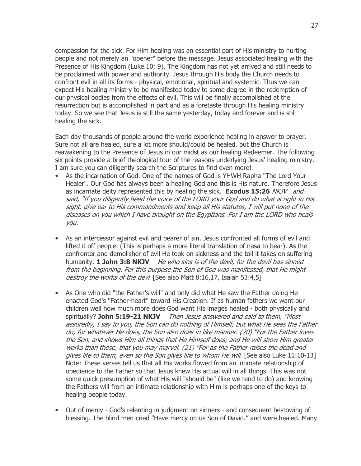compassion for the sick. For Him healing was an essential part of His ministry to hurting people and not merely an "opener" before the message. Jesus associated healing with the Presence of His Kingdom (Luke 10; 9). The Kingdom has not yet arrived and still needs to be proclaimed with power and authority. Jesus through His body the Church needs to confront evil in all its forms - physical, emotional, spiritual and systemic. Thus we can expect His healing ministry to be manifested today to some degree in the redemption of our physical bodies from the effects of evil. This will be finally accomplished at the resurrection but is accomplished in part and as a foretaste through His healing ministry today. So we see that Jesus is still the same yesterday, today and forever and is still healing the sick.

Each day thousands of people around the world experience healing in answer to prayer. Sure not all are healed, sure a lot more should/could be healed, but the Church is reawakening to the Presence of Jesus in our midst as our healing Redeemer. The following six points provide a brief theological tour of the reasons underlying Jesus' healing ministry. I am sure you can diligently search the Scriptures to find even more!

- As the incarnation of God. One of the names of God is YHWH Rapha "The Lord Your Healer". Our God has always been a healing God and this is His nature. Therefore Jesus as incarnate deity represented this by healing the sick. **Exodus 15:26** NKJV and said, "If you diligently heed the voice of the LORD your God and do what is right in His sight, give ear to His commandments and keep all His statutes, I will put none of the diseases on you which I have brought on the Egyptians. For I am the LORD who heals you.
- As an intercessor against evil and bearer of sin. Jesus confronted all forms of evil and lifted it off people. (This is perhaps a more literal translation of nasa to bear). As the confronter and demolisher of evil He took on sickness and the toll it takes on suffering humanity. 1 John 3:8 NKJV He who sins is of the devil, for the devil has sinned from the beginning. For this purpose the Son of God was manifested, that He might destroy the works of the devil [See also Matt 8:16,17, Isaiah 53:4,5]
- As One who did "the Father's will" and only did what He saw the Father doing He enacted God's "Father-heart" toward His Creation. If as human fathers we want our children well how much more does God want His images healed - both physically and spiritually? John 5:19-21 NKJV Then Jesus answered and said to them, "Most assuredly, I say to you, the Son can do nothing of Himself, but what He sees the Father do; for whatever He does, the Son also does in like manner. (20) "For the Father loves the Son, and shows Him all things that He Himself does; and He will show Him greater works than these, that you may marvel. (21) "For as the Father raises the dead and gives life to them, even so the Son gives life to whom He will. [See also Luke 11:10-13] Note: These verses tell us that all His works flowed from an intimate relationship of obedience to the Father so that Jesus knew His actual will in all things. This was not some quick presumption of what His will "should be" (like we tend to do) and knowing the Fathers will from an intimate relationship with Him is perhaps one of the keys to healing people today.
- Out of mercy God's relenting in judgment on sinners and consequent bestowing of blessing. The blind men cried "Have mercy on us Son of David." and were healed. Many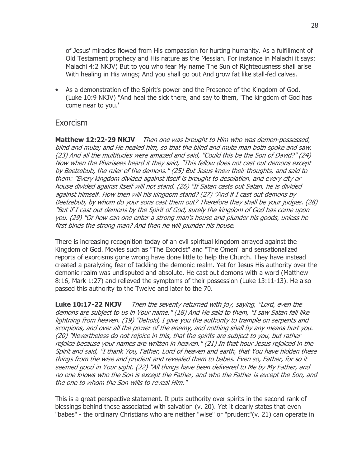of Jesus' miracles flowed from His compassion for hurting humanity. As a fulfillment of Old Testament prophecy and His nature as the Messiah. For instance in Malachi it says: Malachi 4:2 NKJV) But to you who fear My name The Sun of Righteousness shall arise With healing in His wings; And you shall go out And grow fat like stall-fed calves.

• As a demonstration of the Spirit's power and the Presence of the Kingdom of God. (Luke 10:9 NKJV) "And heal the sick there, and say to them, 'The kingdom of God has come near to you.'

#### Exorcism

Matthew 12:22-29 NKJV Then one was brought to Him who was demon-possessed, blind and mute; and He healed him, so that the blind and mute man both spoke and saw. (23) And all the multitudes were amazed and said, "Could this be the Son of David?" (24) Now when the Pharisees heard it they said, "This fellow does not cast out demons except by Beelzebub, the ruler of the demons." (25) But Jesus knew their thoughts, and said to them: "Every kingdom divided against itself is brought to desolation, and every city or house divided against itself will not stand. (26) "If Satan casts out Satan, he is divided against himself. How then will his kingdom stand? (27) "And if I cast out demons by Beelzebub, by whom do your sons cast them out? Therefore they shall be your judges. (28) "But if I cast out demons by the Spirit of God, surely the kingdom of God has come upon you. (29) "Or how can one enter a strong man's house and plunder his goods, unless he first binds the strong man? And then he will plunder his house.

There is increasing recognition today of an evil spiritual kingdom arrayed against the Kingdom of God. Movies such as "The Exorcist" and "The Omen" and sensationalized reports of exorcisms gone wrong have done little to help the Church. They have instead created a paralyzing fear of tackling the demonic realm. Yet for Jesus His authority over the demonic realm was undisputed and absolute. He cast out demons with a word (Matthew 8:16, Mark 1:27) and relieved the symptoms of their possession (Luke 13:11-13). He also passed this authority to the Twelve and later to the 70.

Luke 10:17-22 NKJV Then the seventy returned with joy, saying, "Lord, even the demons are subject to us in Your name." (18) And He said to them, "I saw Satan fall like lightning from heaven. (19) "Behold, I give you the authority to trample on serpents and scorpions, and over all the power of the enemy, and nothing shall by any means hurt you. (20) "Nevertheless do not rejoice in this, that the spirits are subject to you, but rather rejoice because your names are written in heaven." (21) In that hour Jesus rejoiced in the Spirit and said, "I thank You, Father, Lord of heaven and earth, that You have hidden these things from the wise and prudent and revealed them to babes. Even so, Father, for so it seemed good in Your sight. (22) "All things have been delivered to Me by My Father, and no one knows who the Son is except the Father, and who the Father is except the Son, and the one to whom the Son wills to reveal Him."

This is a great perspective statement. It puts authority over spirits in the second rank of blessings behind those associated with salvation (v. 20). Yet it clearly states that even "babes" - the ordinary Christians who are neither "wise" or "prudent"(v. 21) can operate in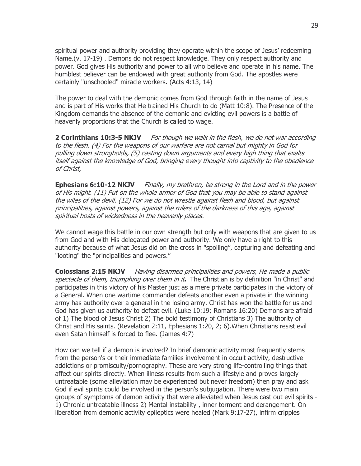spiritual power and authority providing they operate within the scope of Jesus' redeeming Name.(v. 17-19) . Demons do not respect knowledge. They only respect authority and power. God gives His authority and power to all who believe and operate in his name. The humblest believer can be endowed with great authority from God. The apostles were certainly "unschooled" miracle workers. (Acts 4:13, 14)

The power to deal with the demonic comes from God through faith in the name of Jesus and is part of His works that He trained His Church to do (Matt 10:8). The Presence of the Kingdom demands the absence of the demonic and evicting evil powers is a battle of heavenly proportions that the Church is called to wage.

**2 Corinthians 10:3-5 NKJV** For though we walk in the flesh, we do not war according to the flesh. (4) For the weapons of our warfare are not carnal but mighty in God for pulling down strongholds, (5) casting down arguments and every high thing that exalts itself against the knowledge of God, bringing every thought into captivity to the obedience of Christ,

**Ephesians 6:10-12 NKJV** Finally, my brethren, be strong in the Lord and in the power of His might. (11) Put on the whole armor of God that you may be able to stand against the wiles of the devil. (12) For we do not wrestle against flesh and blood, but against principalities, against powers, against the rulers of the darkness of this age, against spiritual hosts of wickedness in the heavenly places.

We cannot wage this battle in our own strength but only with weapons that are given to us from God and with His delegated power and authority. We only have a right to this authority because of what Jesus did on the cross in "spoiling", capturing and defeating and "looting" the "principalities and powers."

Colossians 2:15 NKJV Having disarmed principalities and powers, He made a public spectacle of them, triumphing over them in it. The Christian is by definition "in Christ" and participates in this victory of his Master just as a mere private participates in the victory of a General. When one wartime commander defeats another even a private in the winning army has authority over a general in the losing army. Christ has won the battle for us and God has given us authority to defeat evil. (Luke 10:19; Romans 16:20) Demons are afraid of 1) The blood of Jesus Christ 2) The bold testimony of Christians 3) The authority of Christ and His saints. (Revelation 2:11, Ephesians 1:20, 2; 6).When Christians resist evil even Satan himself is forced to flee. (James 4:7)

How can we tell if a demon is involved? In brief demonic activity most frequently stems from the person's or their immediate families involvement in occult activity, destructive addictions or promiscuity/pornography. These are very strong life-controlling things that affect our spirits directly. When illness results from such a lifestyle and proves largely untreatable (some alleviation may be experienced but never freedom) then pray and ask God if evil spirits could be involved in the person's subjugation. There were two main groups of symptoms of demon activity that were alleviated when Jesus cast out evil spirits - 1) Chronic untreatable illness 2) Mental instability , inner torment and derangement. On liberation from demonic activity epileptics were healed (Mark 9:17-27), infirm cripples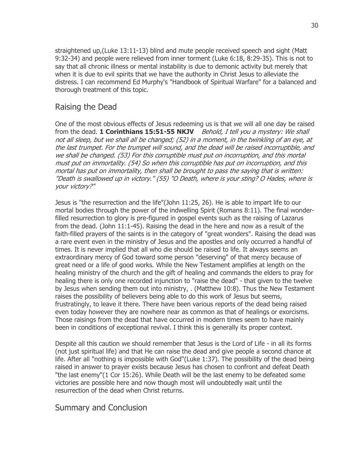straightened up,(Luke 13:11-13) blind and mute people received speech and sight (Matt 9:32-34) and people were relieved from inner torment (Luke 6:18, 8:29-35). This is not to say that all chronic illness or mental instability is due to demonic activity but merely that when it is due to evil spirits that we have the authority in Christ Jesus to alleviate the distress. I can recommend Ed Murphy's "Handbook of Spiritual Warfare" for a balanced and thorough treatment of this topic.

## Raising the Dead

One of the most obvious effects of Jesus redeeming us is that we will all one day be raised from the dead. 1 Corinthians 15:51-55 NKJV *Behold, I tell you a mystery: We shall* not all sleep, but we shall all be changed; (52) in a moment, in the twinkling of an eye, at the last trumpet. For the trumpet will sound, and the dead will be raised incorruptible, and we shall be changed. (53) For this corruptible must put on incorruption, and this mortal must put on immortality. (54) So when this corruptible has put on incorruption, and this mortal has put on immortality, then shall be brought to pass the saying that is written: "Death is swallowed up in victory." (55) "O Death, where is your sting? O Hades, where is your victory?"

Jesus is "the resurrection and the life"(John 11:25, 26). He is able to impart life to our mortal bodies through the power of the indwelling Spirit (Romans 8:11). The final wonderfilled resurrection to glory is pre-figured in gospel events such as the raising of Lazarus from the dead. (John 11:1-45). Raising the dead in the here and now as a result of the faith-filled prayers of the saints is in the category of "great wonders". Raising the dead was a rare event even in the ministry of Jesus and the apostles and only occurred a handful of times. It is never implied that all who die should be raised to life. It always seems an extraordinary mercy of God toward some person "deserving" of that mercy because of great need or a life of good works. While the New Testament amplifies at length on the healing ministry of the church and the gift of healing and commands the elders to pray for healing there is only one recorded injunction to "raise the dead" - that given to the twelve by Jesus when sending them out into ministry, . (Matthew 10:8). Thus the New Testament raises the possibility of believers being able to do this work of Jesus but seems, frustratingly, to leave it there. There have been various reports of the dead being raised even today however they are nowhere near as common as that of healings or exorcisms. Those raisings from the dead that have occurred in modern times seem to have mainly been in conditions of exceptional revival. I think this is generally its proper context.

Despite all this caution we should remember that Jesus is the Lord of Life - in all its forms (not just spiritual life) and that He can raise the dead and give people a second chance at life. After all "nothing is impossible with God"(Luke 1:37). The possibility of the dead being raised in answer to prayer exists because Jesus has chosen to confront and defeat Death "the last enemy"(1 Cor 15:26). While Death will be the last enemy to be defeated some victories are possible here and now though most will undoubtedly wait until the resurrection of the dead when Christ returns.

## Summary and Conclusion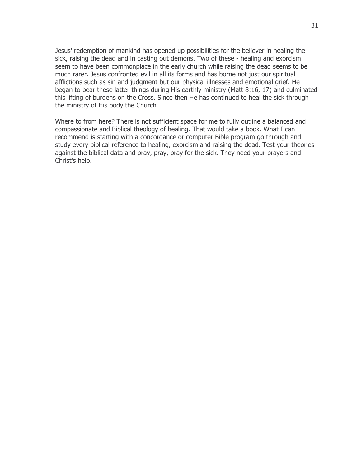Jesus' redemption of mankind has opened up possibilities for the believer in healing the sick, raising the dead and in casting out demons. Two of these - healing and exorcism seem to have been commonplace in the early church while raising the dead seems to be much rarer. Jesus confronted evil in all its forms and has borne not just our spiritual afflictions such as sin and judgment but our physical illnesses and emotional grief. He began to bear these latter things during His earthly ministry (Matt 8:16, 17) and culminated this lifting of burdens on the Cross. Since then He has continued to heal the sick through the ministry of His body the Church.

Where to from here? There is not sufficient space for me to fully outline a balanced and compassionate and Biblical theology of healing. That would take a book. What I can recommend is starting with a concordance or computer Bible program go through and study every biblical reference to healing, exorcism and raising the dead. Test your theories against the biblical data and pray, pray, pray for the sick. They need your prayers and Christ's help.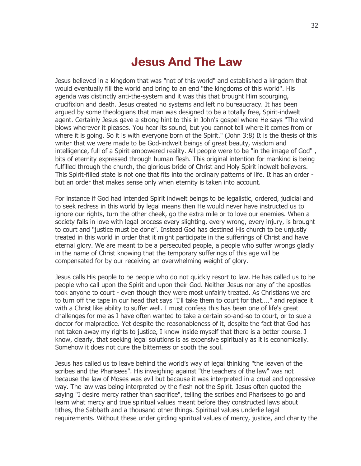## Jesus And The Law

Jesus believed in a kingdom that was "not of this world" and established a kingdom that would eventually fill the world and bring to an end "the kingdoms of this world". His agenda was distinctly anti-the-system and it was this that brought Him scourging, crucifixion and death. Jesus created no systems and left no bureaucracy. It has been argued by some theologians that man was designed to be a totally free, Spirit-indwelt agent. Certainly Jesus gave a strong hint to this in John's gospel where He says "The wind blows wherever it pleases. You hear its sound, but you cannot tell where it comes from or where it is going. So it is with everyone born of the Spirit." (John 3:8) It is the thesis of this writer that we were made to be God-indwelt beings of great beauty, wisdom and intelligence, full of a Spirit empowered reality. All people were to be "in the image of God" , bits of eternity expressed through human flesh. This original intention for mankind is being fulfilled through the church, the glorious bride of Christ and Holy Spirit indwelt believers. This Spirit-filled state is not one that fits into the ordinary patterns of life. It has an order but an order that makes sense only when eternity is taken into account.

For instance if God had intended Spirit indwelt beings to be legalistic, ordered, judicial and to seek redress in this world by legal means then He would never have instructed us to ignore our rights, turn the other cheek, go the extra mile or to love our enemies. When a society falls in love with legal process every slighting, every wrong, every injury, is brought to court and "justice must be done". Instead God has destined His church to be unjustly treated in this world in order that it might participate in the sufferings of Christ and have eternal glory. We are meant to be a persecuted people, a people who suffer wrongs gladly in the name of Christ knowing that the temporary sufferings of this age will be compensated for by our receiving an overwhelming weight of glory.

Jesus calls His people to be people who do not quickly resort to law. He has called us to be people who call upon the Spirit and upon their God. Neither Jesus nor any of the apostles took anyone to court - even though they were most unfairly treated. As Christians we are to turn off the tape in our head that says "I'll take them to court for that...." and replace it with a Christ like ability to suffer well. I must confess this has been one of life's great challenges for me as I have often wanted to take a certain so-and-so to court, or to sue a doctor for malpractice. Yet despite the reasonableness of it, despite the fact that God has not taken away my rights to justice, I know inside myself that there is a better course. I know, clearly, that seeking legal solutions is as expensive spiritually as it is economically. Somehow it does not cure the bitterness or sooth the soul.

Jesus has called us to leave behind the world's way of legal thinking "the leaven of the scribes and the Pharisees". His inveighing against "the teachers of the law" was not because the law of Moses was evil but because it was interpreted in a cruel and oppressive way. The law was being interpreted by the flesh not the Spirit. Jesus often quoted the saying "I desire mercy rather than sacrifice", telling the scribes and Pharisees to go and learn what mercy and true spiritual values meant before they constructed laws about tithes, the Sabbath and a thousand other things. Spiritual values underlie legal requirements. Without these under girding spiritual values of mercy, justice, and charity the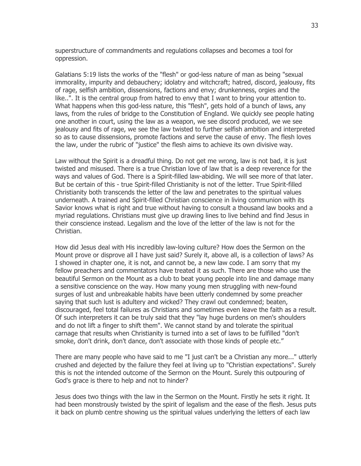superstructure of commandments and regulations collapses and becomes a tool for oppression.

Galatians 5:19 lists the works of the "flesh" or god-less nature of man as being "sexual immorality, impurity and debauchery; idolatry and witchcraft; hatred, discord, jealousy, fits of rage, selfish ambition, dissensions, factions and envy; drunkenness, orgies and the like..". It is the central group from hatred to envy that I want to bring your attention to. What happens when this god-less nature, this "flesh", gets hold of a bunch of laws, any laws, from the rules of bridge to the Constitution of England. We quickly see people hating one another in court, using the law as a weapon, we see discord produced, we we see jealousy and fits of rage, we see the law twisted to further selfish ambition and interpreted so as to cause dissensions, promote factions and serve the cause of envy. The flesh loves the law, under the rubric of "justice" the flesh aims to achieve its own divisive way.

Law without the Spirit is a dreadful thing. Do not get me wrong, law is not bad, it is just twisted and misused. There is a true Christian love of law that is a deep reverence for the ways and values of God. There is a Spirit-filled law-abiding. We will see more of that later. But be certain of this - true Spirit-filled Christianity is not of the letter. True Spirit-filled Christianity both transcends the letter of the law and penetrates to the spiritual values underneath. A trained and Spirit-filled Christian conscience in living communion with its Savior knows what is right and true without having to consult a thousand law books and a myriad regulations. Christians must give up drawing lines to live behind and find Jesus in their conscience instead. Legalism and the love of the letter of the law is not for the Christian.

How did Jesus deal with His incredibly law-loving culture? How does the Sermon on the Mount prove or disprove all I have just said? Surely it, above all, is a collection of laws? As I showed in chapter one, it is not, and cannot be, a new law code. I am sorry that my fellow preachers and commentators have treated it as such. There are those who use the beautiful Sermon on the Mount as a club to beat young people into line and damage many a sensitive conscience on the way. How many young men struggling with new-found surges of lust and unbreakable habits have been utterly condemned by some preacher saying that such lust is adultery and wicked? They crawl out condemned; beaten, discouraged, feel total failures as Christians and sometimes even leave the faith as a result. Of such interpreters it can be truly said that they "lay huge burdens on men's shoulders and do not lift a finger to shift them". We cannot stand by and tolerate the spiritual carnage that results when Christianity is turned into a set of laws to be fulfilled "don't smoke, don't drink, don't dance, don't associate with those kinds of people etc."

There are many people who have said to me "I just can't be a Christian any more..." utterly crushed and dejected by the failure they feel at living up to "Christian expectations". Surely this is not the intended outcome of the Sermon on the Mount. Surely this outpouring of God's grace is there to help and not to hinder?

Jesus does two things with the law in the Sermon on the Mount. Firstly he sets it right. It had been monstrously twisted by the spirit of legalism and the ease of the flesh. Jesus puts it back on plumb centre showing us the spiritual values underlying the letters of each law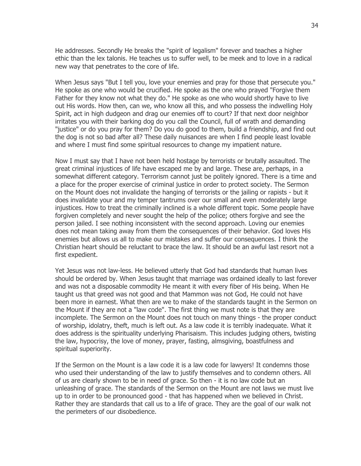He addresses. Secondly He breaks the "spirit of legalism" forever and teaches a higher ethic than the lex talonis. He teaches us to suffer well, to be meek and to love in a radical new way that penetrates to the core of life.

When Jesus says "But I tell you, love your enemies and pray for those that persecute you." He spoke as one who would be crucified. He spoke as the one who prayed "Forgive them Father for they know not what they do." He spoke as one who would shortly have to live out His words. How then, can we, who know all this, and who possess the indwelling Holy Spirit, act in high dudgeon and drag our enemies off to court? If that next door neighbor irritates you with their barking dog do you call the Council, full of wrath and demanding "justice" or do you pray for them? Do you do good to them, build a friendship, and find out the dog is not so bad after all? These daily nuisances are when I find people least lovable and where I must find some spiritual resources to change my impatient nature.

Now I must say that I have not been held hostage by terrorists or brutally assaulted. The great criminal injustices of life have escaped me by and large. These are, perhaps, in a somewhat different category. Terrorism cannot just be politely ignored. There is a time and a place for the proper exercise of criminal justice in order to protect society. The Sermon on the Mount does not invalidate the hanging of terrorists or the jailing or rapists - but it does invalidate your and my temper tantrums over our small and even moderately large injustices. How to treat the criminally inclined is a whole different topic. Some people have forgiven completely and never sought the help of the police; others forgive and see the person jailed. I see nothing inconsistent with the second approach. Loving our enemies does not mean taking away from them the consequences of their behavior. God loves His enemies but allows us all to make our mistakes and suffer our consequences. I think the Christian heart should be reluctant to brace the law. It should be an awful last resort not a first expedient.

Yet Jesus was not law-less. He believed utterly that God had standards that human lives should be ordered by. When Jesus taught that marriage was ordained ideally to last forever and was not a disposable commodity He meant it with every fiber of His being. When He taught us that greed was not good and that Mammon was not God, He could not have been more in earnest. What then are we to make of the standards taught in the Sermon on the Mount if they are not a "law code". The first thing we must note is that they are incomplete. The Sermon on the Mount does not touch on many things - the proper conduct of worship, idolatry, theft, much is left out. As a law code it is terribly inadequate. What it does address is the spirituality underlying Pharisaism. This includes judging others, twisting the law, hypocrisy, the love of money, prayer, fasting, almsgiving, boastfulness and spiritual superiority.

If the Sermon on the Mount is a law code it is a law code for lawyers! It condemns those who used their understanding of the law to justify themselves and to condemn others. All of us are clearly shown to be in need of grace. So then - it is no law code but an unleashing of grace. The standards of the Sermon on the Mount are not laws we must live up to in order to be pronounced good - that has happened when we believed in Christ. Rather they are standards that call us to a life of grace. They are the goal of our walk not the perimeters of our disobedience.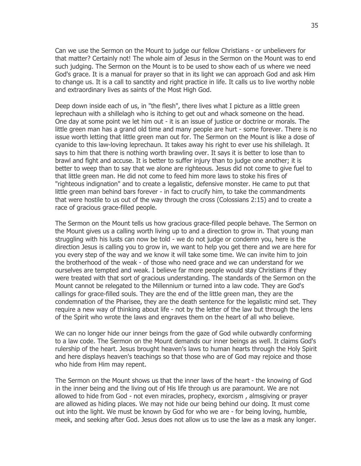Can we use the Sermon on the Mount to judge our fellow Christians - or unbelievers for that matter? Certainly not! The whole aim of Jesus in the Sermon on the Mount was to end such judging. The Sermon on the Mount is to be used to show each of us where we need God's grace. It is a manual for prayer so that in its light we can approach God and ask Him to change us. It is a call to sanctity and right practice in life. It calls us to live worthy noble and extraordinary lives as saints of the Most High God.

Deep down inside each of us, in "the flesh", there lives what I picture as a little green leprechaun with a shillelagh who is itching to get out and whack someone on the head. One day at some point we let him out - it is an issue of justice or doctrine or morals. The little green man has a grand old time and many people are hurt - some forever. There is no issue worth letting that little green man out for. The Sermon on the Mount is like a dose of cyanide to this law-loving leprechaun. It takes away his right to ever use his shillelagh. It says to him that there is nothing worth brawling over. It says it is better to lose than to brawl and fight and accuse. It is better to suffer injury than to judge one another; it is better to weep than to say that we alone are righteous. Jesus did not come to give fuel to that little green man. He did not come to feed him more laws to stoke his fires of "righteous indignation" and to create a legalistic, defensive monster. He came to put that little green man behind bars forever - in fact to crucify him, to take the commandments that were hostile to us out of the way through the cross (Colossians 2:15) and to create a race of gracious grace-filled people.

The Sermon on the Mount tells us how gracious grace-filled people behave. The Sermon on the Mount gives us a calling worth living up to and a direction to grow in. That young man struggling with his lusts can now be told - we do not judge or condemn you, here is the direction Jesus is calling you to grow in, we want to help you get there and we are here for you every step of the way and we know it will take some time. We can invite him to join the brotherhood of the weak - of those who need grace and we can understand for we ourselves are tempted and weak. I believe far more people would stay Christians if they were treated with that sort of gracious understanding. The standards of the Sermon on the Mount cannot be relegated to the Millennium or turned into a law code. They are God's callings for grace-filled souls. They are the end of the little green man, they are the condemnation of the Pharisee, they are the death sentence for the legalistic mind set. They require a new way of thinking about life - not by the letter of the law but through the lens of the Spirit who wrote the laws and engraves them on the heart of all who believe.

We can no longer hide our inner beings from the gaze of God while outwardly conforming to a law code. The Sermon on the Mount demands our inner beings as well. It claims God's rulership of the heart. Jesus brought heaven's laws to human hearts through the Holy Spirit and here displays heaven's teachings so that those who are of God may rejoice and those who hide from Him may repent.

The Sermon on the Mount shows us that the inner laws of the heart - the knowing of God in the inner being and the living out of His life through us are paramount. We are not allowed to hide from God - not even miracles, prophecy, exorcism , almsgiving or prayer are allowed as hiding places. We may not hide our being behind our doing. It must come out into the light. We must be known by God for who we are - for being loving, humble, meek, and seeking after God. Jesus does not allow us to use the law as a mask any longer.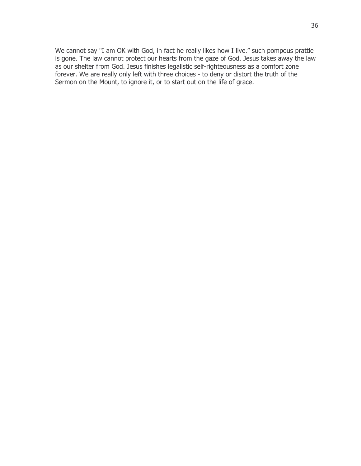We cannot say "I am OK with God, in fact he really likes how I live." such pompous prattle is gone. The law cannot protect our hearts from the gaze of God. Jesus takes away the law as our shelter from God. Jesus finishes legalistic self-righteousness as a comfort zone forever. We are really only left with three choices - to deny or distort the truth of the Sermon on the Mount, to ignore it, or to start out on the life of grace.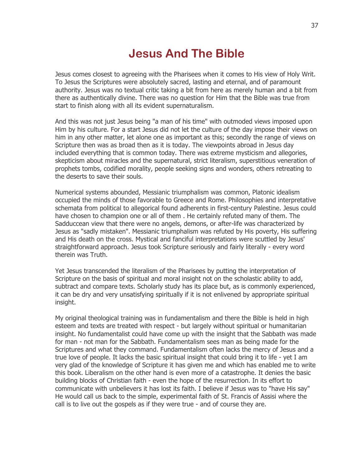# Jesus And The Bible

Jesus comes closest to agreeing with the Pharisees when it comes to His view of Holy Writ. To Jesus the Scriptures were absolutely sacred, lasting and eternal, and of paramount authority. Jesus was no textual critic taking a bit from here as merely human and a bit from there as authentically divine. There was no question for Him that the Bible was true from start to finish along with all its evident supernaturalism.

And this was not just Jesus being "a man of his time" with outmoded views imposed upon Him by his culture. For a start Jesus did not let the culture of the day impose their views on him in any other matter, let alone one as important as this; secondly the range of views on Scripture then was as broad then as it is today. The viewpoints abroad in Jesus day included everything that is common today. There was extreme mysticism and allegories, skepticism about miracles and the supernatural, strict literalism, superstitious veneration of prophets tombs, codified morality, people seeking signs and wonders, others retreating to the deserts to save their souls.

Numerical systems abounded, Messianic triumphalism was common, Platonic idealism occupied the minds of those favorable to Greece and Rome. Philosophies and interpretative schemata from political to allegorical found adherents in first-century Palestine. Jesus could have chosen to champion one or all of them . He certainly refuted many of them. The Sadduccean view that there were no angels, demons, or after-life was characterized by Jesus as "sadly mistaken". Messianic triumphalism was refuted by His poverty, His suffering and His death on the cross. Mystical and fanciful interpretations were scuttled by Jesus' straightforward approach. Jesus took Scripture seriously and fairly literally - every word therein was Truth.

Yet Jesus transcended the literalism of the Pharisees by putting the interpretation of Scripture on the basis of spiritual and moral insight not on the scholastic ability to add, subtract and compare texts. Scholarly study has its place but, as is commonly experienced, it can be dry and very unsatisfying spiritually if it is not enlivened by appropriate spiritual insight.

My original theological training was in fundamentalism and there the Bible is held in high esteem and texts are treated with respect - but largely without spiritual or humanitarian insight. No fundamentalist could have come up with the insight that the Sabbath was made for man - not man for the Sabbath. Fundamentalism sees man as being made for the Scriptures and what they command. Fundamentalism often lacks the mercy of Jesus and a true love of people. It lacks the basic spiritual insight that could bring it to life - yet I am very glad of the knowledge of Scripture it has given me and which has enabled me to write this book. Liberalism on the other hand is even more of a catastrophe. It denies the basic building blocks of Christian faith - even the hope of the resurrection. In its effort to communicate with unbelievers it has lost its faith. I believe if Jesus was to "have His say" He would call us back to the simple, experimental faith of St. Francis of Assisi where the call is to live out the gospels as if they were true - and of course they are.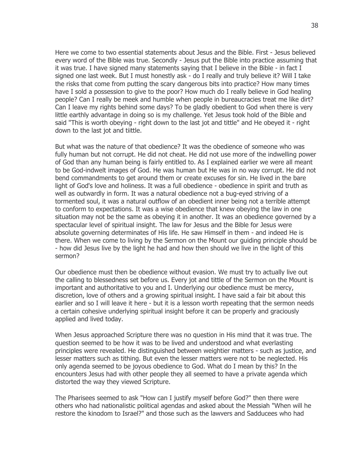Here we come to two essential statements about Jesus and the Bible. First - Jesus believed every word of the Bible was true. Secondly - Jesus put the Bible into practice assuming that it was true. I have signed many statements saying that I believe in the Bible - in fact I signed one last week. But I must honestly ask - do I really and truly believe it? Will I take the risks that come from putting the scary dangerous bits into practice? How many times have I sold a possession to give to the poor? How much do I really believe in God healing people? Can I really be meek and humble when people in bureaucracies treat me like dirt? Can I leave my rights behind some days? To be gladly obedient to God when there is very little earthly advantage in doing so is my challenge. Yet Jesus took hold of the Bible and said "This is worth obeying - right down to the last jot and tittle" and He obeyed it - right down to the last jot and tiittle.

But what was the nature of that obedience? It was the obedience of someone who was fully human but not corrupt. He did not cheat. He did not use more of the indwelling power of God than any human being is fairly entitled to. As I explained earlier we were all meant to be God-indwelt images of God. He was human but He was in no way corrupt. He did not bend commandments to get around them or create excuses for sin. He lived in the bare light of God's love and holiness. It was a full obedience - obedience in spirit and truth as well as outwardly in form. It was a natural obedience not a bug-eyed striving of a tormented soul, it was a natural outflow of an obedient inner being not a terrible attempt to conform to expectations. It was a wise obedience that knew obeying the law in one situation may not be the same as obeying it in another. It was an obedience governed by a spectacular level of spiritual insight. The law for Jesus and the Bible for Jesus were absolute governing determinates of His life. He saw Himself in them - and indeed He is there. When we come to living by the Sermon on the Mount our guiding principle should be - how did Jesus live by the light he had and how then should we live in the light of this sermon?

Our obedience must then be obedience without evasion. We must try to actually live out the calling to blessedness set before us. Every jot and tittle of the Sermon on the Mount is important and authoritative to you and I. Underlying our obedience must be mercy, discretion, love of others and a growing spiritual insight. I have said a fair bit about this earlier and so I will leave it here - but it is a lesson worth repeating that the sermon needs a certain cohesive underlying spiritual insight before it can be properly and graciously applied and lived today.

When Jesus approached Scripture there was no question in His mind that it was true. The question seemed to be how it was to be lived and understood and what everlasting principles were revealed. He distinguished between weightier matters - such as justice, and lesser matters such as tithing. But even the lesser matters were not to be neglected. His only agenda seemed to be joyous obedience to God. What do I mean by this? In the encounters Jesus had with other people they all seemed to have a private agenda which distorted the way they viewed Scripture.

The Pharisees seemed to ask "How can I justify myself before God?" then there were others who had nationalistic political agendas and asked about the Messiah "When will he restore the kingdom to Israel?" and those such as the lawyers and Sadducees who had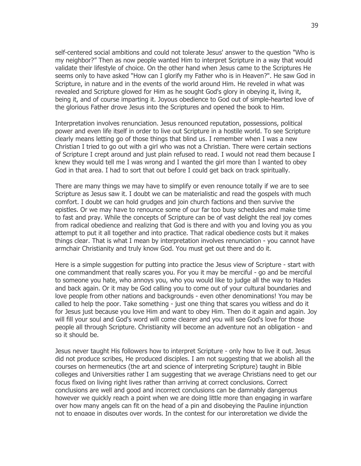self-centered social ambitions and could not tolerate Jesus' answer to the question "Who is my neighbor?" Then as now people wanted Him to interpret Scripture in a way that would validate their lifestyle of choice. On the other hand when Jesus came to the Scriptures He seems only to have asked "How can I glorify my Father who is in Heaven?". He saw God in Scripture, in nature and in the events of the world around Him. He reveled in what was revealed and Scripture glowed for Him as he sought God's glory in obeying it, living it, being it, and of course imparting it. Joyous obedience to God out of simple-hearted love of the glorious Father drove Jesus into the Scriptures and opened the book to Him.

Interpretation involves renunciation. Jesus renounced reputation, possessions, political power and even life itself in order to live out Scripture in a hostile world. To see Scripture clearly means letting go of those things that blind us. I remember when I was a new Christian I tried to go out with a girl who was not a Christian. There were certain sections of Scripture I crept around and just plain refused to read. I would not read them because I knew they would tell me I was wrong and I wanted the girl more than I wanted to obey God in that area. I had to sort that out before I could get back on track spiritually.

There are many things we may have to simplify or even renounce totally if we are to see Scripture as Jesus saw it. I doubt we can be materialistic and read the gospels with much comfort. I doubt we can hold grudges and join church factions and then survive the epistles. Or we may have to renounce some of our far too busy schedules and make time to fast and pray. While the concepts of Scripture can be of vast delight the real joy comes from radical obedience and realizing that God is there and with you and loving you as you attempt to put it all together and into practice. That radical obedience costs but it makes things clear. That is what I mean by interpretation involves renunciation - you cannot have armchair Christianity and truly know God. You must get out there and do it.

Here is a simple suggestion for putting into practice the Jesus view of Scripture - start with one commandment that really scares you. For you it may be merciful - go and be merciful to someone you hate, who annoys you, who you would like to judge all the way to Hades and back again. Or it may be God calling you to come out of your cultural boundaries and love people from other nations and backgrounds - even other denominations! You may be called to help the poor. Take something - just one thing that scares you witless and do it for Jesus just because you love Him and want to obey Him. Then do it again and again. Joy will fill your soul and God's word will come clearer and you will see God's love for those people all through Scripture. Christianity will become an adventure not an obligation - and so it should be.

Jesus never taught His followers how to interpret Scripture - only how to live it out. Jesus did not produce scribes, He produced disciples. I am not suggesting that we abolish all the courses on hermeneutics (the art and science of interpreting Scripture) taught in Bible colleges and Universities rather I am suggesting that we average Christians need to get our focus fixed on living right lives rather than arriving at correct conclusions. Correct conclusions are well and good and incorrect conclusions can be damnably dangerous however we quickly reach a point when we are doing little more than engaging in warfare over how many angels can fit on the head of a pin and disobeying the Pauline injunction not to engage in disputes over words. In the contest for our interpretation we divide the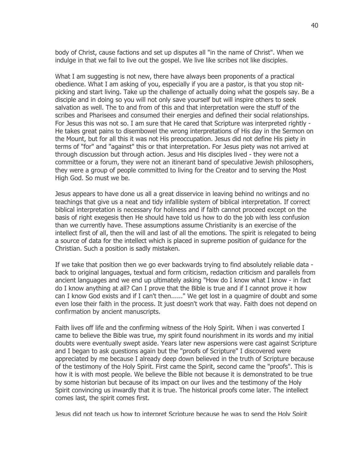body of Christ, cause factions and set up disputes all "in the name of Christ". When we indulge in that we fail to live out the gospel. We live like scribes not like disciples.

What I am suggesting is not new, there have always been proponents of a practical obedience. What I am asking of you, especially if you are a pastor, is that you stop nitpicking and start living. Take up the challenge of actually doing what the gospels say. Be a disciple and in doing so you will not only save yourself but will inspire others to seek salvation as well. The to and from of this and that interpretation were the stuff of the scribes and Pharisees and consumed their energies and defined their social relationships. For Jesus this was not so. I am sure that He cared that Scripture was interpreted rightly - He takes great pains to disembowel the wrong interpretations of His day in the Sermon on the Mount, but for all this it was not His preoccupation. Jesus did not define His piety in terms of "for" and "against" this or that interpretation. For Jesus piety was not arrived at through discussion but through action. Jesus and His disciples lived - they were not a committee or a forum, they were not an itinerant band of speculative Jewish philosophers, they were a group of people committed to living for the Creator and to serving the Most High God. So must we be.

Jesus appears to have done us all a great disservice in leaving behind no writings and no teachings that give us a neat and tidy infallible system of biblical interpretation. If correct biblical interpretation is necessary for holiness and if faith cannot proceed except on the basis of right exegesis then He should have told us how to do the job with less confusion than we currently have. These assumptions assume Christianity is an exercise of the intellect first of all, then the will and last of all the emotions. The spirit is relegated to being a source of data for the intellect which is placed in supreme position of guidance for the Christian. Such a position is sadly mistaken.

If we take that position then we go ever backwards trying to find absolutely reliable data back to original languages, textual and form criticism, redaction criticism and parallels from ancient languages and we end up ultimately asking "How do I know what I know - in fact do I know anything at all? Can I prove that the Bible is true and if I cannot prove it how can I know God exists and if I can't then......" We get lost in a quagmire of doubt and some even lose their faith in the process. It just doesn't work that way. Faith does not depend on confirmation by ancient manuscripts.

Faith lives off life and the confirming witness of the Holy Spirit. When i was converted I came to believe the Bible was true, my spirit found nourishment in its words and my initial doubts were eventually swept aside. Years later new aspersions were cast against Scripture and I began to ask questions again but the "proofs of Scripture" I discovered were appreciated by me because I already deep down believed in the truth of Scripture because of the testimony of the Holy Spirit. First came the Spirit, second came the "proofs". This is how it is with most people. We believe the Bible not because it is demonstrated to be true by some historian but because of its impact on our lives and the testimony of the Holy Spirit convincing us inwardly that it is true. The historical proofs come later. The intellect comes last, the spirit comes first.

Jesus did not teach us how to interpret Scripture because he was to send the Holy Spirit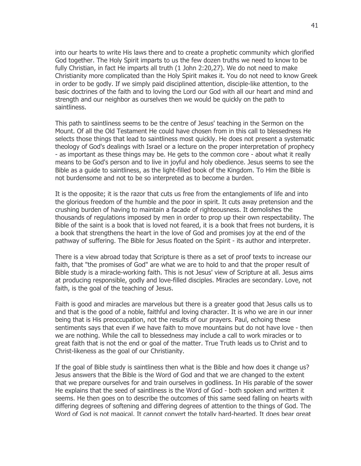into our hearts to write His laws there and to create a prophetic community which glorified God together. The Holy Spirit imparts to us the few dozen truths we need to know to be fully Christian, in fact He imparts all truth (1 John 2:20,27). We do not need to make Christianity more complicated than the Holy Spirit makes it. You do not need to know Greek in order to be godly. If we simply paid disciplined attention, disciple-like attention, to the basic doctrines of the faith and to loving the Lord our God with all our heart and mind and strength and our neighbor as ourselves then we would be quickly on the path to saintliness.

This path to saintliness seems to be the centre of Jesus' teaching in the Sermon on the Mount. Of all the Old Testament He could have chosen from in this call to blessedness He selects those things that lead to saintliness most quickly. He does not present a systematic theology of God's dealings with Israel or a lecture on the proper interpretation of prophecy - as important as these things may be. He gets to the common core - about what it really means to be God's person and to live in joyful and holy obedience. Jesus seems to see the Bible as a guide to saintliness, as the light-filled book of the Kingdom. To Him the Bible is not burdensome and not to be so interpreted as to become a burden.

It is the opposite; it is the razor that cuts us free from the entanglements of life and into the glorious freedom of the humble and the poor in spirit. It cuts away pretension and the crushing burden of having to maintain a facade of righteousness. It demolishes the thousands of regulations imposed by men in order to prop up their own respectability. The Bible of the saint is a book that is loved not feared, it is a book that frees not burdens, it is a book that strengthens the heart in the love of God and promises joy at the end of the pathway of suffering. The Bible for Jesus floated on the Spirit - its author and interpreter.

There is a view abroad today that Scripture is there as a set of proof texts to increase our faith, that "the promises of God" are what we are to hold to and that the proper result of Bible study is a miracle-working faith. This is not Jesus' view of Scripture at all. Jesus aims at producing responsible, godly and love-filled disciples. Miracles are secondary. Love, not faith, is the goal of the teaching of Jesus.

Faith is good and miracles are marvelous but there is a greater good that Jesus calls us to and that is the good of a noble, faithful and loving character. It is who we are in our inner being that is His preoccupation, not the results of our prayers. Paul, echoing these sentiments says that even if we have faith to move mountains but do not have love - then we are nothing. While the call to blessedness may include a call to work miracles or to great faith that is not the end or goal of the matter. True Truth leads us to Christ and to Christ-likeness as the goal of our Christianity.

If the goal of Bible study is saintliness then what is the Bible and how does it change us? Jesus answers that the Bible is the Word of God and that we are changed to the extent that we prepare ourselves for and train ourselves in godliness. In His parable of the sower He explains that the seed of saintliness is the Word of God - both spoken and written it seems. He then goes on to describe the outcomes of this same seed falling on hearts with differing degrees of softening and differing degrees of attention to the things of God. The Word of God is not magical. It cannot convert the totally hard-hearted. It does bear great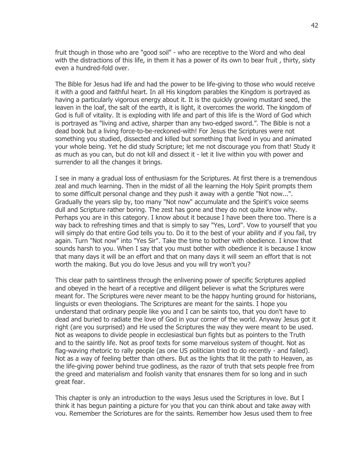fruit though in those who are "good soil" - who are receptive to the Word and who deal with the distractions of this life, in them it has a power of its own to bear fruit , thirty, sixty even a hundred-fold over.

The Bible for Jesus had life and had the power to be life-giving to those who would receive it with a good and faithful heart. In all His kingdom parables the Kingdom is portrayed as having a particularly vigorous energy about it. It is the quickly growing mustard seed, the leaven in the loaf, the salt of the earth, it is light, it overcomes the world. The kingdom of God is full of vitality. It is exploding with life and part of this life is the Word of God which is portrayed as "living and active, sharper than any two-edged sword.". The Bible is not a dead book but a living force-to-be-reckoned-with! For Jesus the Scriptures were not something you studied, dissected and killed but something that lived in you and animated your whole being. Yet he did study Scripture; let me not discourage you from that! Study it as much as you can, but do not kill and dissect it - let it live within you with power and surrender to all the changes it brings.

I see in many a gradual loss of enthusiasm for the Scriptures. At first there is a tremendous zeal and much learning. Then in the midst of all the learning the Holy Spirit prompts them to some difficult personal change and they push it away with a gentle "Not now...". Gradually the years slip by, too many "Not now" accumulate and the Spirit's voice seems dull and Scripture rather boring. The zest has gone and they do not quite know why. Perhaps you are in this category. I know about it because I have been there too. There is a way back to refreshing times and that is simply to say "Yes, Lord". Vow to yourself that you will simply do that entire God tells you to. Do it to the best of your ability and if you fail, try again. Turn "Not now" into "Yes Sir". Take the time to bother with obedience. I know that sounds harsh to you. When I say that you must bother with obedience it is because I know that many days it will be an effort and that on many days it will seem an effort that is not worth the making. But you do love Jesus and you will try won't you?

This clear path to saintliness through the enlivening power of specific Scriptures applied and obeyed in the heart of a receptive and diligent believer is what the Scriptures were meant for. The Scriptures were never meant to be the happy hunting ground for historians, linguists or even theologians. The Scriptures are meant for the saints. I hope you understand that ordinary people like you and I can be saints too, that you don't have to dead and buried to radiate the love of God in your corner of the world. Anyway Jesus got it right (are you surprised) and He used the Scriptures the way they were meant to be used. Not as weapons to divide people in ecclesiastical bun fights but as pointers to the Truth and to the saintly life. Not as proof texts for some marvelous system of thought. Not as flag-waving rhetoric to rally people (as one US politician tried to do recently - and failed). Not as a way of feeling better than others. But as the lights that lit the path to Heaven, as the life-giving power behind true godliness, as the razor of truth that sets people free from the greed and materialism and foolish vanity that ensnares them for so long and in such great fear.

This chapter is only an introduction to the ways Jesus used the Scriptures in love. But I think it has begun painting a picture for you that you can think about and take away with you. Remember the Scriptures are for the saints. Remember how Jesus used them to free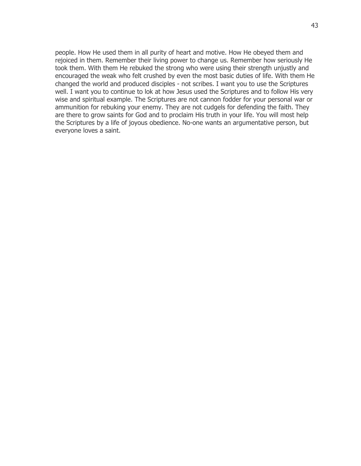people. How He used them in all purity of heart and motive. How He obeyed them and rejoiced in them. Remember their living power to change us. Remember how seriously He took them. With them He rebuked the strong who were using their strength unjustly and encouraged the weak who felt crushed by even the most basic duties of life. With them He changed the world and produced disciples - not scribes. I want you to use the Scriptures well. I want you to continue to lok at how Jesus used the Scriptures and to follow His very wise and spiritual example. The Scriptures are not cannon fodder for your personal war or ammunition for rebuking your enemy. They are not cudgels for defending the faith. They are there to grow saints for God and to proclaim His truth in your life. You will most help the Scriptures by a life of joyous obedience. No-one wants an argumentative person, but everyone loves a saint.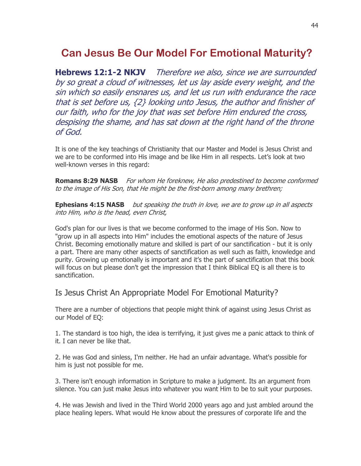## Can Jesus Be Our Model For Emotional Maturity?

Hebrews 12:1-2 NKJV Therefore we also, since we are surrounded by so great a cloud of witnesses, let us lay aside every weight, and the sin which so easily ensnares us, and let us run with endurance the race that is set before us, {2} looking unto Jesus, the author and finisher of our faith, who for the joy that was set before Him endured the cross, despising the shame, and has sat down at the right hand of the throne of God.

It is one of the key teachings of Christianity that our Master and Model is Jesus Christ and we are to be conformed into His image and be like Him in all respects. Let's look at two well-known verses in this regard:

Romans 8:29 NASB For whom He foreknew, He also predestined to become conformed to the image of His Son, that He might be the first-born among many brethren;

**Ephesians 4:15 NASB** but speaking the truth in love, we are to grow up in all aspects into Him, who is the head, even Christ,

God's plan for our lives is that we become conformed to the image of His Son. Now to "grow up in all aspects into Him" includes the emotional aspects of the nature of Jesus Christ. Becoming emotionally mature and skilled is part of our sanctification - but it is only a part. There are many other aspects of sanctification as well such as faith, knowledge and purity. Growing up emotionally is important and it's the part of sanctification that this book will focus on but please don't get the impression that I think Biblical EQ is all there is to sanctification.

Is Jesus Christ An Appropriate Model For Emotional Maturity?

There are a number of objections that people might think of against using Jesus Christ as our Model of EQ:

1. The standard is too high, the idea is terrifying, it just gives me a panic attack to think of it. I can never be like that.

2. He was God and sinless, I'm neither. He had an unfair advantage. What's possible for him is just not possible for me.

3. There isn't enough information in Scripture to make a judgment. Its an argument from silence. You can just make Jesus into whatever you want Him to be to suit your purposes.

4. He was Jewish and lived in the Third World 2000 years ago and just ambled around the place healing lepers. What would He know about the pressures of corporate life and the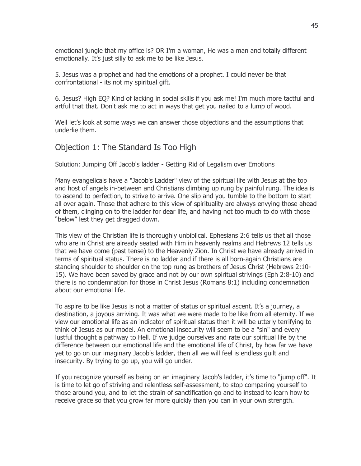emotional jungle that my office is? OR I'm a woman, He was a man and totally different emotionally. It's just silly to ask me to be like Jesus.

5. Jesus was a prophet and had the emotions of a prophet. I could never be that confrontational - its not my spiritual gift.

6. Jesus? High EQ? Kind of lacking in social skills if you ask me! I'm much more tactful and artful that that. Don't ask me to act in ways that get you nailed to a lump of wood.

Well let's look at some ways we can answer those objections and the assumptions that underlie them.

## Objection 1: The Standard Is Too High

Solution: Jumping Off Jacob's ladder - Getting Rid of Legalism over Emotions

Many evangelicals have a "Jacob's Ladder" view of the spiritual life with Jesus at the top and host of angels in-between and Christians climbing up rung by painful rung. The idea is to ascend to perfection, to strive to arrive. One slip and you tumble to the bottom to start all over again. Those that adhere to this view of spirituality are always envying those ahead of them, clinging on to the ladder for dear life, and having not too much to do with those "below" lest they get dragged down.

This view of the Christian life is thoroughly unbiblical. Ephesians 2:6 tells us that all those who are in Christ are already seated with Him in heavenly realms and Hebrews 12 tells us that we have come (past tense) to the Heavenly Zion. In Christ we have already arrived in terms of spiritual status. There is no ladder and if there is all born-again Christians are standing shoulder to shoulder on the top rung as brothers of Jesus Christ (Hebrews 2:10- 15). We have been saved by grace and not by our own spiritual strivings (Eph 2:8-10) and there is no condemnation for those in Christ Jesus (Romans 8:1) including condemnation about our emotional life.

To aspire to be like Jesus is not a matter of status or spiritual ascent. It's a journey, a destination, a joyous arriving. It was what we were made to be like from all eternity. If we view our emotional life as an indicator of spiritual status then it will be utterly terrifying to think of Jesus as our model. An emotional insecurity will seem to be a "sin" and every lustful thought a pathway to Hell. If we judge ourselves and rate our spiritual life by the difference between our emotional life and the emotional life of Christ, by how far we have yet to go on our imaginary Jacob's ladder, then all we will feel is endless guilt and insecurity. By trying to go up, you will go under.

If you recognize yourself as being on an imaginary Jacob's ladder, it's time to "jump off". It is time to let go of striving and relentless self-assessment, to stop comparing yourself to those around you, and to let the strain of sanctification go and to instead to learn how to receive grace so that you grow far more quickly than you can in your own strength.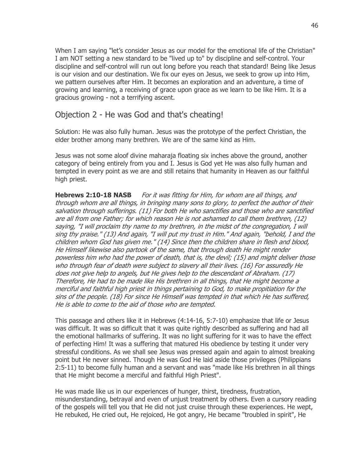When I am saying "let's consider Jesus as our model for the emotional life of the Christian" I am NOT setting a new standard to be "lived up to" by discipline and self-control. Your discipline and self-control will run out long before you reach that standard! Being like Jesus is our vision and our destination. We fix our eyes on Jesus, we seek to grow up into Him, we pattern ourselves after Him. It becomes an exploration and an adventure, a time of growing and learning, a receiving of grace upon grace as we learn to be like Him. It is a gracious growing - not a terrifying ascent.

Objection 2 - He was God and that's cheating!

Solution: He was also fully human. Jesus was the prototype of the perfect Christian, the elder brother among many brethren. We are of the same kind as Him.

Jesus was not some aloof divine maharaja floating six inches above the ground, another category of being entirely from you and I. Jesus is God yet He was also fully human and tempted in every point as we are and still retains that humanity in Heaven as our faithful high priest.

**Hebrews 2:10-18 NASB** For it was fitting for Him, for whom are all things, and through whom are all things, in bringing many sons to glory, to perfect the author of their salvation through sufferings. (11) For both He who sanctifies and those who are sanctified are all from one Father; for which reason He is not ashamed to call them brethren, (12) saying, "I will proclaim thy name to my brethren, in the midst of the congregation, I will sing thy praise." (13) And again, "I will put my trust in Him." And again, "behold, I and the children whom God has given me." (14) Since then the children share in flesh and blood, He Himself likewise also partook of the same, that through death He might render powerless him who had the power of death, that is, the devil; (15) and might deliver those who through fear of death were subject to slavery all their lives. (16) For assuredly He does not give help to angels, but He gives help to the descendant of Abraham. (17) Therefore, He had to be made like His brethren in all things, that He might become a merciful and faithful high priest in things pertaining to God, to make propitiation for the sins of the people. (18) For since He Himself was tempted in that which He has suffered, He is able to come to the aid of those who are tempted.

This passage and others like it in Hebrews (4:14-16, 5:7-10) emphasize that life or Jesus was difficult. It was so difficult that it was quite rightly described as suffering and had all the emotional hallmarks of suffering. It was no light suffering for it was to have the effect of perfecting Him! It was a suffering that matured His obedience by testing it under very stressful conditions. As we shall see Jesus was pressed again and again to almost breaking point but He never sinned. Though He was God He laid aside those privileges (Philippians 2:5-11) to become fully human and a servant and was "made like His brethren in all things that He might become a merciful and faithful High Priest".

He was made like us in our experiences of hunger, thirst, tiredness, frustration, misunderstanding, betrayal and even of unjust treatment by others. Even a cursory reading of the gospels will tell you that He did not just cruise through these experiences. He wept, He rebuked, He cried out, He rejoiced, He got angry, He became "troubled in spirit", He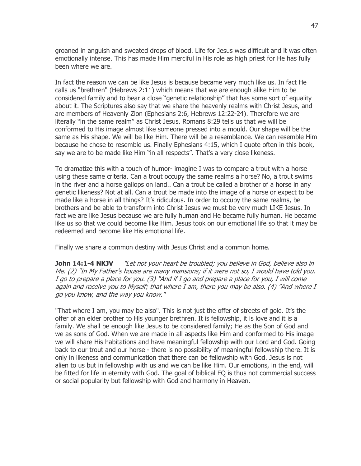groaned in anguish and sweated drops of blood. Life for Jesus was difficult and it was often emotionally intense. This has made Him merciful in His role as high priest for He has fully been where we are.

In fact the reason we can be like Jesus is because became very much like us. In fact He calls us "brethren" (Hebrews 2:11) which means that we are enough alike Him to be considered family and to bear a close "genetic relationship" that has some sort of equality about it. The Scriptures also say that we share the heavenly realms with Christ Jesus, and are members of Heavenly Zion (Ephesians 2:6, Hebrews 12:22-24). Therefore we are literally "in the same realm" as Christ Jesus. Romans 8:29 tells us that we will be conformed to His image almost like someone pressed into a mould. Our shape will be the same as His shape. We will be like Him. There will be a resemblance. We can resemble Him because he chose to resemble us. Finally Ephesians 4:15, which I quote often in this book, say we are to be made like Him "in all respects". That's a very close likeness.

To dramatize this with a touch of humor- imagine I was to compare a trout with a horse using these same criteria. Can a trout occupy the same realms a horse? No, a trout swims in the river and a horse gallops on land.. Can a trout be called a brother of a horse in any genetic likeness? Not at all. Can a trout be made into the image of a horse or expect to be made like a horse in all things? It's ridiculous. In order to occupy the same realms, be brothers and be able to transform into Christ Jesus we must be very much LIKE Jesus. In fact we are like Jesus because we are fully human and He became fully human. He became like us so that we could become like Him. Jesus took on our emotional life so that it may be redeemed and become like His emotional life.

Finally we share a common destiny with Jesus Christ and a common home.

**John 14:1-4 NKJV** "Let not your heart be troubled; you believe in God, believe also in Me. (2) "In My Father's house are many mansions; if it were not so, I would have told you. I go to prepare a place for you. (3) "And if I go and prepare a place for you, I will come again and receive you to Myself; that where I am, there you may be also. (4) "And where I go you know, and the way you know."

"That where I am, you may be also". This is not just the offer of streets of gold. It's the offer of an elder brother to His younger brethren. It is fellowship, it is love and it is a family. We shall be enough like Jesus to be considered family; He as the Son of God and we as sons of God. When we are made in all aspects like Him and conformed to His image we will share His habitations and have meaningful fellowship with our Lord and God. Going back to our trout and our horse - there is no possibility of meaningful fellowship there. It is only in likeness and communication that there can be fellowship with God. Jesus is not alien to us but in fellowship with us and we can be like Him. Our emotions, in the end, will be fitted for life in eternity with God. The goal of biblical EQ is thus not commercial success or social popularity but fellowship with God and harmony in Heaven.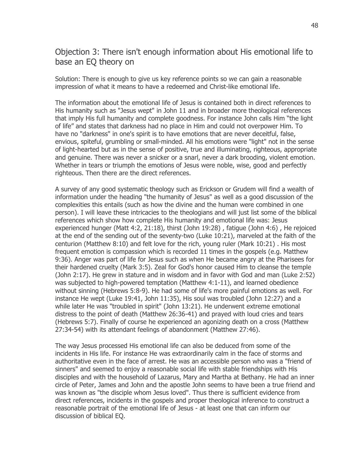## Objection 3: There isn't enough information about His emotional life to base an EQ theory on

Solution: There is enough to give us key reference points so we can gain a reasonable impression of what it means to have a redeemed and Christ-like emotional life.

The information about the emotional life of Jesus is contained both in direct references to His humanity such as "Jesus wept" in John 11 and in broader more theological references that imply His full humanity and complete goodness. For instance John calls Him "the light of life" and states that darkness had no place in Him and could not overpower Him. To have no "darkness" in one's spirit is to have emotions that are never deceitful, false, envious, spiteful, grumbling or small-minded. All his emotions were "light" not in the sense of light-hearted but as in the sense of positive, true and illuminating, righteous, appropriate and genuine. There was never a snicker or a snarl, never a dark brooding, violent emotion. Whether in tears or triumph the emotions of Jesus were noble, wise, good and perfectly righteous. Then there are the direct references.

A survey of any good systematic theology such as Erickson or Grudem will find a wealth of information under the heading "the humanity of Jesus" as well as a good discussion of the complexities this entails (such as how the divine and the human were combined in one person). I will leave these intricacies to the theologians and will just list some of the biblical references which show how complete His humanity and emotional life was: Jesus experienced hunger (Matt 4:2, 21:18), thirst (John 19:28) , fatigue (John 4:6) , He rejoiced at the end of the sending out of the seventy-two (Luke 10:21), marveled at the faith of the centurion (Matthew 8:10) and felt love for the rich, young ruler (Mark 10:21) . His most frequent emotion is compassion which is recorded 11 times in the gospels (e.g. Matthew 9:36). Anger was part of life for Jesus such as when He became angry at the Pharisees for their hardened cruelty (Mark 3:5). Zeal for God's honor caused Him to cleanse the temple (John 2:17). He grew in stature and in wisdom and in favor with God and man (Luke 2:52) was subjected to high-powered temptation (Matthew 4:1-11), and learned obedience without sinning (Hebrews 5:8-9). He had some of life's more painful emotions as well. For instance He wept (Luke 19:41, John 11:35), His soul was troubled (John 12:27) and a while later He was "troubled in spirit" (John 13:21). He underwent extreme emotional distress to the point of death (Matthew 26:36-41) and prayed with loud cries and tears (Hebrews 5:7). Finally of course he experienced an agonizing death on a cross (Matthew 27:34-54) with its attendant feelings of abandonment (Matthew 27:46).

The way Jesus processed His emotional life can also be deduced from some of the incidents in His life. For instance He was extraordinarily calm in the face of storms and authoritative even in the face of arrest. He was an accessible person who was a "friend of sinners" and seemed to enjoy a reasonable social life with stable friendships with His disciples and with the household of Lazarus, Mary and Martha at Bethany. He had an inner circle of Peter, James and John and the apostle John seems to have been a true friend and was known as "the disciple whom Jesus loved". Thus there is sufficient evidence from direct references, incidents in the gospels and proper theological inference to construct a reasonable portrait of the emotional life of Jesus - at least one that can inform our discussion of biblical EQ.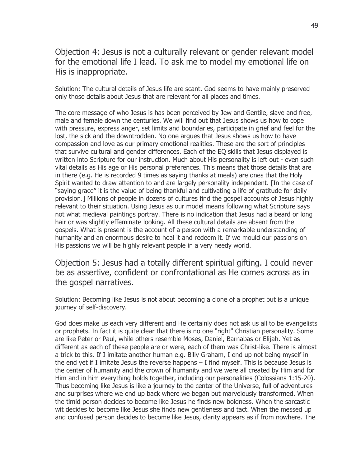Objection 4: Jesus is not a culturally relevant or gender relevant model for the emotional life I lead. To ask me to model my emotional life on His is inappropriate.

Solution: The cultural details of Jesus life are scant. God seems to have mainly preserved only those details about Jesus that are relevant for all places and times.

The core message of who Jesus is has been perceived by Jew and Gentile, slave and free, male and female down the centuries. We will find out that Jesus shows us how to cope with pressure, express anger, set limits and boundaries, participate in grief and feel for the lost, the sick and the downtrodden. No one argues that Jesus shows us how to have compassion and love as our primary emotional realities. These are the sort of principles that survive cultural and gender differences. Each of the EQ skills that Jesus displayed is written into Scripture for our instruction. Much about His personality is left out - even such vital details as His age or His personal preferences. This means that those details that are in there (e.g. He is recorded 9 times as saying thanks at meals) are ones that the Holy Spirit wanted to draw attention to and are largely personality independent. [In the case of "saying grace" it is the value of being thankful and cultivating a life of gratitude for daily provision.] Millions of people in dozens of cultures find the gospel accounts of Jesus highly relevant to their situation. Using Jesus as our model means following what Scripture says not what medieval paintings portray. There is no indication that Jesus had a beard or long hair or was slightly effeminate looking. All these cultural details are absent from the gospels. What is present is the account of a person with a remarkable understanding of humanity and an enormous desire to heal it and redeem it. If we mould our passions on His passions we will be highly relevant people in a very needy world.

Objection 5: Jesus had a totally different spiritual gifting. I could never be as assertive, confident or confrontational as He comes across as in the gospel narratives.

Solution: Becoming like Jesus is not about becoming a clone of a prophet but is a unique journey of self-discovery.

God does make us each very different and He certainly does not ask us all to be evangelists or prophets. In fact it is quite clear that there is no one "right" Christian personality. Some are like Peter or Paul, while others resemble Moses, Daniel, Barnabas or Elijah. Yet as different as each of these people are or were, each of them was Christ-like. There is almost a trick to this. If I imitate another human e.g. Billy Graham, I end up not being myself in the end yet if I imitate Jesus the reverse happens  $-$  I find myself. This is because Jesus is the center of humanity and the crown of humanity and we were all created by Him and for Him and in him everything holds together, including our personalities (Colossians 1:15-20). Thus becoming like Jesus is like a journey to the center of the Universe, full of adventures and surprises where we end up back where we began but marvelously transformed. When the timid person decides to become like Jesus he finds new boldness. When the sarcastic wit decides to become like Jesus she finds new gentleness and tact. When the messed up and confused person decides to become like Jesus, clarity appears as if from nowhere. The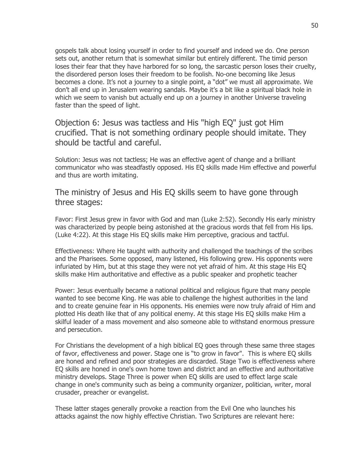gospels talk about losing yourself in order to find yourself and indeed we do. One person sets out, another return that is somewhat similar but entirely different. The timid person loses their fear that they have harbored for so long, the sarcastic person loses their cruelty, the disordered person loses their freedom to be foolish. No-one becoming like Jesus becomes a clone. It's not a journey to a single point, a "dot" we must all approximate. We don't all end up in Jerusalem wearing sandals. Maybe it's a bit like a spiritual black hole in which we seem to vanish but actually end up on a journey in another Universe traveling faster than the speed of light.

Objection 6: Jesus was tactless and His "high EQ" just got Him crucified. That is not something ordinary people should imitate. They should be tactful and careful.

Solution: Jesus was not tactless; He was an effective agent of change and a brilliant communicator who was steadfastly opposed. His EQ skills made Him effective and powerful and thus are worth imitating.

The ministry of Jesus and His EQ skills seem to have gone through three stages:

Favor: First Jesus grew in favor with God and man (Luke 2:52). Secondly His early ministry was characterized by people being astonished at the gracious words that fell from His lips. (Luke 4:22). At this stage His EQ skills make Him perceptive, gracious and tactful.

Effectiveness: Where He taught with authority and challenged the teachings of the scribes and the Pharisees. Some opposed, many listened, His following grew. His opponents were infuriated by Him, but at this stage they were not yet afraid of him. At this stage His EQ skills make Him authoritative and effective as a public speaker and prophetic teacher

Power: Jesus eventually became a national political and religious figure that many people wanted to see become King. He was able to challenge the highest authorities in the land and to create genuine fear in His opponents. His enemies were now truly afraid of Him and plotted His death like that of any political enemy. At this stage His EQ skills make Him a skilful leader of a mass movement and also someone able to withstand enormous pressure and persecution.

For Christians the development of a high biblical EQ goes through these same three stages of favor, effectiveness and power. Stage one is "to grow in favor". This is where EQ skills are honed and refined and poor strategies are discarded. Stage Two is effectiveness where EQ skills are honed in one's own home town and district and an effective and authoritative ministry develops. Stage Three is power when EQ skills are used to effect large scale change in one's community such as being a community organizer, politician, writer, moral crusader, preacher or evangelist.

These latter stages generally provoke a reaction from the Evil One who launches his attacks against the now highly effective Christian. Two Scriptures are relevant here: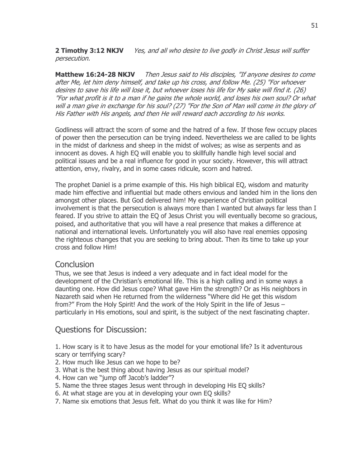**2 Timothy 3:12 NKJV** Yes, and all who desire to live godly in Christ Jesus will suffer persecution.

Matthew 16:24-28 NKJV Then Jesus said to His disciples, "If anyone desires to come after Me, let him deny himself, and take up his cross, and follow Me. (25) "For whoever desires to save his life will lose it, but whoever loses his life for My sake will find it. (26) "For what profit is it to a man if he gains the whole world, and loses his own soul? Or what will a man give in exchange for his soul? (27) "For the Son of Man will come in the glory of His Father with His angels, and then He will reward each according to his works.

Godliness will attract the scorn of some and the hatred of a few. If those few occupy places of power then the persecution can be trying indeed. Nevertheless we are called to be lights in the midst of darkness and sheep in the midst of wolves; as wise as serpents and as innocent as doves. A high EQ will enable you to skillfully handle high level social and political issues and be a real influence for good in your society. However, this will attract attention, envy, rivalry, and in some cases ridicule, scorn and hatred.

The prophet Daniel is a prime example of this. His high biblical EQ, wisdom and maturity made him effective and influential but made others envious and landed him in the lions den amongst other places. But God delivered him! My experience of Christian political involvement is that the persecution is always more than I wanted but always far less than I feared. If you strive to attain the EQ of Jesus Christ you will eventually become so gracious, poised, and authoritative that you will have a real presence that makes a difference at national and international levels. Unfortunately you will also have real enemies opposing the righteous changes that you are seeking to bring about. Then its time to take up your cross and follow Him!

#### **Conclusion**

Thus, we see that Jesus is indeed a very adequate and in fact ideal model for the development of the Christian's emotional life. This is a high calling and in some ways a daunting one. How did Jesus cope? What gave Him the strength? Or as His neighbors in Nazareth said when He returned from the wilderness "Where did He get this wisdom from?" From the Holy Spirit! And the work of the Holy Spirit in the life of Jesus – particularly in His emotions, soul and spirit, is the subject of the next fascinating chapter.

## Questions for Discussion:

1. How scary is it to have Jesus as the model for your emotional life? Is it adventurous scary or terrifying scary?

- 2. How much like Jesus can we hope to be?
- 3. What is the best thing about having Jesus as our spiritual model?
- 4. How can we "jump off Jacob's ladder"?
- 5. Name the three stages Jesus went through in developing His EQ skills?
- 6. At what stage are you at in developing your own EQ skills?
- 7. Name six emotions that Jesus felt. What do you think it was like for Him?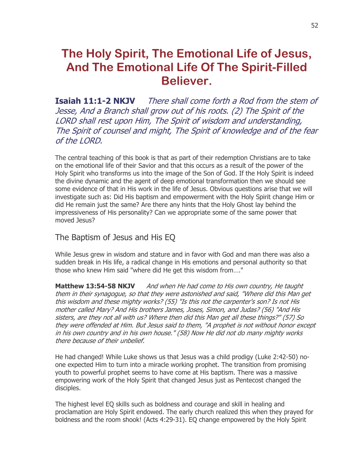# The Holy Spirit, The Emotional Life of Jesus, And The Emotional Life Of The Spirit-Filled Believer.

Isaiah 11:1-2 NKJV There shall come forth a Rod from the stem of Jesse, And a Branch shall grow out of his roots. (2) The Spirit of the LORD shall rest upon Him, The Spirit of wisdom and understanding, The Spirit of counsel and might, The Spirit of knowledge and of the fear of the LORD.

The central teaching of this book is that as part of their redemption Christians are to take on the emotional life of their Savior and that this occurs as a result of the power of the Holy Spirit who transforms us into the image of the Son of God. If the Holy Spirit is indeed the divine dynamic and the agent of deep emotional transformation then we should see some evidence of that in His work in the life of Jesus. Obvious questions arise that we will investigate such as: Did His baptism and empowerment with the Holy Spirit change Him or did He remain just the same? Are there any hints that the Holy Ghost lay behind the impressiveness of His personality? Can we appropriate some of the same power that moved Jesus?

## The Baptism of Jesus and His EQ

While Jesus grew in wisdom and stature and in favor with God and man there was also a sudden break in His life, a radical change in His emotions and personal authority so that those who knew Him said "where did He get this wisdom from…."

Matthew 13:54-58 NKJV And when He had come to His own country, He taught them in their synagogue, so that they were astonished and said, "Where did this Man get this wisdom and these mighty works? (55) "Is this not the carpenter's son? Is not His mother called Mary? And His brothers James, Joses, Simon, and Judas? (56) "And His sisters, are they not all with us? Where then did this Man get all these things?" (57) So they were offended at Him. But Jesus said to them, "A prophet is not without honor except in his own country and in his own house." (58) Now He did not do many mighty works there because of their unbelief.

He had changed! While Luke shows us that Jesus was a child prodigy (Luke 2:42-50) noone expected Him to turn into a miracle working prophet. The transition from promising youth to powerful prophet seems to have come at His baptism. There was a massive empowering work of the Holy Spirit that changed Jesus just as Pentecost changed the disciples.

The highest level EQ skills such as boldness and courage and skill in healing and proclamation are Holy Spirit endowed. The early church realized this when they prayed for boldness and the room shook! (Acts 4:29-31). EQ change empowered by the Holy Spirit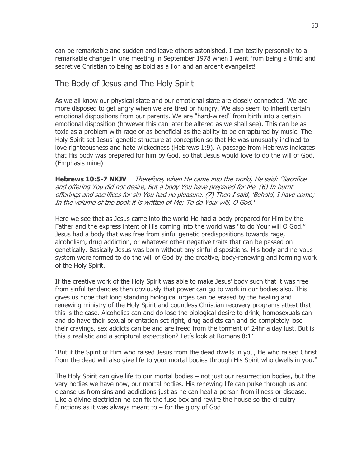can be remarkable and sudden and leave others astonished. I can testify personally to a remarkable change in one meeting in September 1978 when I went from being a timid and secretive Christian to being as bold as a lion and an ardent evangelist!

## The Body of Jesus and The Holy Spirit

As we all know our physical state and our emotional state are closely connected. We are more disposed to get angry when we are tired or hungry. We also seem to inherit certain emotional dispositions from our parents. We are "hard-wired" from birth into a certain emotional disposition (however this can later be altered as we shall see). This can be as toxic as a problem with rage or as beneficial as the ability to be enraptured by music. The Holy Spirit set Jesus' genetic structure at conception so that He was unusually inclined to love righteousness and hate wickedness (Hebrews 1:9). A passage from Hebrews indicates that His body was prepared for him by God, so that Jesus would love to do the will of God. (Emphasis mine)

Hebrews 10:5-7 NKJV Therefore, when He came into the world, He said: "Sacrifice and offering You did not desire, But a body You have prepared for Me. (6) In burnt offerings and sacrifices for sin You had no pleasure. (7) Then I said, 'Behold, I have come; In the volume of the book it is written of Me; To do Your will, O God.'"

Here we see that as Jesus came into the world He had a body prepared for Him by the Father and the express intent of His coming into the world was "to do Your will O God." Jesus had a body that was free from sinful genetic predispositions towards rage, alcoholism, drug addiction, or whatever other negative traits that can be passed on genetically. Basically Jesus was born without any sinful dispositions. His body and nervous system were formed to do the will of God by the creative, body-renewing and forming work of the Holy Spirit.

If the creative work of the Holy Spirit was able to make Jesus' body such that it was free from sinful tendencies then obviously that power can go to work in our bodies also. This gives us hope that long standing biological urges can be erased by the healing and renewing ministry of the Holy Spirit and countless Christian recovery programs attest that this is the case. Alcoholics can and do lose the biological desire to drink, homosexuals can and do have their sexual orientation set right, drug addicts can and do completely lose their cravings, sex addicts can be and are freed from the torment of 24hr a day lust. But is this a realistic and a scriptural expectation? Let's look at Romans 8:11

"But if the Spirit of Him who raised Jesus from the dead dwells in you, He who raised Christ from the dead will also give life to your mortal bodies through His Spirit who dwells in you."

The Holy Spirit can give life to our mortal bodies – not just our resurrection bodies, but the very bodies we have now, our mortal bodies. His renewing life can pulse through us and cleanse us from sins and addictions just as he can heal a person from illness or disease. Like a divine electrician he can fix the fuse box and rewire the house so the circuitry functions as it was always meant to  $-$  for the glory of God.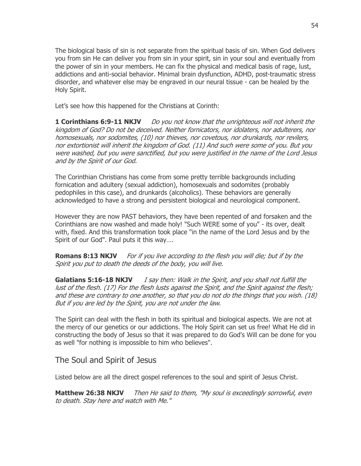The biological basis of sin is not separate from the spiritual basis of sin. When God delivers you from sin He can deliver you from sin in your spirit, sin in your soul and eventually from the power of sin in your members. He can fix the physical and medical basis of rage, lust, addictions and anti-social behavior. Minimal brain dysfunction, ADHD, post-traumatic stress disorder, and whatever else may be engraved in our neural tissue - can be healed by the Holy Spirit.

Let's see how this happened for the Christians at Corinth:

**1 Corinthians 6:9-11 NKJV** Do you not know that the unrighteous will not inherit the kingdom of God? Do not be deceived. Neither fornicators, nor idolaters, nor adulterers, nor homosexuals, nor sodomites, (10) nor thieves, nor covetous, nor drunkards, nor revilers, nor extortionist will inherit the kingdom of God. (11) And such were some of you. But you were washed, but you were sanctified, but you were justified in the name of the Lord Jesus and by the Spirit of our God.

The Corinthian Christians has come from some pretty terrible backgrounds including fornication and adultery (sexual addiction), homosexuals and sodomites (probably pedophiles in this case), and drunkards (alcoholics). These behaviors are generally acknowledged to have a strong and persistent biological and neurological component.

However they are now PAST behaviors, they have been repented of and forsaken and the Corinthians are now washed and made holy! "Such WERE some of you" - its over, dealt with, fixed. And this transformation took place "in the name of the Lord Jesus and by the Spirit of our God". Paul puts it this way….

Romans 8:13 NKJV For if you live according to the flesh you will die; but if by the Spirit you put to death the deeds of the body, you will live.

Galatians 5:16-18 NKJV I say then: Walk in the Spirit, and you shall not fulfill the lust of the flesh. (17) For the flesh lusts against the Spirit, and the Spirit against the flesh; and these are contrary to one another, so that you do not do the things that you wish. (18) But if you are led by the Spirit, you are not under the law.

The Spirit can deal with the flesh in both its spiritual and biological aspects. We are not at the mercy of our genetics or our addictions. The Holy Spirit can set us free! What He did in constructing the body of Jesus so that it was prepared to do God's Will can be done for you as well "for nothing is impossible to him who believes".

#### The Soul and Spirit of Jesus

Listed below are all the direct gospel references to the soul and spirit of Jesus Christ.

**Matthew 26:38 NKJV** Then He said to them, "My soul is exceedingly sorrowful, even to death. Stay here and watch with Me."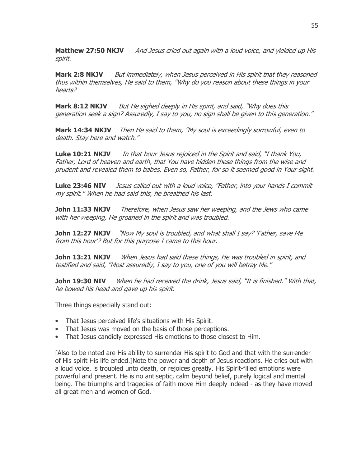Matthew 27:50 NKJV And Jesus cried out again with a loud voice, and yielded up His spirit.

Mark 2:8 NKJV But immediately, when Jesus perceived in His spirit that they reasoned thus within themselves, He said to them, "Why do you reason about these things in your hearts?

Mark 8:12 NKJV But He sighed deeply in His spirit, and said, "Why does this generation seek a sign? Assuredly, I say to you, no sign shall be given to this generation."

Mark 14:34 NKJV Then He said to them, "My soul is exceedingly sorrowful, even to death. Stay here and watch."

**Luke 10:21 NKJV** In that hour Jesus rejoiced in the Spirit and said, "I thank You, Father, Lord of heaven and earth, that You have hidden these things from the wise and prudent and revealed them to babes. Even so, Father, for so it seemed good in Your sight.

Luke 23:46 NIV *Jesus called out with a loud voice, "Father, into your hands I commit* my spirit." When he had said this, he breathed his last.

**John 11:33 NKJV** Therefore, when Jesus saw her weeping, and the Jews who came with her weeping. He groaned in the spirit and was troubled.

John 12:27 NKJV "Now My soul is troubled, and what shall I say? 'Father, save Me from this hour'? But for this purpose I came to this hour.

**John 13:21 NKJV** When Jesus had said these things, He was troubled in spirit, and testified and said, "Most assuredly, I say to you, one of you will betray Me."

John 19:30 NIV When he had received the drink, Jesus said, "It is finished." With that, he bowed his head and gave up his spirit.

Three things especially stand out:

- That Jesus perceived life's situations with His Spirit.
- That Jesus was moved on the basis of those perceptions.
- That Jesus candidly expressed His emotions to those closest to Him.

[Also to be noted are His ability to surrender His spirit to God and that with the surrender of His spirit His life ended.]Note the power and depth of Jesus reactions. He cries out with a loud voice, is troubled unto death, or rejoices greatly. His Spirit-filled emotions were powerful and present. He is no antiseptic, calm beyond belief, purely logical and mental being. The triumphs and tragedies of faith move Him deeply indeed - as they have moved all great men and women of God.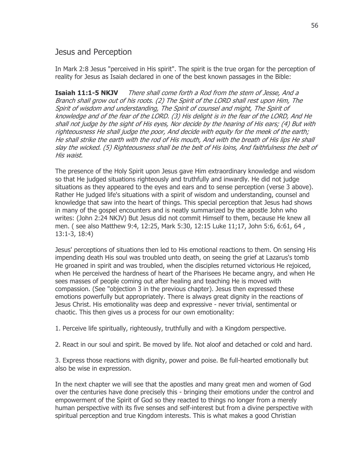#### Jesus and Perception

In Mark 2:8 Jesus "perceived in His spirit". The spirit is the true organ for the perception of reality for Jesus as Isaiah declared in one of the best known passages in the Bible:

**Isaiah 11:1-5 NKJV** There shall come forth a Rod from the stem of Jesse, And a Branch shall grow out of his roots. (2) The Spirit of the LORD shall rest upon Him, The Spirit of wisdom and understanding, The Spirit of counsel and might, The Spirit of knowledge and of the fear of the LORD. (3) His delight is in the fear of the LORD, And He shall not judge by the sight of His eyes, Nor decide by the hearing of His ears; (4) But with righteousness He shall judge the poor, And decide with equity for the meek of the earth; He shall strike the earth with the rod of His mouth, And with the breath of His lips He shall slay the wicked. (5) Righteousness shall be the belt of His loins, And faithfulness the belt of His waist.

The presence of the Holy Spirit upon Jesus gave Him extraordinary knowledge and wisdom so that He judged situations righteously and truthfully and inwardly. He did not judge situations as they appeared to the eyes and ears and to sense perception (verse 3 above). Rather He judged life's situations with a spirit of wisdom and understanding, counsel and knowledge that saw into the heart of things. This special perception that Jesus had shows in many of the gospel encounters and is neatly summarized by the apostle John who writes: (John 2:24 NKJV) But Jesus did not commit Himself to them, because He knew all men. ( see also Matthew 9:4, 12:25, Mark 5:30, 12:15 Luke 11;17, John 5:6, 6:61, 64 , 13:1-3, 18:4)

Jesus' perceptions of situations then led to His emotional reactions to them. On sensing His impending death His soul was troubled unto death, on seeing the grief at Lazarus's tomb He groaned in spirit and was troubled, when the disciples returned victorious He rejoiced, when He perceived the hardness of heart of the Pharisees He became angry, and when He sees masses of people coming out after healing and teaching He is moved with compassion. (See "objection 3 in the previous chapter). Jesus then expressed these emotions powerfully but appropriately. There is always great dignity in the reactions of Jesus Christ. His emotionality was deep and expressive - never trivial, sentimental or chaotic. This then gives us a process for our own emotionality:

1. Perceive life spiritually, righteously, truthfully and with a Kingdom perspective.

2. React in our soul and spirit. Be moved by life. Not aloof and detached or cold and hard.

3. Express those reactions with dignity, power and poise. Be full-hearted emotionally but also be wise in expression.

In the next chapter we will see that the apostles and many great men and women of God over the centuries have done precisely this - bringing their emotions under the control and empowerment of the Spirit of God so they reacted to things no longer from a merely human perspective with its five senses and self-interest but from a divine perspective with spiritual perception and true Kingdom interests. This is what makes a good Christian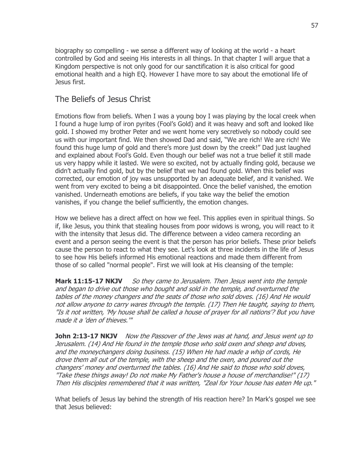biography so compelling - we sense a different way of looking at the world - a heart controlled by God and seeing His interests in all things. In that chapter I will argue that a Kingdom perspective is not only good for our sanctification it is also critical for good emotional health and a high EQ. However I have more to say about the emotional life of Jesus first.

#### The Beliefs of Jesus Christ

Emotions flow from beliefs. When I was a young boy I was playing by the local creek when I found a huge lump of iron pyrites (Fool's Gold) and it was heavy and soft and looked like gold. I showed my brother Peter and we went home very secretively so nobody could see us with our important find. We then showed Dad and said, "We are rich! We are rich! We found this huge lump of gold and there's more just down by the creek!" Dad just laughed and explained about Fool's Gold. Even though our belief was not a true belief it still made us very happy while it lasted. We were so excited, not by actually finding gold, because we didn't actually find gold, but by the belief that we had found gold. When this belief was corrected, our emotion of joy was unsupported by an adequate belief, and it vanished. We went from very excited to being a bit disappointed. Once the belief vanished, the emotion vanished. Underneath emotions are beliefs, if you take way the belief the emotion vanishes, if you change the belief sufficiently, the emotion changes.

How we believe has a direct affect on how we feel. This applies even in spiritual things. So if, like Jesus, you think that stealing houses from poor widows is wrong, you will react to it with the intensity that Jesus did. The difference between a video camera recording an event and a person seeing the event is that the person has prior beliefs. These prior beliefs cause the person to react to what they see. Let's look at three incidents in the life of Jesus to see how His beliefs informed His emotional reactions and made them different from those of so called "normal people". First we will look at His cleansing of the temple:

Mark 11:15-17 NKJV So they came to Jerusalem. Then Jesus went into the temple and began to drive out those who bought and sold in the temple, and overturned the tables of the money changers and the seats of those who sold doves. (16) And He would not allow anyone to carry wares through the temple. (17) Then He taught, saying to them, "Is it not written, 'My house shall be called a house of prayer for all nations'? But you have made it a 'den of thieves.'"

John 2:13-17 NKJV Now the Passover of the Jews was at hand, and Jesus went up to Jerusalem. (14) And He found in the temple those who sold oxen and sheep and doves, and the moneychangers doing business. (15) When He had made a whip of cords, He drove them all out of the temple, with the sheep and the oxen, and poured out the changers' money and overturned the tables. (16) And He said to those who sold doves, "Take these things away! Do not make My Father's house a house of merchandise!" (17) Then His disciples remembered that it was written, "Zeal for Your house has eaten Me up."

What beliefs of Jesus lay behind the strength of His reaction here? In Mark's gospel we see that Jesus believed: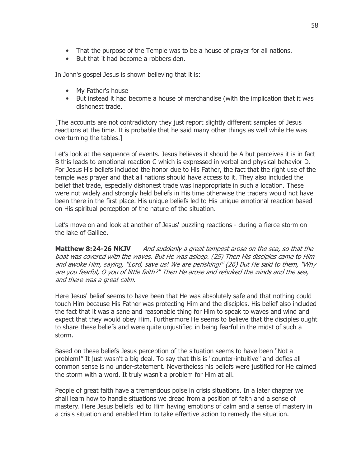- That the purpose of the Temple was to be a house of prayer for all nations.
- But that it had become a robbers den.

In John's gospel Jesus is shown believing that it is:

- My Father's house
- But instead it had become a house of merchandise (with the implication that it was dishonest trade.

[The accounts are not contradictory they just report slightly different samples of Jesus reactions at the time. It is probable that he said many other things as well while He was overturning the tables.]

Let's look at the sequence of events. Jesus believes it should be A but perceives it is in fact B this leads to emotional reaction C which is expressed in verbal and physical behavior D. For Jesus His beliefs included the honor due to His Father, the fact that the right use of the temple was prayer and that all nations should have access to it. They also included the belief that trade, especially dishonest trade was inappropriate in such a location. These were not widely and strongly held beliefs in His time otherwise the traders would not have been there in the first place. His unique beliefs led to His unique emotional reaction based on His spiritual perception of the nature of the situation.

Let's move on and look at another of Jesus' puzzling reactions - during a fierce storm on the lake of Galilee.

Matthew 8:24-26 NKJV And suddenly a great tempest arose on the sea, so that the boat was covered with the waves. But He was asleep. (25) Then His disciples came to Him and awoke Him, saying, "Lord, save us! We are perishing!" (26) But He said to them, "Why are you fearful, O you of little faith?" Then He arose and rebuked the winds and the sea, and there was a great calm.

Here Jesus' belief seems to have been that He was absolutely safe and that nothing could touch Him because His Father was protecting Him and the disciples. His belief also included the fact that it was a sane and reasonable thing for Him to speak to waves and wind and expect that they would obey Him. Furthermore He seems to believe that the disciples ought to share these beliefs and were quite unjustified in being fearful in the midst of such a storm.

Based on these beliefs Jesus perception of the situation seems to have been "Not a problem!" It just wasn't a big deal. To say that this is "counter-intuitive" and defies all common sense is no under-statement. Nevertheless his beliefs were justified for He calmed the storm with a word. It truly wasn't a problem for Him at all.

People of great faith have a tremendous poise in crisis situations. In a later chapter we shall learn how to handle situations we dread from a position of faith and a sense of mastery. Here Jesus beliefs led to Him having emotions of calm and a sense of mastery in a crisis situation and enabled Him to take effective action to remedy the situation.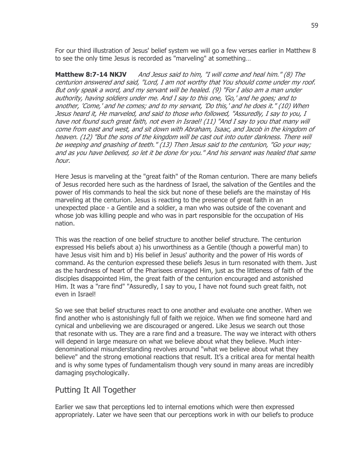For our third illustration of Jesus' belief system we will go a few verses earlier in Matthew 8 to see the only time Jesus is recorded as "marveling" at something…

Matthew 8:7-14 NKJV And Jesus said to him, "I will come and heal him." (8) The centurion answered and said, "Lord, I am not worthy that You should come under my roof. But only speak a word, and my servant will be healed. (9) "For I also am a man under authority, having soldiers under me. And I say to this one, 'Go,' and he goes; and to another, 'Come,' and he comes; and to my servant, 'Do this,' and he does it." (10) When Jesus heard it, He marveled, and said to those who followed, "Assuredly, I say to you, I have not found such great faith, not even in Israel! (11) "And I say to you that many will come from east and west, and sit down with Abraham, Isaac, and Jacob in the kingdom of heaven. (12) "But the sons of the kingdom will be cast out into outer darkness. There will be weeping and gnashing of teeth." (13) Then Jesus said to the centurion, "Go your way; and as you have believed, so let it be done for you." And his servant was healed that same hour.

Here Jesus is marveling at the "great faith" of the Roman centurion. There are many beliefs of Jesus recorded here such as the hardness of Israel, the salvation of the Gentiles and the power of His commands to heal the sick but none of these beliefs are the mainstay of His marveling at the centurion. Jesus is reacting to the presence of great faith in an unexpected place - a Gentile and a soldier, a man who was outside of the covenant and whose job was killing people and who was in part responsible for the occupation of His nation.

This was the reaction of one belief structure to another belief structure. The centurion expressed His beliefs about a) his unworthiness as a Gentile (though a powerful man) to have Jesus visit him and b) His belief in Jesus' authority and the power of His words of command. As the centurion expressed these beliefs Jesus in turn resonated with them. Just as the hardness of heart of the Pharisees enraged Him, just as the littleness of faith of the disciples disappointed Him, the great faith of the centurion encouraged and astonished Him. It was a "rare find" "Assuredly, I say to you, I have not found such great faith, not even in Israel!

So we see that belief structures react to one another and evaluate one another. When we find another who is astonishingly full of faith we rejoice. When we find someone hard and cynical and unbelieving we are discouraged or angered. Like Jesus we search out those that resonate with us. They are a rare find and a treasure. The way we interact with others will depend in large measure on what we believe about what they believe. Much interdenominational misunderstanding revolves around "what we believe about what they believe" and the strong emotional reactions that result. It's a critical area for mental health and is why some types of fundamentalism though very sound in many areas are incredibly damaging psychologically.

#### Putting It All Together

Earlier we saw that perceptions led to internal emotions which were then expressed appropriately. Later we have seen that our perceptions work in with our beliefs to produce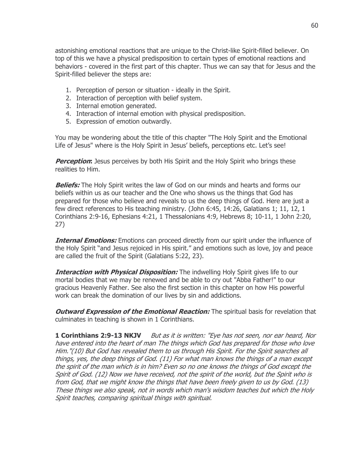astonishing emotional reactions that are unique to the Christ-like Spirit-filled believer. On top of this we have a physical predisposition to certain types of emotional reactions and behaviors - covered in the first part of this chapter. Thus we can say that for Jesus and the Spirit-filled believer the steps are:

- 1. Perception of person or situation ideally in the Spirit.
- 2. Interaction of perception with belief system.
- 3. Internal emotion generated.
- 4. Interaction of internal emotion with physical predisposition.
- 5. Expression of emotion outwardly.

You may be wondering about the title of this chapter "The Holy Spirit and the Emotional Life of Jesus" where is the Holy Spirit in Jesus' beliefs, perceptions etc. Let's see!

**Perception:** Jesus perceives by both His Spirit and the Holy Spirit who brings these realities to Him.

**Beliefs:** The Holy Spirit writes the law of God on our minds and hearts and forms our beliefs within us as our teacher and the One who shows us the things that God has prepared for those who believe and reveals to us the deep things of God. Here are just a few direct references to His teaching ministry. (John 6:45, 14:26, Galatians 1; 11, 12, 1 Corinthians 2:9-16, Ephesians 4:21, 1 Thessalonians 4:9, Hebrews 8; 10-11, 1 John 2:20, 27)

**Internal Emotions:** Emotions can proceed directly from our spirit under the influence of the Holy Spirit "and Jesus rejoiced in His spirit." and emotions such as love, joy and peace are called the fruit of the Spirit (Galatians 5:22, 23).

**Interaction with Physical Disposition:** The indwelling Holy Spirit gives life to our mortal bodies that we may be renewed and be able to cry out "Abba Father!" to our gracious Heavenly Father. See also the first section in this chapter on how His powerful work can break the domination of our lives by sin and addictions.

**Outward Expression of the Emotional Reaction:** The spiritual basis for revelation that culminates in teaching is shown in 1 Corinthians.

**1 Corinthians 2:9-13 NKJV** But as it is written: "Eye has not seen, nor ear heard, Nor have entered into the heart of man The things which God has prepared for those who love Him."(10) But God has revealed them to us through His Spirit. For the Spirit searches all things, yes, the deep things of God. (11) For what man knows the things of a man except the spirit of the man which is in him? Even so no one knows the things of God except the Spirit of God. (12) Now we have received, not the spirit of the world, but the Spirit who is from God, that we might know the things that have been freely given to us by God. (13) These things we also speak, not in words which man's wisdom teaches but which the Holy Spirit teaches, comparing spiritual things with spiritual.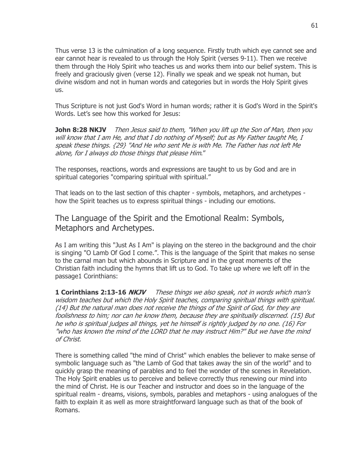Thus verse 13 is the culmination of a long sequence. Firstly truth which eye cannot see and ear cannot hear is revealed to us through the Holy Spirit (verses 9-11). Then we receive them through the Holy Spirit who teaches us and works them into our belief system. This is freely and graciously given (verse 12). Finally we speak and we speak not human, but divine wisdom and not in human words and categories but in words the Holy Spirit gives us.

Thus Scripture is not just God's Word in human words; rather it is God's Word in the Spirit's Words. Let's see how this worked for Jesus:

**John 8:28 NKJV** Then Jesus said to them, "When you lift up the Son of Man, then you will know that I am He, and that I do nothing of Myself; but as My Father taught Me, I speak these things. {29} "And He who sent Me is with Me. The Father has not left Me alone, for I always do those things that please Him."

The responses, reactions, words and expressions are taught to us by God and are in spiritual categories "comparing spiritual with spiritual."

That leads on to the last section of this chapter - symbols, metaphors, and archetypes how the Spirit teaches us to express spiritual things - including our emotions.

The Language of the Spirit and the Emotional Realm: Symbols, Metaphors and Archetypes.

As I am writing this "Just As I Am" is playing on the stereo in the background and the choir is singing "O Lamb Of God I come.". This is the language of the Spirit that makes no sense to the carnal man but which abounds in Scripture and in the great moments of the Christian faith including the hymns that lift us to God. To take up where we left off in the passage1 Corinthians:

**1 Corinthians 2:13-16 NKJV** These things we also speak, not in words which man's wisdom teaches but which the Holy Spirit teaches, comparing spiritual things with spiritual. (14) But the natural man does not receive the things of the Spirit of God, for they are foolishness to him; nor can he know them, because they are spiritually discerned. (15) But he who is spiritual judges all things, yet he himself is rightly judged by no one. (16) For "who has known the mind of the LORD that he may instruct Him?" But we have the mind of Christ.

There is something called "the mind of Christ" which enables the believer to make sense of symbolic language such as "the Lamb of God that takes away the sin of the world" and to quickly grasp the meaning of parables and to feel the wonder of the scenes in Revelation. The Holy Spirit enables us to perceive and believe correctly thus renewing our mind into the mind of Christ. He is our Teacher and instructor and does so in the language of the spiritual realm - dreams, visions, symbols, parables and metaphors - using analogues of the faith to explain it as well as more straightforward language such as that of the book of Romans.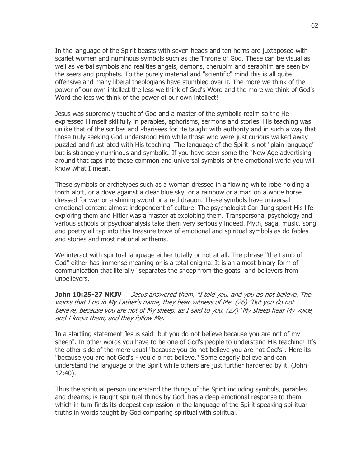In the language of the Spirit beasts with seven heads and ten horns are juxtaposed with scarlet women and numinous symbols such as the Throne of God. These can be visual as well as verbal symbols and realities angels, demons, cherubim and seraphim are seen by the seers and prophets. To the purely material and "scientific" mind this is all quite offensive and many liberal theologians have stumbled over it. The more we think of the power of our own intellect the less we think of God's Word and the more we think of God's Word the less we think of the power of our own intellect!

Jesus was supremely taught of God and a master of the symbolic realm so the He expressed Himself skillfully in parables, aphorisms, sermons and stories. His teaching was unlike that of the scribes and Pharisees for He taught with authority and in such a way that those truly seeking God understood Him while those who were just curious walked away puzzled and frustrated with His teaching. The language of the Spirit is not "plain language" but is strangely numinous and symbolic. If you have seen some the "New Age advertising" around that taps into these common and universal symbols of the emotional world you will know what I mean.

These symbols or archetypes such as a woman dressed in a flowing white robe holding a torch aloft, or a dove against a clear blue sky, or a rainbow or a man on a white horse dressed for war or a shining sword or a red dragon. These symbols have universal emotional content almost independent of culture. The psychologist Carl Jung spent His life exploring them and Hitler was a master at exploiting them. Transpersonal psychology and various schools of psychoanalysis take them very seriously indeed. Myth, saga, music, song and poetry all tap into this treasure trove of emotional and spiritual symbols as do fables and stories and most national anthems.

We interact with spiritual language either totally or not at all. The phrase "the Lamb of God" either has immense meaning or is a total enigma. It is an almost binary form of communication that literally "separates the sheep from the goats" and believers from unbelievers.

John 10:25-27 NKJV Jesus answered them, "I told you, and you do not believe. The works that I do in My Father's name, they bear witness of Me. (26) "But you do not believe, because you are not of My sheep, as I said to you. (27) "My sheep hear My voice, and I know them, and they follow Me.

In a startling statement Jesus said "but you do not believe because you are not of my sheep". In other words you have to be one of God's people to understand His teaching! It's the other side of the more usual "because you do not believe you are not God's". Here its "because you are not God's - you d o not believe." Some eagerly believe and can understand the language of the Spirit while others are just further hardened by it. (John 12:40).

Thus the spiritual person understand the things of the Spirit including symbols, parables and dreams; is taught spiritual things by God, has a deep emotional response to them which in turn finds its deepest expression in the language of the Spirit speaking spiritual truths in words taught by God comparing spiritual with spiritual.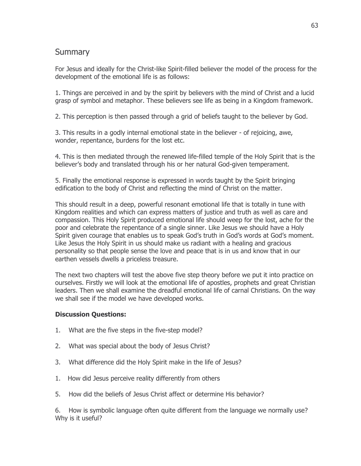#### **Summary**

For Jesus and ideally for the Christ-like Spirit-filled believer the model of the process for the development of the emotional life is as follows:

1. Things are perceived in and by the spirit by believers with the mind of Christ and a lucid grasp of symbol and metaphor. These believers see life as being in a Kingdom framework.

2. This perception is then passed through a grid of beliefs taught to the believer by God.

3. This results in a godly internal emotional state in the believer - of rejoicing, awe, wonder, repentance, burdens for the lost etc.

4. This is then mediated through the renewed life-filled temple of the Holy Spirit that is the believer's body and translated through his or her natural God-given temperament.

5. Finally the emotional response is expressed in words taught by the Spirit bringing edification to the body of Christ and reflecting the mind of Christ on the matter.

This should result in a deep, powerful resonant emotional life that is totally in tune with Kingdom realities and which can express matters of justice and truth as well as care and compassion. This Holy Spirit produced emotional life should weep for the lost, ache for the poor and celebrate the repentance of a single sinner. Like Jesus we should have a Holy Spirit given courage that enables us to speak God's truth in God's words at God's moment. Like Jesus the Holy Spirit in us should make us radiant with a healing and gracious personality so that people sense the love and peace that is in us and know that in our earthen vessels dwells a priceless treasure.

The next two chapters will test the above five step theory before we put it into practice on ourselves. Firstly we will look at the emotional life of apostles, prophets and great Christian leaders. Then we shall examine the dreadful emotional life of carnal Christians. On the way we shall see if the model we have developed works.

#### Discussion Questions:

- 1. What are the five steps in the five-step model?
- 2. What was special about the body of Jesus Christ?
- 3. What difference did the Holy Spirit make in the life of Jesus?
- 1. How did Jesus perceive reality differently from others
- 5. How did the beliefs of Jesus Christ affect or determine His behavior?

6. How is symbolic language often quite different from the language we normally use? Why is it useful?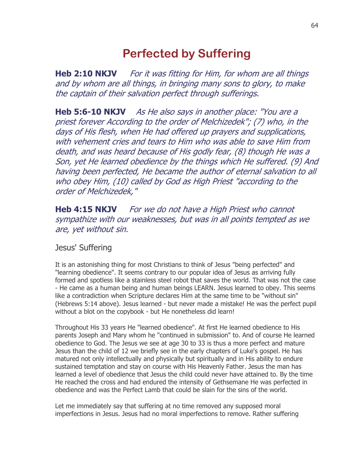## Perfected by Suffering

Heb 2:10 NKJV For it was fitting for Him, for whom are all things and by whom are all things, in bringing many sons to glory, to make the captain of their salvation perfect through sufferings.

Heb 5:6-10 NKJV As He also says in another place: "You are a priest forever According to the order of Melchizedek"; (7) who, in the days of His flesh, when He had offered up prayers and supplications, with vehement cries and tears to Him who was able to save Him from death, and was heard because of His godly fear, (8) though He was a Son, yet He learned obedience by the things which He suffered. (9) And having been perfected, He became the author of eternal salvation to all who obey Him, (10) called by God as High Priest "according to the order of Melchizedek,"

Heb 4:15 NKJV For we do not have a High Priest who cannot sympathize with our weaknesses, but was in all points tempted as we are, yet without sin.

Jesus' Suffering

It is an astonishing thing for most Christians to think of Jesus "being perfected" and "learning obedience". It seems contrary to our popular idea of Jesus as arriving fully formed and spotless like a stainless steel robot that saves the world. That was not the case - He came as a human being and human beings LEARN. Jesus learned to obey. This seems like a contradiction when Scripture declares Him at the same time to be "without sin" (Hebrews 5:14 above). Jesus learned - but never made a mistake! He was the perfect pupil without a blot on the copybook - but He nonetheless did learn!

Throughout His 33 years He "learned obedience". At first He learned obedience to His parents Joseph and Mary whom he "continued in submission" to. And of course He learned obedience to God. The Jesus we see at age 30 to 33 is thus a more perfect and mature Jesus than the child of 12 we briefly see in the early chapters of Luke's gospel. He has matured not only intellectually and physically but spiritually and in His ability to endure sustained temptation and stay on course with His Heavenly Father. Jesus the man has learned a level of obedience that Jesus the child could never have attained to. By the time He reached the cross and had endured the intensity of Gethsemane He was perfected in obedience and was the Perfect Lamb that could be slain for the sins of the world.

Let me immediately say that suffering at no time removed any supposed moral imperfections in Jesus. Jesus had no moral imperfections to remove. Rather suffering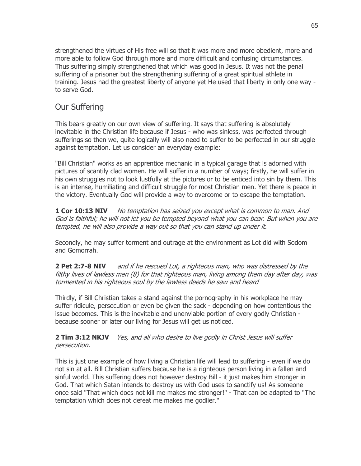strengthened the virtues of His free will so that it was more and more obedient, more and more able to follow God through more and more difficult and confusing circumstances. Thus suffering simply strengthened that which was good in Jesus. It was not the penal suffering of a prisoner but the strengthening suffering of a great spiritual athlete in training. Jesus had the greatest liberty of anyone yet He used that liberty in only one way to serve God.

## Our Suffering

This bears greatly on our own view of suffering. It says that suffering is absolutely inevitable in the Christian life because if Jesus - who was sinless, was perfected through sufferings so then we, quite logically will also need to suffer to be perfected in our struggle against temptation. Let us consider an everyday example:

"Bill Christian" works as an apprentice mechanic in a typical garage that is adorned with pictures of scantily clad women. He will suffer in a number of ways; firstly, he will suffer in his own struggles not to look lustfully at the pictures or to be enticed into sin by them. This is an intense, humiliating and difficult struggle for most Christian men. Yet there is peace in the victory. Eventually God will provide a way to overcome or to escape the temptation.

**1 Cor 10:13 NIV** No temptation has seized you except what is common to man. And God is faithful; he will not let you be tempted beyond what you can bear. But when you are tempted, he will also provide a way out so that you can stand up under it.

Secondly, he may suffer torment and outrage at the environment as Lot did with Sodom and Gomorrah.

2 Pet 2:7-8 NIV and if he rescued Lot, a righteous man, who was distressed by the filthy lives of lawless men (8) for that righteous man, living among them day after day, was tormented in his righteous soul by the lawless deeds he saw and heard

Thirdly, if Bill Christian takes a stand against the pornography in his workplace he may suffer ridicule, persecution or even be given the sack - depending on how contentious the issue becomes. This is the inevitable and unenviable portion of every godly Christian because sooner or later our living for Jesus will get us noticed.

2 Tim 3:12 NKJV Yes, and all who desire to live godly in Christ Jesus will suffer persecution.

This is just one example of how living a Christian life will lead to suffering - even if we do not sin at all. Bill Christian suffers because he is a righteous person living in a fallen and sinful world. This suffering does not however destroy Bill - it just makes him stronger in God. That which Satan intends to destroy us with God uses to sanctify us! As someone once said "That which does not kill me makes me stronger!" - That can be adapted to "The temptation which does not defeat me makes me godlier."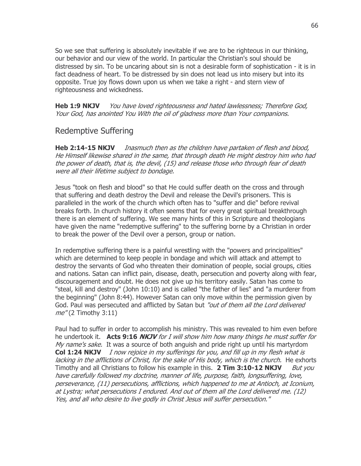So we see that suffering is absolutely inevitable if we are to be righteous in our thinking, our behavior and our view of the world. In particular the Christian's soul should be distressed by sin. To be uncaring about sin is not a desirable form of sophistication - it is in fact deadness of heart. To be distressed by sin does not lead us into misery but into its opposite. True joy flows down upon us when we take a right - and stern view of righteousness and wickedness.

**Heb 1:9 NKJV** You have loved righteousness and hated lawlessness; Therefore God, Your God, has anointed You With the oil of gladness more than Your companions.

#### Redemptive Suffering

Heb 2:14-15 NKJV *Inasmuch then as the children have partaken of flesh and blood,* He Himself likewise shared in the same, that through death He might destroy him who had the power of death, that is, the devil, (15) and release those who through fear of death were all their lifetime subject to bondage.

Jesus "took on flesh and blood" so that He could suffer death on the cross and through that suffering and death destroy the Devil and release the Devil's prisoners. This is paralleled in the work of the church which often has to "suffer and die" before revival breaks forth. In church history it often seems that for every great spiritual breakthrough there is an element of suffering. We see many hints of this in Scripture and theologians have given the name "redemptive suffering" to the suffering borne by a Christian in order to break the power of the Devil over a person, group or nation.

In redemptive suffering there is a painful wrestling with the "powers and principalities" which are determined to keep people in bondage and which will attack and attempt to destroy the servants of God who threaten their domination of people, social groups, cities and nations. Satan can inflict pain, disease, death, persecution and poverty along with fear, discouragement and doubt. He does not give up his territory easily. Satan has come to "steal, kill and destroy" (John 10:10) and is called "the father of lies" and "a murderer from the beginning" (John 8:44). However Satan can only move within the permission given by God. Paul was persecuted and afflicted by Satan but "out of them all the Lord delivered  $me''(2$  Timothy 3:11)

Paul had to suffer in order to accomplish his ministry. This was revealed to him even before he undertook it. **Acts 9:16 NKJV** for I will show him how many things he must suffer for My name's sake. It was a source of both anguish and pride right up until his martyrdom Col 1:24 NKJV I now rejoice in my sufferings for you, and fill up in my flesh what is lacking in the afflictions of Christ, for the sake of His body, which is the church. He exhorts Timothy and all Christians to follow his example in this.  $2$  Tim 3:10-12 NKJV But you have carefully followed my doctrine, manner of life, purpose, faith, longsuffering, love, perseverance, (11) persecutions, afflictions, which happened to me at Antioch, at Iconium, at Lystra; what persecutions I endured. And out of them all the Lord delivered me. (12) Yes, and all who desire to live godly in Christ Jesus will suffer persecution."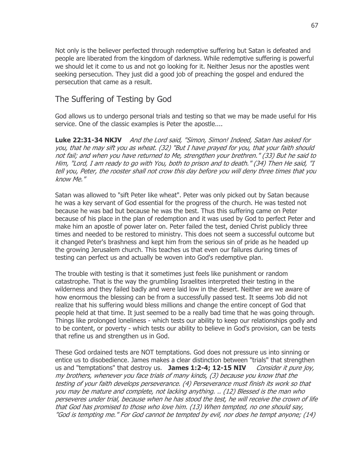Not only is the believer perfected through redemptive suffering but Satan is defeated and people are liberated from the kingdom of darkness. While redemptive suffering is powerful we should let it come to us and not go looking for it. Neither Jesus nor the apostles went seeking persecution. They just did a good job of preaching the gospel and endured the persecution that came as a result.

## The Suffering of Testing by God

God allows us to undergo personal trials and testing so that we may be made useful for His service. One of the classic examples is Peter the apostle....

Luke 22:31-34 NKJV And the Lord said, "Simon, Simon! Indeed, Satan has asked for you, that he may sift you as wheat. (32) "But I have prayed for you, that your faith should not fail; and when you have returned to Me, strengthen your brethren." (33) But he said to Him, "Lord, I am ready to go with You, both to prison and to death." (34) Then He said, "I tell you, Peter, the rooster shall not crow this day before you will deny three times that you know Me."

Satan was allowed to "sift Peter like wheat". Peter was only picked out by Satan because he was a key servant of God essential for the progress of the church. He was tested not because he was bad but because he was the best. Thus this suffering came on Peter because of his place in the plan of redemption and it was used by God to perfect Peter and make him an apostle of power later on. Peter failed the test, denied Christ publicly three times and needed to be restored to ministry. This does not seem a successful outcome but it changed Peter's brashness and kept him from the serious sin of pride as he headed up the growing Jerusalem church. This teaches us that even our failures during times of testing can perfect us and actually be woven into God's redemptive plan.

The trouble with testing is that it sometimes just feels like punishment or random catastrophe. That is the way the grumbling Israelites interpreted their testing in the wilderness and they failed badly and were laid low in the desert. Neither are we aware of how enormous the blessing can be from a successfully passed test. It seems Job did not realize that his suffering would bless millions and change the entire concept of God that people held at that time. It just seemed to be a really bad time that he was going through. Things like prolonged loneliness - which tests our ability to keep our relationships godly and to be content, or poverty - which tests our ability to believe in God's provision, can be tests that refine us and strengthen us in God.

These God ordained tests are NOT temptations. God does not pressure us into sinning or entice us to disobedience. James makes a clear distinction between "trials" that strengthen us and "temptations" that destroy us. James 1:2-4; 12-15 NIV *Consider it pure joy,* my brothers, whenever you face trials of many kinds, (3) because you know that the testing of your faith develops perseverance. (4) Perseverance must finish its work so that you may be mature and complete, not lacking anything. .. (12) Blessed is the man who perseveres under trial, because when he has stood the test, he will receive the crown of life that God has promised to those who love him. (13) When tempted, no one should say, "God is tempting me." For God cannot be tempted by evil, nor does he tempt anyone; (14)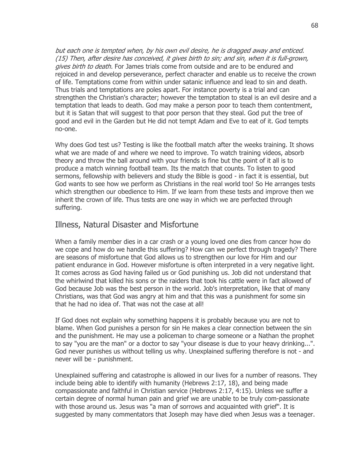but each one is tempted when, by his own evil desire, he is dragged away and enticed. (15) Then, after desire has conceived, it gives birth to sin; and sin, when it is full-grown, gives birth to death. For James trials come from outside and are to be endured and rejoiced in and develop perseverance, perfect character and enable us to receive the crown of life. Temptations come from within under satanic influence and lead to sin and death. Thus trials and temptations are poles apart. For instance poverty is a trial and can strengthen the Christian's character; however the temptation to steal is an evil desire and a temptation that leads to death. God may make a person poor to teach them contentment, but it is Satan that will suggest to that poor person that they steal. God put the tree of good and evil in the Garden but He did not tempt Adam and Eve to eat of it. God tempts no-one.

Why does God test us? Testing is like the football match after the weeks training. It shows what we are made of and where we need to improve. To watch training videos, absorb theory and throw the ball around with your friends is fine but the point of it all is to produce a match winning football team. Its the match that counts. To listen to good sermons, fellowship with believers and study the Bible is good - in fact it is essential, but God wants to see how we perform as Christians in the real world too! So He arranges tests which strengthen our obedience to Him. If we learn from these tests and improve then we inherit the crown of life. Thus tests are one way in which we are perfected through suffering.

#### Illness, Natural Disaster and Misfortune

When a family member dies in a car crash or a young loved one dies from cancer how do we cope and how do we handle this suffering? How can we perfect through tragedy? There are seasons of misfortune that God allows us to strengthen our love for Him and our patient endurance in God. However misfortune is often interpreted in a very negative light. It comes across as God having failed us or God punishing us. Job did not understand that the whirlwind that killed his sons or the raiders that took his cattle were in fact allowed of God because Job was the best person in the world. Job's interpretation, like that of many Christians, was that God was angry at him and that this was a punishment for some sin that he had no idea of. That was not the case at all!

If God does not explain why something happens it is probably because you are not to blame. When God punishes a person for sin He makes a clear connection between the sin and the punishment. He may use a policeman to charge someone or a Nathan the prophet to say "you are the man" or a doctor to say "your disease is due to your heavy drinking...". God never punishes us without telling us why. Unexplained suffering therefore is not - and never will be - punishment.

Unexplained suffering and catastrophe is allowed in our lives for a number of reasons. They include being able to identify with humanity (Hebrews 2:17, 18), and being made compassionate and faithful in Christian service (Hebrews 2:17, 4:15). Unless we suffer a certain degree of normal human pain and grief we are unable to be truly com-passionate with those around us. Jesus was "a man of sorrows and acquainted with grief". It is suggested by many commentators that Joseph may have died when Jesus was a teenager.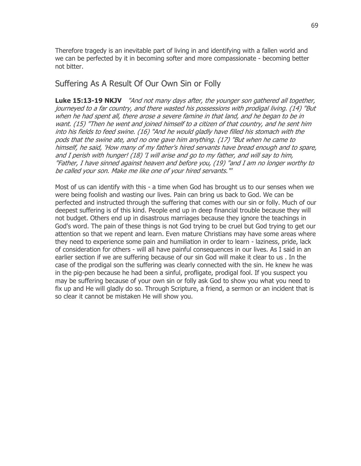Therefore tragedy is an inevitable part of living in and identifying with a fallen world and we can be perfected by it in becoming softer and more compassionate - becoming better not bitter.

#### Suffering As A Result Of Our Own Sin or Folly

**Luke 15:13-19 NKJV** "And not many days after, the younger son gathered all together, journeyed to a far country, and there wasted his possessions with prodigal living. (14) "But when he had spent all, there arose a severe famine in that land, and he began to be in want. (15) "Then he went and joined himself to a citizen of that country, and he sent him into his fields to feed swine. (16) "And he would gladly have filled his stomach with the pods that the swine ate, and no one gave him anything. (17) "But when he came to himself, he said, 'How many of my father's hired servants have bread enough and to spare, and I perish with hunger! (18) 'I will arise and go to my father, and will say to him, "Father, I have sinned against heaven and before you, (19) "and I am no longer worthy to be called your son. Make me like one of your hired servants."'

Most of us can identify with this - a time when God has brought us to our senses when we were being foolish and wasting our lives. Pain can bring us back to God. We can be perfected and instructed through the suffering that comes with our sin or folly. Much of our deepest suffering is of this kind. People end up in deep financial trouble because they will not budget. Others end up in disastrous marriages because they ignore the teachings in God's word. The pain of these things is not God trying to be cruel but God trying to get our attention so that we repent and learn. Even mature Christians may have some areas where they need to experience some pain and humiliation in order to learn - laziness, pride, lack of consideration for others - will all have painful consequences in our lives. As I said in an earlier section if we are suffering because of our sin God will make it clear to us . In the case of the prodigal son the suffering was clearly connected with the sin. He knew he was in the pig-pen because he had been a sinful, profligate, prodigal fool. If you suspect you may be suffering because of your own sin or folly ask God to show you what you need to fix up and He will gladly do so. Through Scripture, a friend, a sermon or an incident that is so clear it cannot be mistaken He will show you.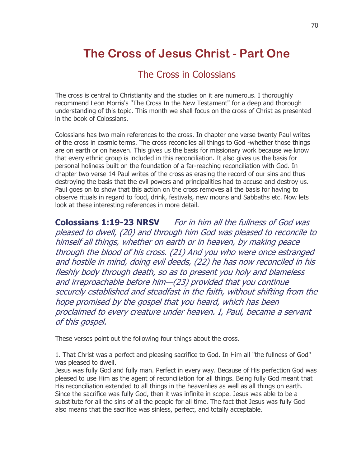# The Cross of Jesus Christ - Part One

## The Cross in Colossians

The cross is central to Christianity and the studies on it are numerous. I thoroughly recommend Leon Morris's "The Cross In the New Testament" for a deep and thorough understanding of this topic. This month we shall focus on the cross of Christ as presented in the book of Colossians.

Colossians has two main references to the cross. In chapter one verse twenty Paul writes of the cross in cosmic terms. The cross reconciles all things to God -whether those things are on earth or on heaven. This gives us the basis for missionary work because we know that every ethnic group is included in this reconciliation. It also gives us the basis for personal holiness built on the foundation of a far-reaching reconciliation with God. In chapter two verse 14 Paul writes of the cross as erasing the record of our sins and thus destroying the basis that the evil powers and principalities had to accuse and destroy us. Paul goes on to show that this action on the cross removes all the basis for having to observe rituals in regard to food, drink, festivals, new moons and Sabbaths etc. Now lets look at these interesting references in more detail.

**Colossians 1:19-23 NRSV** For in him all the fullness of God was pleased to dwell, (20) and through him God was pleased to reconcile to himself all things, whether on earth or in heaven, by making peace through the blood of his cross. (21) And you who were once estranged and hostile in mind, doing evil deeds, (22) he has now reconciled in his fleshly body through death, so as to present you holy and blameless and irreproachable before him—(23) provided that you continue securely established and steadfast in the faith, without shifting from the hope promised by the gospel that you heard, which has been proclaimed to every creature under heaven. I, Paul, became a servant of this gospel.

These verses point out the following four things about the cross.

1. That Christ was a perfect and pleasing sacrifice to God. In Him all "the fullness of God" was pleased to dwell.

Jesus was fully God and fully man. Perfect in every way. Because of His perfection God was pleased to use Him as the agent of reconciliation for all things. Being fully God meant that His reconciliation extended to all things in the heavenlies as well as all things on earth. Since the sacrifice was fully God, then it was infinite in scope. Jesus was able to be a substitute for all the sins of all the people for all time. The fact that Jesus was fully God also means that the sacrifice was sinless, perfect, and totally acceptable.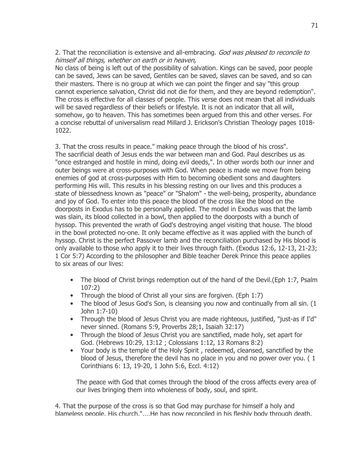2. That the reconciliation is extensive and all-embracing. God was pleased to reconcile to himself all things, whether on earth or in heaven,

No class of being is left out of the possibility of salvation. Kings can be saved, poor people can be saved, Jews can be saved, Gentiles can be saved, slaves can be saved, and so can their masters. There is no group at which we can point the finger and say "this group cannot experience salvation, Christ did not die for them, and they are beyond redemption". The cross is effective for all classes of people. This verse does not mean that all individuals will be saved regardless of their beliefs or lifestyle. It is not an indicator that all will, somehow, go to heaven. This has sometimes been argued from this and other verses. For a concise rebuttal of universalism read Millard J. Erickson's Christian Theology pages 1018- 1022.

3. That the cross results in peace." making peace through the blood of his cross". The sacrificial death of Jesus ends the war between man and God. Paul describes us as "once estranged and hostile in mind, doing evil deeds,". In other words both our inner and outer beings were at cross-purposes with God. When peace is made we move from being enemies of god at cross-purposes with Him to becoming obedient sons and daughters performing His will. This results in his blessing resting on our lives and this produces a state of blessedness known as "peace" or "Shalom" - the well-being, prosperity, abundance and joy of God. To enter into this peace the blood of the cross like the blood on the doorposts in Exodus has to be personally applied. The model in Exodus was that the lamb was slain, its blood collected in a bowl, then applied to the doorposts with a bunch of hyssop. This prevented the wrath of God's destroying angel visiting that house. The blood in the bowl protected no-one. It only became effective as it was applied with the bunch of hyssop. Christ is the perfect Passover lamb and the reconciliation purchased by His blood is only available to those who apply it to their lives through faith. (Exodus 12:6, 12-13, 21-23; 1 Cor 5:7) According to the philosopher and Bible teacher Derek Prince this peace applies to six areas of our lives:

- The blood of Christ brings redemption out of the hand of the Devil. (Eph 1:7, Psalm 107:2)
- Through the blood of Christ all your sins are forgiven. (Eph 1:7)
- The blood of Jesus God's Son, is cleansing you now and continually from all sin. (1) John 1:7-10)
- Through the blood of Jesus Christ you are made righteous, justified, "just-as if I'd" never sinned. (Romans 5:9, Proverbs 28;1, Isaiah 32:17)
- Through the blood of Jesus Christ you are sanctified, made holy, set apart for God. (Hebrews 10:29, 13:12 ; Colossians 1:12, 13 Romans 8:2)
- Your body is the temple of the Holy Spirit , redeemed, cleansed, sanctified by the blood of Jesus, therefore the devil has no place in you and no power over you. ( 1 Corinthians 6: 13, 19-20, 1 John 5:6, Eccl. 4:12)

The peace with God that comes through the blood of the cross affects every area of our lives bringing them into wholeness of body, soul, and spirit.

4. That the purpose of the cross is so that God may purchase for himself a holy and blameless people, His church."....He has now reconciled in his fleshly body through death,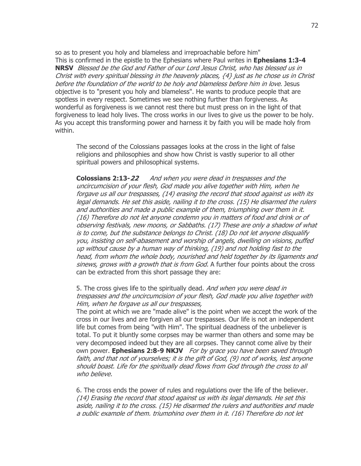so as to present you holy and blameless and irreproachable before him" This is confirmed in the epistle to the Ephesians where Paul writes in Ephesians 1:3-4 NRSV Blessed be the God and Father of our Lord Jesus Christ, who has blessed us in Christ with every spiritual blessing in the heavenly places,  $\{4\}$  just as he chose us in Christ before the foundation of the world to be holy and blameless before him in love. Jesus objective is to "present you holy and blameless". He wants to produce people that are spotless in every respect. Sometimes we see nothing further than forgiveness. As wonderful as forgiveness is we cannot rest there but must press on in the light of that forgiveness to lead holy lives. The cross works in our lives to give us the power to be holy. As you accept this transforming power and harness it by faith you will be made holy from within.

The second of the Colossians passages looks at the cross in the light of false religions and philosophies and show how Christ is vastly superior to all other spiritual powers and philosophical systems.

Colossians 2:13-22 And when you were dead in trespasses and the uncircumcision of your flesh, God made you alive together with Him, when he forgave us all our trespasses, (14) erasing the record that stood against us with its legal demands. He set this aside, nailing it to the cross. (15) He disarmed the rulers and authorities and made a public example of them, triumphing over them in it. (16) Therefore do not let anyone condemn you in matters of food and drink or of observing festivals, new moons, or Sabbaths. (17) These are only a shadow of what is to come, but the substance belongs to Christ. (18) Do not let anyone disqualify you, insisting on self-abasement and worship of angels, dwelling on visions, puffed up without cause by a human way of thinking, (19) and not holding fast to the head, from whom the whole body, nourished and held together by its ligaments and sinews, grows with a growth that is from God. A further four points about the cross can be extracted from this short passage they are:

5. The cross gives life to the spiritually dead. And when you were dead in trespasses and the uncircumcision of your flesh, God made you alive together with Him, when he forgave us all our trespasses,

The point at which we are "made alive" is the point when we accept the work of the cross in our lives and are forgiven all our trespasses. Our life is not an independent life but comes from being "with Him". The spiritual deadness of the unbeliever is total. To put it bluntly some corpses may be warmer than others and some may be very decomposed indeed but they are all corpses. They cannot come alive by their own power. Ephesians 2:8-9 NKJV For by grace you have been saved through faith, and that not of yourselves; it is the gift of God, (9) not of works, lest anyone should boast. Life for the spiritually dead flows from God through the cross to all who believe.

6. The cross ends the power of rules and regulations over the life of the believer. (14) Erasing the record that stood against us with its legal demands. He set this aside, nailing it to the cross. (15) He disarmed the rulers and authorities and made a public example of them, triumphing over them in it. (16) Therefore do not let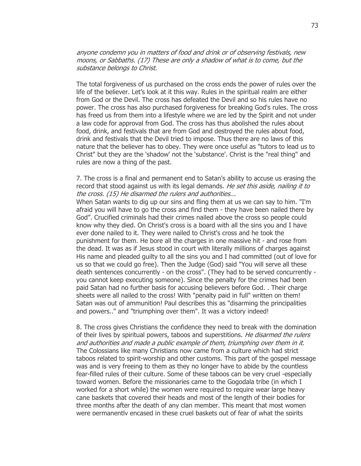anyone condemn you in matters of food and drink or of observing festivals, new moons, or Sabbaths. (17) These are only a shadow of what is to come, but the substance belongs to Christ.

The total forgiveness of us purchased on the cross ends the power of rules over the life of the believer. Let's look at it this way. Rules in the spiritual realm are either from God or the Devil. The cross has defeated the Devil and so his rules have no power. The cross has also purchased forgiveness for breaking God's rules. The cross has freed us from them into a lifestyle where we are led by the Spirit and not under a law code for approval from God. The cross has thus abolished the rules about food, drink, and festivals that are from God and destroyed the rules about food, drink and festivals that the Devil tried to impose. Thus there are no laws of this nature that the believer has to obey. They were once useful as "tutors to lead us to Christ" but they are the 'shadow' not the 'substance'. Christ is the "real thing" and rules are now a thing of the past.

7. The cross is a final and permanent end to Satan's ability to accuse us erasing the record that stood against us with its legal demands. He set this aside, nailing it to the cross. (15) He disarmed the rulers and authorities...

When Satan wants to dig up our sins and fling them at us we can say to him. "I'm afraid you will have to go the cross and find them - they have been nailed there by God". Crucified criminals had their crimes nailed above the cross so people could know why they died. On Christ's cross is a board with all the sins you and I have ever done nailed to it. They were nailed to Christ's cross and he took the punishment for them. He bore all the charges in one massive hit - and rose from the dead. It was as if Jesus stood in court with literally millions of charges against His name and pleaded guilty to all the sins you and I had committed (out of love for us so that we could go free). Then the Judge (God) said "You will serve all these death sentences concurrently - on the cross". (They had to be served concurrently you cannot keep executing someone). Since the penalty for the crimes had been paid Satan had no further basis for accusing believers before God. . Their charge sheets were all nailed to the cross! With "penalty paid in full" written on them! Satan was out of ammunition! Paul describes this as "disarming the principalities and powers.." and "triumphing over them". It was a victory indeed!

8. The cross gives Christians the confidence they need to break with the domination of their lives by spiritual powers, taboos and superstitions. He disarmed the rulers and authorities and made a public example of them, triumphing over them in it. The Colossians like many Christians now came from a culture which had strict taboos related to spirit-worship and other customs. This part of the gospel message was and is very freeing to them as they no longer have to abide by the countless fear-filled rules of their culture. Some of these taboos can be very cruel -especially toward women. Before the missionaries came to the Gogodala tribe (in which I worked for a short while) the women were required to require wear large heavy cane baskets that covered their heads and most of the length of their bodies for three months after the death of any clan member. This meant that most women were permanently encased in these cruel baskets out of fear of what the spirits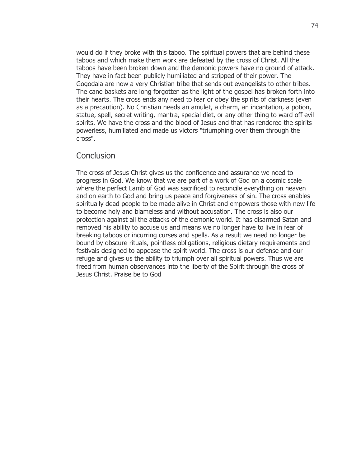would do if they broke with this taboo. The spiritual powers that are behind these taboos and which make them work are defeated by the cross of Christ. All the taboos have been broken down and the demonic powers have no ground of attack. They have in fact been publicly humiliated and stripped of their power. The Gogodala are now a very Christian tribe that sends out evangelists to other tribes. The cane baskets are long forgotten as the light of the gospel has broken forth into their hearts. The cross ends any need to fear or obey the spirits of darkness (even as a precaution). No Christian needs an amulet, a charm, an incantation, a potion, statue, spell, secret writing, mantra, special diet, or any other thing to ward off evil spirits. We have the cross and the blood of Jesus and that has rendered the spirits powerless, humiliated and made us victors "triumphing over them through the cross".

### **Conclusion**

The cross of Jesus Christ gives us the confidence and assurance we need to progress in God. We know that we are part of a work of God on a cosmic scale where the perfect Lamb of God was sacrificed to reconcile everything on heaven and on earth to God and bring us peace and forgiveness of sin. The cross enables spiritually dead people to be made alive in Christ and empowers those with new life to become holy and blameless and without accusation. The cross is also our protection against all the attacks of the demonic world. It has disarmed Satan and removed his ability to accuse us and means we no longer have to live in fear of breaking taboos or incurring curses and spells. As a result we need no longer be bound by obscure rituals, pointless obligations, religious dietary requirements and festivals designed to appease the spirit world. The cross is our defense and our refuge and gives us the ability to triumph over all spiritual powers. Thus we are freed from human observances into the liberty of the Spirit through the cross of Jesus Christ. Praise be to God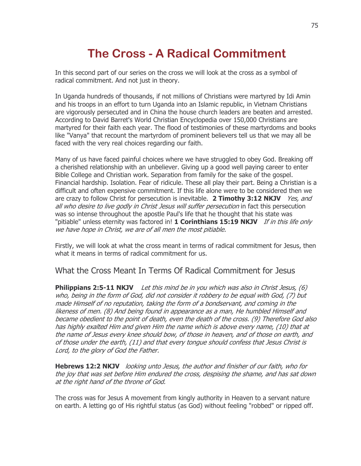# The Cross - A Radical Commitment

In this second part of our series on the cross we will look at the cross as a symbol of radical commitment. And not just in theory.

In Uganda hundreds of thousands, if not millions of Christians were martyred by Idi Amin and his troops in an effort to turn Uganda into an Islamic republic, in Vietnam Christians are vigorously persecuted and in China the house church leaders are beaten and arrested. According to David Barret's World Christian Encyclopedia over 150,000 Christians are martyred for their faith each year. The flood of testimonies of these martyrdoms and books like "Vanya" that recount the martyrdom of prominent believers tell us that we may all be faced with the very real choices regarding our faith.

Many of us have faced painful choices where we have struggled to obey God. Breaking off a cherished relationship with an unbeliever. Giving up a good well paying career to enter Bible College and Christian work. Separation from family for the sake of the gospel. Financial hardship. Isolation. Fear of ridicule. These all play their part. Being a Christian is a difficult and often expensive commitment. If this life alone were to be considered then we are crazy to follow Christ for persecution is inevitable. **2 Timothy 3:12 NKJV** Yes, and all who desire to live godly in Christ Jesus will suffer persecution in fact this persecution was so intense throughout the apostle Paul's life that he thought that his state was "pitiable" unless eternity was factored in! 1 Corinthians 15:19 NKJV If in this life only we have hope in Christ, we are of all men the most pitiable.

Firstly, we will look at what the cross meant in terms of radical commitment for Jesus, then what it means in terms of radical commitment for us.

### What the Cross Meant In Terms Of Radical Commitment for Jesus

Philippians 2:5-11 NKJV Let this mind be in you which was also in Christ Jesus, (6) who, being in the form of God, did not consider it robbery to be equal with God, (7) but made Himself of no reputation, taking the form of a bondservant, and coming in the likeness of men. (8) And being found in appearance as a man, He humbled Himself and became obedient to the point of death, even the death of the cross. (9) Therefore God also has highly exalted Him and given Him the name which is above every name, (10) that at the name of Jesus every knee should bow, of those in heaven, and of those on earth, and of those under the earth, (11) and that every tongue should confess that Jesus Christ is Lord, to the glory of God the Father.

Hebrews 12:2 NKJV looking unto Jesus, the author and finisher of our faith, who for the joy that was set before Him endured the cross, despising the shame, and has sat down at the right hand of the throne of God.

The cross was for Jesus A movement from kingly authority in Heaven to a servant nature on earth. A letting go of His rightful status (as God) without feeling "robbed" or ripped off.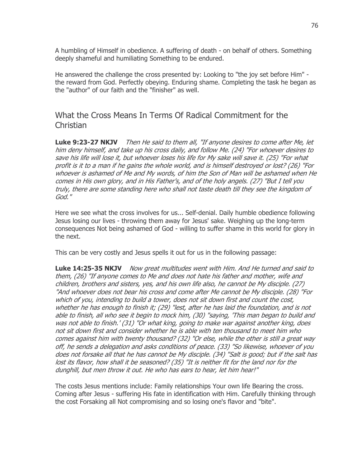A humbling of Himself in obedience. A suffering of death - on behalf of others. Something deeply shameful and humiliating Something to be endured.

He answered the challenge the cross presented by: Looking to "the joy set before Him" the reward from God. Perfectly obeying. Enduring shame. Completing the task he began as the "author" of our faith and the "finisher" as well.

### What the Cross Means In Terms Of Radical Commitment for the Christian

Luke 9:23-27 NKJV Then He said to them all, "If anyone desires to come after Me, let him deny himself, and take up his cross daily, and follow Me. (24) "For whoever desires to save his life will lose it, but whoever loses his life for My sake will save it. (25) "For what profit is it to a man if he gains the whole world, and is himself destroyed or lost? (26) "For whoever is ashamed of Me and My words, of him the Son of Man will be ashamed when He comes in His own glory, and in His Father's, and of the holy angels. (27) "But I tell you truly, there are some standing here who shall not taste death till they see the kingdom of God."

Here we see what the cross involves for us... Self-denial. Daily humble obedience following Jesus losing our lives - throwing them away for Jesus' sake. Weighing up the long-term consequences Not being ashamed of God - willing to suffer shame in this world for glory in the next.

This can be very costly and Jesus spells it out for us in the following passage:

Luke 14:25-35 NKJV Now great multitudes went with Him. And He turned and said to them, (26) "If anyone comes to Me and does not hate his father and mother, wife and children, brothers and sisters, yes, and his own life also, he cannot be My disciple. (27) "And whoever does not bear his cross and come after Me cannot be My disciple. (28) "For which of you, intending to build a tower, does not sit down first and count the cost, whether he has enough to finish it; (29) "lest, after he has laid the foundation, and is not able to finish, all who see it begin to mock him, (30) "saying, 'This man began to build and was not able to finish.' (31) "Or what king, going to make war against another king, does not sit down first and consider whether he is able with ten thousand to meet him who comes against him with twenty thousand? (32) "Or else, while the other is still a great way off, he sends a delegation and asks conditions of peace. (33) "So likewise, whoever of you does not forsake all that he has cannot be My disciple. (34) "Salt is good; but if the salt has lost its flavor, how shall it be seasoned? (35) "It is neither fit for the land nor for the dunghill, but men throw it out. He who has ears to hear, let him hear!"

The costs Jesus mentions include: Family relationships Your own life Bearing the cross. Coming after Jesus - suffering His fate in identification with Him. Carefully thinking through the cost Forsaking all Not compromising and so losing one's flavor and "bite".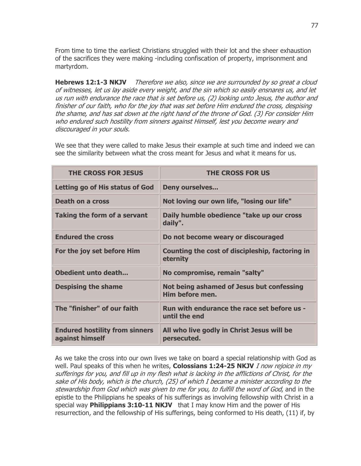From time to time the earliest Christians struggled with their lot and the sheer exhaustion of the sacrifices they were making -including confiscation of property, imprisonment and martyrdom.

Hebrews 12:1-3 NKJV Therefore we also, since we are surrounded by so great a cloud of witnesses, let us lay aside every weight, and the sin which so easily ensnares us, and let us run with endurance the race that is set before us, (2) looking unto Jesus, the author and finisher of our faith, who for the joy that was set before Him endured the cross, despising the shame, and has sat down at the right hand of the throne of God. (3) For consider Him who endured such hostility from sinners against Himself, lest you become weary and discouraged in your souls.

We see that they were called to make Jesus their example at such time and indeed we can see the similarity between what the cross meant for Jesus and what it means for us.

| <b>THE CROSS FOR JESUS</b>                               | <b>THE CROSS FOR US</b>                                      |
|----------------------------------------------------------|--------------------------------------------------------------|
| Letting go of His status of God                          | Deny ourselves                                               |
| <b>Death on a cross</b>                                  | Not loving our own life, "losing our life"                   |
| Taking the form of a servant                             | Daily humble obedience "take up our cross<br>daily".         |
| <b>Endured the cross</b>                                 | Do not become weary or discouraged                           |
| For the joy set before Him                               | Counting the cost of discipleship, factoring in<br>eternity  |
| Obedient unto death                                      | No compromise, remain "salty"                                |
| <b>Despising the shame</b>                               | Not being ashamed of Jesus but confessing<br>Him before men. |
| The "finisher" of our faith                              | Run with endurance the race set before us -<br>until the end |
| <b>Endured hostility from sinners</b><br>against himself | All who live godly in Christ Jesus will be<br>persecuted.    |

As we take the cross into our own lives we take on board a special relationship with God as well. Paul speaks of this when he writes, Colossians 1:24-25 NKJV I now rejoice in my sufferings for you, and fill up in my flesh what is lacking in the afflictions of Christ, for the sake of His body, which is the church, (25) of which I became a minister according to the stewardship from God which was given to me for you, to fulfill the word of God, and in the epistle to the Philippians he speaks of his sufferings as involving fellowship with Christ in a special way **Philippians 3:10-11 NKJV** that I may know Him and the power of His resurrection, and the fellowship of His sufferings, being conformed to His death, (11) if, by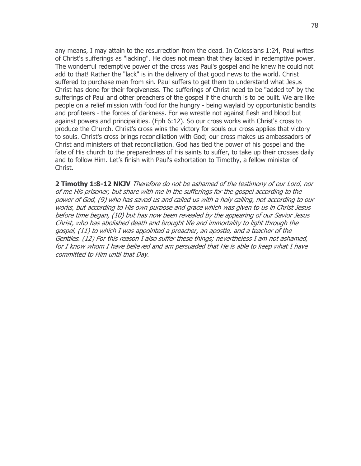any means, I may attain to the resurrection from the dead. In Colossians 1:24, Paul writes of Christ's sufferings as "lacking". He does not mean that they lacked in redemptive power. The wonderful redemptive power of the cross was Paul's gospel and he knew he could not add to that! Rather the "lack" is in the delivery of that good news to the world. Christ suffered to purchase men from sin. Paul suffers to get them to understand what Jesus Christ has done for their forgiveness. The sufferings of Christ need to be "added to" by the sufferings of Paul and other preachers of the gospel if the church is to be built. We are like people on a relief mission with food for the hungry - being waylaid by opportunistic bandits and profiteers - the forces of darkness. For we wrestle not against flesh and blood but against powers and principalities. (Eph 6:12). So our cross works with Christ's cross to produce the Church. Christ's cross wins the victory for souls our cross applies that victory to souls. Christ's cross brings reconciliation with God; our cross makes us ambassadors of Christ and ministers of that reconciliation. God has tied the power of his gospel and the fate of His church to the preparedness of His saints to suffer, to take up their crosses daily and to follow Him. Let's finish with Paul's exhortation to Timothy, a fellow minister of Christ.

2 Timothy 1:8-12 NKJV Therefore do not be ashamed of the testimony of our Lord, nor of me His prisoner, but share with me in the sufferings for the gospel according to the power of God, (9) who has saved us and called us with a holy calling, not according to our works, but according to His own purpose and grace which was given to us in Christ Jesus before time began, (10) but has now been revealed by the appearing of our Savior Jesus Christ, who has abolished death and brought life and immortality to light through the gospel, (11) to which I was appointed a preacher, an apostle, and a teacher of the Gentiles. (12) For this reason I also suffer these things; nevertheless I am not ashamed, for I know whom I have believed and am persuaded that He is able to keep what I have committed to Him until that Day.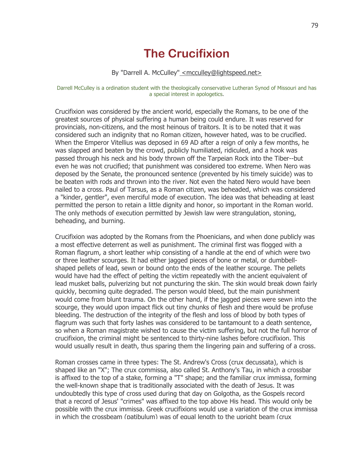## The Crucifixion

#### By "Darrell A. McCulley" <mcculley@lightspeed.net>

#### Darrell McCulley is a ordination student with the theologically conservative Lutheran Synod of Missouri and has a special interest in apologetics.

Crucifixion was considered by the ancient world, especially the Romans, to be one of the greatest sources of physical suffering a human being could endure. It was reserved for provincials, non-citizens, and the most heinous of traitors. It is to be noted that it was considered such an indignity that no Roman citizen, however hated, was to be crucified. When the Emperor Vitellius was deposed in 69 AD after a reign of only a few months, he was slapped and beaten by the crowd, publicly humiliated, ridiculed, and a hook was passed through his neck and his body thrown off the Tarpeian Rock into the Tiber--but even he was not crucified; that punishment was considered too extreme. When Nero was deposed by the Senate, the pronounced sentence (prevented by his timely suicide) was to be beaten with rods and thrown into the river. Not even the hated Nero would have been nailed to a cross. Paul of Tarsus, as a Roman citizen, was beheaded, which was considered a "kinder, gentler", even merciful mode of execution. The idea was that beheading at least permitted the person to retain a little dignity and honor, so important in the Roman world. The only methods of execution permitted by Jewish law were strangulation, stoning, beheading, and burning.

Crucifixion was adopted by the Romans from the Phoenicians, and when done publicly was a most effective deterrent as well as punishment. The criminal first was flogged with a Roman flagrum, a short leather whip consisting of a handle at the end of which were two or three leather scourges. It had either jagged pieces of bone or metal, or dumbbellshaped pellets of lead, sewn or bound onto the ends of the leather scourge. The pellets would have had the effect of pelting the victim repeatedly with the ancient equivalent of lead musket balls, pulverizing but not puncturing the skin. The skin would break down fairly quickly, becoming quite degraded. The person would bleed, but the main punishment would come from blunt trauma. On the other hand, if the jagged pieces were sewn into the scourge, they would upon impact flick out tiny chunks of flesh and there would be profuse bleeding. The destruction of the integrity of the flesh and loss of blood by both types of flagrum was such that forty lashes was considered to be tantamount to a death sentence, so when a Roman magistrate wished to cause the victim suffering, but not the full horror of crucifixion, the criminal might be sentenced to thirty-nine lashes before crucifixion. This would usually result in death, thus sparing them the lingering pain and suffering of a cross.

Roman crosses came in three types: The St. Andrew's Cross (crux decussata), which is shaped like an "X"; The crux commissa, also called St. Anthony's Tau, in which a crossbar is affixed to the top of a stake, forming a "T" shape; and the familiar crux immissa, forming the well-known shape that is traditionally associated with the death of Jesus. It was undoubtedly this type of cross used during that day on Golgotha, as the Gospels record that a record of Jesus' "crimes" was affixed to the top above His head. This would only be possible with the crux immissa. Greek crucifixions would use a variation of the crux immissa in which the crossbeam (patibulum) was of equal length to the upright beam (crux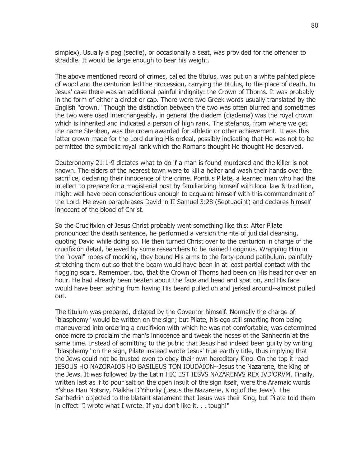simplex). Usually a peg (sedile), or occasionally a seat, was provided for the offender to straddle. It would be large enough to bear his weight.

The above mentioned record of crimes, called the titulus, was put on a white painted piece of wood and the centurion led the procession, carrying the titulus, to the place of death. In Jesus' case there was an additional painful indignity: the Crown of Thorns. It was probably in the form of either a circlet or cap. There were two Greek words usually translated by the English "crown." Though the distinction between the two was often blurred and sometimes the two were used interchangeably, in general the diadem (diadema) was the royal crown which is inherited and indicated a person of high rank. The stefanos, from where we get the name Stephen, was the crown awarded for athletic or other achievement. It was this latter crown made for the Lord during His ordeal, possibly indicating that He was not to be permitted the symbolic royal rank which the Romans thought He thought He deserved.

Deuteronomy 21:1-9 dictates what to do if a man is found murdered and the killer is not known. The elders of the nearest town were to kill a heifer and wash their hands over the sacrifice, declaring their innocence of the crime. Pontius Pilate, a learned man who had the intellect to prepare for a magisterial post by familiarizing himself with local law & tradition, might well have been conscientious enough to acquaint himself with this commandment of the Lord. He even paraphrases David in II Samuel 3:28 (Septuagint) and declares himself innocent of the blood of Christ.

So the Crucifixion of Jesus Christ probably went something like this: After Pilate pronounced the death sentence, he performed a version the rite of judicial cleansing, quoting David while doing so. He then turned Christ over to the centurion in charge of the crucifixion detail, believed by some researchers to be named Longinus. Wrapping Him in the "royal" robes of mocking, they bound His arms to the forty-pound patibulum, painfully stretching them out so that the beam would have been in at least partial contact with the flogging scars. Remember, too, that the Crown of Thorns had been on His head for over an hour. He had already been beaten about the face and head and spat on, and His face would have been aching from having His beard pulled on and jerked around--almost pulled out.

The titulum was prepared, dictated by the Governor himself. Normally the charge of "blasphemy" would be written on the sign; but Pilate, his ego still smarting from being maneuvered into ordering a crucifixion with which he was not comfortable, was determined once more to proclaim the man's innocence and tweak the noses of the Sanhedrin at the same time. Instead of admitting to the public that Jesus had indeed been guilty by writing "blasphemy" on the sign, Pilate instead wrote Jesus' true earthly title, thus implying that the Jews could not be trusted even to obey their own hereditary King. On the top it read IESOUS HO NAZORAIOS HO BASILEUS TON IOUDAION--Jesus the Nazarene, the King of the Jews. It was followed by the Latin HIC EST IESVS NAZARENVS REX IVD'ORVM. Finally, written last as if to pour salt on the open insult of the sign itself, were the Aramaic words Y'shua Han Notsriy, Malkha D'Yihudiy (Jesus the Nazarene, King of the Jews). The Sanhedrin objected to the blatant statement that Jesus was their King, but Pilate told them in effect "I wrote what I wrote. If you don't like it. . . tough!"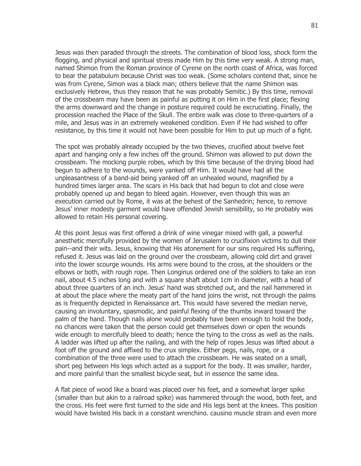Jesus was then paraded through the streets. The combination of blood loss, shock form the flogging, and physical and spiritual stress made Him by this time very weak. A strong man, named Shimon from the Roman province of Cyrene on the north coast of Africa, was forced to bear the patabulum because Christ was too weak. (Some scholars contend that, since he was from Cyrene, Simon was a black man; others believe that the name Shimon was exclusively Hebrew, thus they reason that he was probably Semitic.) By this time, removal of the crossbeam may have been as painful as putting it on Him in the first place; flexing the arms downward and the change in posture required could be excruciating. Finally, the procession reached the Place of the Skull. The entire walk was close to three-quarters of a mile, and Jesus was in an extremely weakened condition. Even if He had wished to offer resistance, by this time it would not have been possible for Him to put up much of a fight.

The spot was probably already occupied by the two thieves, crucified about twelve feet apart and hanging only a few inches off the ground. Shimon was allowed to put down the crossbeam. The mocking purple robes, which by this time because of the drying blood had begun to adhere to the wounds, were yanked off Him. It would have had all the unpleasantness of a band-aid being yanked off an unhealed wound, magnified by a hundred times larger area. The scars in His back that had begun to clot and close were probably opened up and began to bleed again. However, even though this was an execution carried out by Rome, it was at the behest of the Sanhedrin; hence, to remove Jesus' inner modesty garment would have offended Jewish sensibility, so He probably was allowed to retain His personal covering.

At this point Jesus was first offered a drink of wine vinegar mixed with gall, a powerful anesthetic mercifully provided by the women of Jerusalem to crucifixion victims to dull their pain--and their wits. Jesus, knowing that His atonement for our sins required His suffering, refused it. Jesus was laid on the ground over the crossbeam, allowing cold dirt and gravel into the lower scourge wounds. His arms were bound to the cross, at the shoulders or the elbows or both, with rough rope. Then Longinus ordered one of the soldiers to take an iron nail, about 4.5 inches long and with a square shaft about 1cm in diameter, with a head of about three quarters of an inch. Jesus' hand was stretched out, and the nail hammered in at about the place where the meaty part of the hand joins the wrist, not through the palms as is frequently depicted in Renaissance art. This would have severed the median nerve, causing an involuntary, spasmodic, and painful flexing of the thumbs inward toward the palm of the hand. Though nails alone would probably have been enough to hold the body, no chances were taken that the person could get themselves down or open the wounds wide enough to mercifully bleed to death; hence the tying to the cross as well as the nails. A ladder was lifted up after the nailing, and with the help of ropes Jesus was lifted about a foot off the ground and affixed to the crux simplex. Either pegs, nails, rope, or a combination of the three were used to attach the crossbeam. He was seated on a small, short peg between His legs which acted as a support for the body. It was smaller, harder, and more painful than the smallest bicycle seat, but in essence the same idea.

A flat piece of wood like a board was placed over his feet, and a somewhat larger spike (smaller than but akin to a railroad spike) was hammered through the wood, both feet, and the cross. His feet were first turned to the side and His legs bent at the knees. This position would have twisted His back in a constant wrenching, causing muscle strain and even more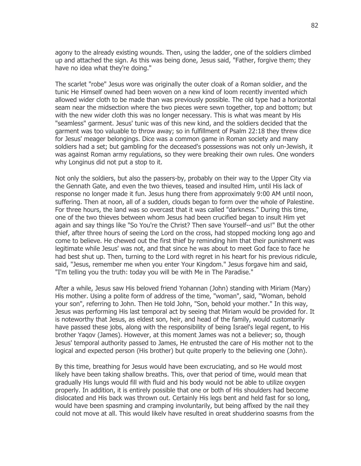agony to the already existing wounds. Then, using the ladder, one of the soldiers climbed up and attached the sign. As this was being done, Jesus said, "Father, forgive them; they have no idea what they're doing."

The scarlet "robe" Jesus wore was originally the outer cloak of a Roman soldier, and the tunic He Himself owned had been woven on a new kind of loom recently invented which allowed wider cloth to be made than was previously possible. The old type had a horizontal seam near the midsection where the two pieces were sewn together, top and bottom; but with the new wider cloth this was no longer necessary. This is what was meant by His "seamless" garment. Jesus' tunic was of this new kind, and the soldiers decided that the garment was too valuable to throw away; so in fulfillment of Psalm 22:18 they threw dice for Jesus' meager belongings. Dice was a common game in Roman society and many soldiers had a set; but gambling for the deceased's possessions was not only un-Jewish, it was against Roman army regulations, so they were breaking their own rules. One wonders why Longinus did not put a stop to it.

Not only the soldiers, but also the passers-by, probably on their way to the Upper City via the Gennath Gate, and even the two thieves, teased and insulted Him, until His lack of response no longer made it fun. Jesus hung there from approximately 9:00 AM until noon, suffering. Then at noon, all of a sudden, clouds began to form over the whole of Palestine. For three hours, the land was so overcast that it was called "darkness." During this time, one of the two thieves between whom Jesus had been crucified began to insult Him yet again and say things like "So You're the Christ? Then save Yourself--and us!" But the other thief, after three hours of seeing the Lord on the cross, had stopped mocking long ago and come to believe. He chewed out the first thief by reminding him that their punishment was legitimate while Jesus' was not, and that since he was about to meet God face to face he had best shut up. Then, turning to the Lord with regret in his heart for his previous ridicule, said, "Jesus, remember me when you enter Your Kingdom." Jesus forgave him and said, "I'm telling you the truth: today you will be with Me in The Paradise."

After a while, Jesus saw His beloved friend Yohannan (John) standing with Miriam (Mary) His mother. Using a polite form of address of the time, "woman", said, "Woman, behold your son", referring to John. Then He told John, "Son, behold your mother." In this way, Jesus was performing His last temporal act by seeing that Miriam would be provided for. It is noteworthy that Jesus, as eldest son, heir, and head of the family, would customarily have passed these jobs, along with the responsibility of being Israel's legal regent, to His brother Yaqov (James). However, at this moment James was not a believer; so, though Jesus' temporal authority passed to James, He entrusted the care of His mother not to the logical and expected person (His brother) but quite properly to the believing one (John).

By this time, breathing for Jesus would have been excruciating, and so He would most likely have been taking shallow breaths. This, over that period of time, would mean that gradually His lungs would fill with fluid and his body would not be able to utilize oxygen properly. In addition, it is entirely possible that one or both of His shoulders had become dislocated and His back was thrown out. Certainly His legs bent and held fast for so long, would have been spasming and cramping involuntarily, but being affixed by the nail they could not move at all. This would likely have resulted in great shuddering spasms from the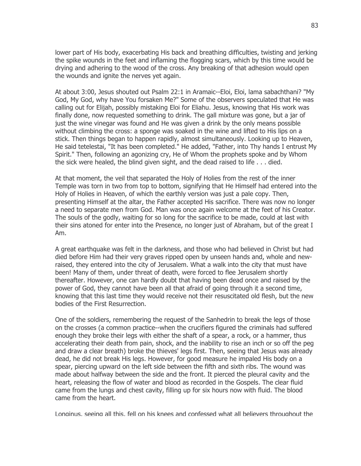lower part of His body, exacerbating His back and breathing difficulties, twisting and jerking the spike wounds in the feet and inflaming the flogging scars, which by this time would be drying and adhering to the wood of the cross. Any breaking of that adhesion would open the wounds and ignite the nerves yet again.

At about 3:00, Jesus shouted out Psalm 22:1 in Aramaic--Eloi, Eloi, lama sabachthani? "My God, My God, why have You forsaken Me?" Some of the observers speculated that He was calling out for Elijah, possibly mistaking Eloi for Eliahu. Jesus, knowing that His work was finally done, now requested something to drink. The gall mixture was gone, but a jar of just the wine vinegar was found and He was given a drink by the only means possible without climbing the cross: a sponge was soaked in the wine and lifted to His lips on a stick. Then things began to happen rapidly, almost simultaneously. Looking up to Heaven, He said tetelestai, "It has been completed." He added, "Father, into Thy hands I entrust My Spirit." Then, following an agonizing cry, He of Whom the prophets spoke and by Whom the sick were healed, the blind given sight, and the dead raised to life . . . died.

At that moment, the veil that separated the Holy of Holies from the rest of the inner Temple was torn in two from top to bottom, signifying that He Himself had entered into the Holy of Holies in Heaven, of which the earthly version was just a pale copy. Then, presenting Himself at the altar, the Father accepted His sacrifice. There was now no longer a need to separate men from God. Man was once again welcome at the feet of his Creator. The souls of the godly, waiting for so long for the sacrifice to be made, could at last with their sins atoned for enter into the Presence, no longer just of Abraham, but of the great I Am.

A great earthquake was felt in the darkness, and those who had believed in Christ but had died before Him had their very graves ripped open by unseen hands and, whole and newraised, they entered into the city of Jerusalem. What a walk into the city that must have been! Many of them, under threat of death, were forced to flee Jerusalem shortly thereafter. However, one can hardly doubt that having been dead once and raised by the power of God, they cannot have been all that afraid of going through it a second time, knowing that this last time they would receive not their resuscitated old flesh, but the new bodies of the First Resurrection.

One of the soldiers, remembering the request of the Sanhedrin to break the legs of those on the crosses (a common practice--when the crucifiers figured the criminals had suffered enough they broke their legs with either the shaft of a spear, a rock, or a hammer, thus accelerating their death from pain, shock, and the inability to rise an inch or so off the peg and draw a clear breath) broke the thieves' legs first. Then, seeing that Jesus was already dead, he did not break His legs. However, for good measure he impaled His body on a spear, piercing upward on the left side between the fifth and sixth ribs. The wound was made about halfway between the side and the front. It pierced the pleural cavity and the heart, releasing the flow of water and blood as recorded in the Gospels. The clear fluid came from the lungs and chest cavity, filling up for six hours now with fluid. The blood came from the heart.

Longinus, seeing all this, fell on his knees and confessed what all believers throughout the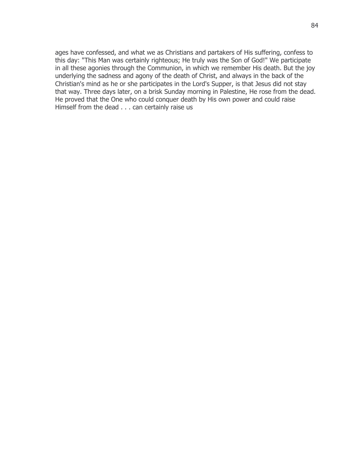ages have confessed, and what we as Christians and partakers of His suffering, confess to this day: "This Man was certainly righteous; He truly was the Son of God!" We participate in all these agonies through the Communion, in which we remember His death. But the joy underlying the sadness and agony of the death of Christ, and always in the back of the Christian's mind as he or she participates in the Lord's Supper, is that Jesus did not stay that way. Three days later, on a brisk Sunday morning in Palestine, He rose from the dead. He proved that the One who could conquer death by His own power and could raise Himself from the dead . . . can certainly raise us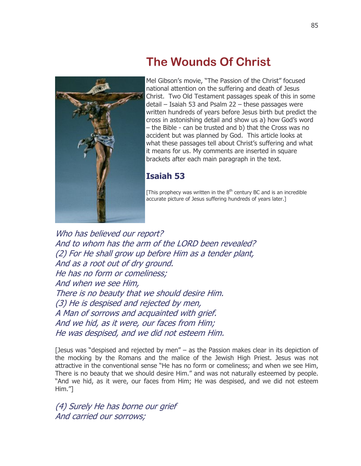

# The Wounds Of Christ

Mel Gibson's movie, "The Passion of the Christ" focused national attention on the suffering and death of Jesus Christ. Two Old Testament passages speak of this in some detail – Isaiah 53 and Psalm 22 – these passages were written hundreds of years before Jesus birth but predict the cross in astonishing detail and show us a) how God's word – the Bible - can be trusted and b) that the Cross was no accident but was planned by God. This article looks at what these passages tell about Christ's suffering and what it means for us. My comments are inserted in square brackets after each main paragraph in the text.

### Isaiah 53

[This prophecy was written in the  $8<sup>th</sup>$  century BC and is an incredible accurate picture of Jesus suffering hundreds of years later.]

Who has believed our report? And to whom has the arm of the LORD been revealed? (2) For He shall grow up before Him as a tender plant, And as a root out of dry ground. He has no form or comeliness; And when we see Him, There is no beauty that we should desire Him. (3) He is despised and rejected by men, A Man of sorrows and acquainted with grief. And we hid, as it were, our faces from Him; He was despised, and we did not esteem Him.

[Jesus was "despised and rejected by men" – as the Passion makes clear in its depiction of the mocking by the Romans and the malice of the Jewish High Priest. Jesus was not attractive in the conventional sense "He has no form or comeliness; and when we see Him, There is no beauty that we should desire Him." and was not naturally esteemed by people. "And we hid, as it were, our faces from Him; He was despised, and we did not esteem Him."]

(4) Surely He has borne our grief And carried our sorrows;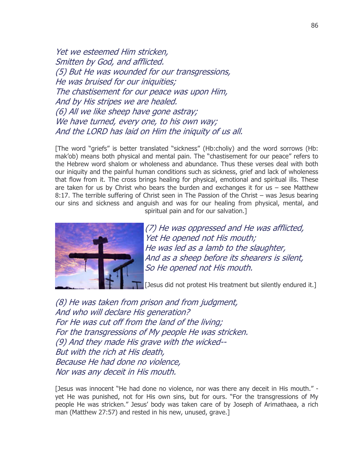Yet we esteemed Him stricken, Smitten by God, and afflicted. (5) But He was wounded for our transgressions, He was bruised for our iniquities; The chastisement for our peace was upon Him, And by His stripes we are healed. (6) All we like sheep have gone astray; We have turned, every one, to his own way; And the LORD has laid on Him the iniquity of us all.

[The word "griefs" is better translated "sickness" (Hb:choliy) and the word sorrows (Hb: mak'ob) means both physical and mental pain. The "chastisement for our peace" refers to the Hebrew word shalom or wholeness and abundance. Thus these verses deal with both our iniquity and the painful human conditions such as sickness, grief and lack of wholeness that flow from it. The cross brings healing for physical, emotional and spiritual ills. These are taken for us by Christ who bears the burden and exchanges it for us  $-$  see Matthew 8:17. The terrible suffering of Christ seen in The Passion of the Christ – was Jesus bearing our sins and sickness and anguish and was for our healing from physical, mental, and spiritual pain and for our salvation.]



(7) He was oppressed and He was afflicted, Yet He opened not His mouth; He was led as a lamb to the slaughter, And as a sheep before its shearers is silent, So He opened not His mouth.

[Jesus did not protest His treatment but silently endured it.]

(8) He was taken from prison and from judgment, And who will declare His generation? For He was cut off from the land of the living; For the transgressions of My people He was stricken. (9) And they made His grave with the wicked-- But with the rich at His death, Because He had done no violence, Nor was any deceit in His mouth.

[Jesus was innocent "He had done no violence, nor was there any deceit in His mouth." yet He was punished, not for His own sins, but for ours. "For the transgressions of My people He was stricken." Jesus' body was taken care of by Joseph of Arimathaea, a rich man (Matthew 27:57) and rested in his new, unused, grave.]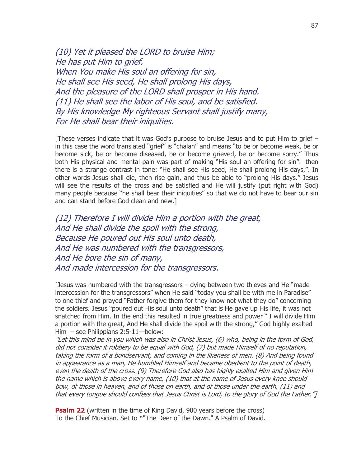(10) Yet it pleased the LORD to bruise Him; He has put Him to grief. When You make His soul an offering for sin, He shall see His seed, He shall prolong His days, And the pleasure of the LORD shall prosper in His hand. (11) He shall see the labor of His soul, and be satisfied. By His knowledge My righteous Servant shall justify many, For He shall bear their iniquities.

[These verses indicate that it was God's purpose to bruise Jesus and to put Him to grief – in this case the word translated "grief" is "chalah" and means "to be or become weak, be or become sick, be or become diseased, be or become grieved, be or become sorry." Thus both His physical and mental pain was part of making "His soul an offering for sin". then there is a strange contrast in tone: "He shall see His seed, He shall prolong His days,". In other words Jesus shall die, then rise gain, and thus be able to "prolong His days." Jesus will see the results of the cross and be satisfied and He will justify (put right with God) many people because "he shall bear their iniquities" so that we do not have to bear our sin and can stand before God clean and new.]

(12) Therefore I will divide Him a portion with the great, And He shall divide the spoil with the strong, Because He poured out His soul unto death, And He was numbered with the transgressors, And He bore the sin of many, And made intercession for the transgressors.

[Jesus was numbered with the transgressors – dying between two thieves and He "made intercession for the transgressors" when He said "today you shall be with me in Paradise" to one thief and prayed "Father forgive them for they know not what they do" concerning the soldiers. Jesus "poured out His soul unto death" that is He gave up His life, it was not snatched from Him. In the end this resulted in true greatness and power " I will divide Him a portion with the great, And He shall divide the spoil with the strong," God highly exalted Him – see Philippians 2:5-11—below:

"Let this mind be in you which was also in Christ Jesus, (6) who, being in the form of God, did not consider it robbery to be equal with God, (7) but made Himself of no reputation, taking the form of a bondservant, and coming in the likeness of men. (8) And being found in appearance as a man, He humbled Himself and became obedient to the point of death, even the death of the cross. (9) Therefore God also has highly exalted Him and given Him the name which is above every name, (10) that at the name of Jesus every knee should bow, of those in heaven, and of those on earth, and of those under the earth, (11) and that every tongue should confess that Jesus Christ is Lord, to the glory of God the Father."]

**Psalm 22** (written in the time of King David, 900 years before the cross) To the Chief Musician. Set to \*"The Deer of the Dawn." A Psalm of David.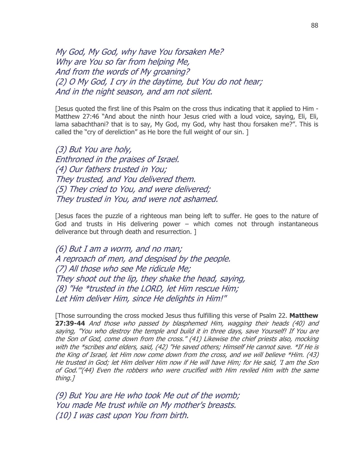My God, My God, why have You forsaken Me? Why are You so far from helping Me, And from the words of My groaning? (2) O My God, I cry in the daytime, but You do not hear; And in the night season, and am not silent.

[Jesus quoted the first line of this Psalm on the cross thus indicating that it applied to Him - Matthew 27:46 "And about the ninth hour Jesus cried with a loud voice, saying, Eli, Eli, lama sabachthani? that is to say, My God, my God, why hast thou forsaken me?". This is called the "cry of dereliction" as He bore the full weight of our sin. ]

(3) But You are holy, Enthroned in the praises of Israel. (4) Our fathers trusted in You; They trusted, and You delivered them. (5) They cried to You, and were delivered; They trusted in You, and were not ashamed.

[Jesus faces the puzzle of a righteous man being left to suffer. He goes to the nature of God and trusts in His delivering power – which comes not through instantaneous deliverance but through death and resurrection. ]

(6) But I am a worm, and no man; A reproach of men, and despised by the people. (7) All those who see Me ridicule Me; They shoot out the lip, they shake the head, saying, (8) "He \*trusted in the LORD, let Him rescue Him; Let Him deliver Him, since He delights in Him!"

[Those surrounding the cross mocked Jesus thus fulfilling this verse of Psalm 22. Matthew 27:39-44 And those who passed by blasphemed Him, wagging their heads (40) and saying, "You who destroy the temple and build it in three days, save Yourself! If You are the Son of God, come down from the cross." (41) Likewise the chief priests also, mocking with the \*scribes and elders, said, (42) "He saved others; Himself He cannot save. \*If He is the King of Israel, let Him now come down from the cross, and we will believe \*Him. (43) He trusted in God; let Him deliver Him now if He will have Him; for He said, 'I am the Son of God.'"(44) Even the robbers who were crucified with Him reviled Him with the same thing.]

(9) But You are He who took Me out of the womb; You made Me trust while on My mother's breasts. (10) I was cast upon You from birth.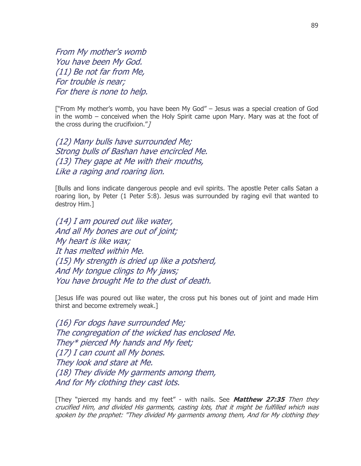From My mother's womb You have been My God. (11) Be not far from Me, For trouble is near; For there is none to help.

["From My mother's womb, you have been My God" – Jesus was a special creation of God in the womb – conceived when the Holy Spirit came upon Mary. Mary was at the foot of the cross during the crucifixion."

(12) Many bulls have surrounded Me; Strong bulls of Bashan have encircled Me. (13) They gape at Me with their mouths, Like a raging and roaring lion.

[Bulls and lions indicate dangerous people and evil spirits. The apostle Peter calls Satan a roaring lion, by Peter (1 Peter 5:8). Jesus was surrounded by raging evil that wanted to destroy Him.]

(14) I am poured out like water, And all My bones are out of joint; My heart is like wax; It has melted within Me. (15) My strength is dried up like a potsherd, And My tongue clings to My jaws; You have brought Me to the dust of death.

[Jesus life was poured out like water, the cross put his bones out of joint and made Him thirst and become extremely weak.]

(16) For dogs have surrounded Me; The congregation of the wicked has enclosed Me. They\* pierced My hands and My feet; (17) I can count all My bones. They look and stare at Me. (18) They divide My garments among them, And for My clothing they cast lots.

[They "pierced my hands and my feet" - with nails. See **Matthew 27:35** Then they crucified Him, and divided His garments, casting lots, that it might be fulfilled which was spoken by the prophet: "They divided My garments among them, And for My clothing they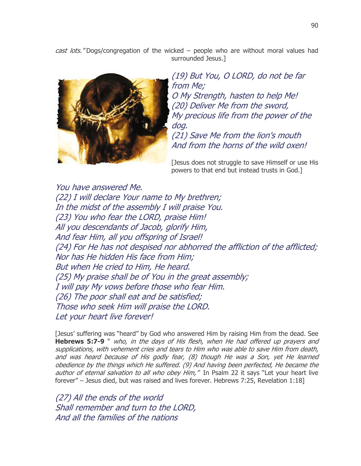cast lots. "Dogs/congregation of the wicked – people who are without moral values had surrounded Jesus.]



(19) But You, O LORD, do not be far from Me; O My Strength, hasten to help Me! (20) Deliver Me from the sword, My precious life from the power of the dog. (21) Save Me from the lion's mouth

And from the horns of the wild oxen!

[Jesus does not struggle to save Himself or use His powers to that end but instead trusts in God.]

You have answered Me. (22) I will declare Your name to My brethren; In the midst of the assembly I will praise You. (23) You who fear the LORD, praise Him! All you descendants of Jacob, glorify Him, And fear Him, all you offspring of Israel! (24) For He has not despised nor abhorred the affliction of the afflicted; Nor has He hidden His face from Him; But when He cried to Him, He heard. (25) My praise shall be of You in the great assembly; I will pay My vows before those who fear Him. (26) The poor shall eat and be satisfied; Those who seek Him will praise the LORD. Let your heart live forever!

[Jesus' suffering was "heard" by God who answered Him by raising Him from the dead. See Hebrews 5:7-9 " who, in the days of His flesh, when He had offered up prayers and supplications, with vehement cries and tears to Him who was able to save Him from death, and was heard because of His godly fear, (8) though He was a Son, yet He learned obedience by the things which He suffered. (9) And having been perfected, He became the author of eternal salvation to all who obey Him," In Psalm 22 it says "Let your heart live forever" – Jesus died, but was raised and lives forever. Hebrews 7:25, Revelation 1:18]

(27) All the ends of the world Shall remember and turn to the LORD, And all the families of the nations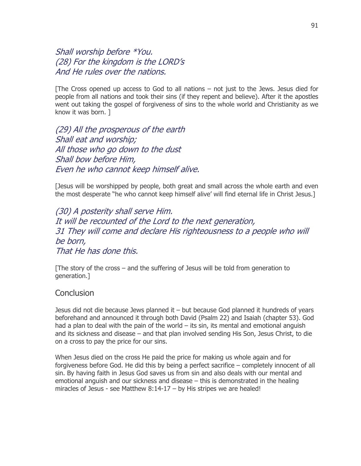Shall worship before \*You. (28) For the kingdom is the LORD's And He rules over the nations.

[The Cross opened up access to God to all nations – not just to the Jews. Jesus died for people from all nations and took their sins (if they repent and believe). After it the apostles went out taking the gospel of forgiveness of sins to the whole world and Christianity as we know it was born. ]

(29) All the prosperous of the earth Shall eat and worship; All those who go down to the dust Shall bow before Him, Even he who cannot keep himself alive.

[Jesus will be worshipped by people, both great and small across the whole earth and even the most desperate "he who cannot keep himself alive' will find eternal life in Christ Jesus.]

(30) A posterity shall serve Him. It will be recounted of the Lord to the next generation, 31 They will come and declare His righteousness to a people who will be born, That He has done this.

[The story of the cross – and the suffering of Jesus will be told from generation to generation.]

### **Conclusion**

Jesus did not die because Jews planned it – but because God planned it hundreds of years beforehand and announced it through both David (Psalm 22) and Isaiah (chapter 53). God had a plan to deal with the pain of the world  $-$  its sin, its mental and emotional anguish and its sickness and disease – and that plan involved sending His Son, Jesus Christ, to die on a cross to pay the price for our sins.

When Jesus died on the cross He paid the price for making us whole again and for forgiveness before God. He did this by being a perfect sacrifice – completely innocent of all sin. By having faith in Jesus God saves us from sin and also deals with our mental and emotional anguish and our sickness and disease – this is demonstrated in the healing miracles of Jesus - see Matthew 8:14-17 – by His stripes we are healed!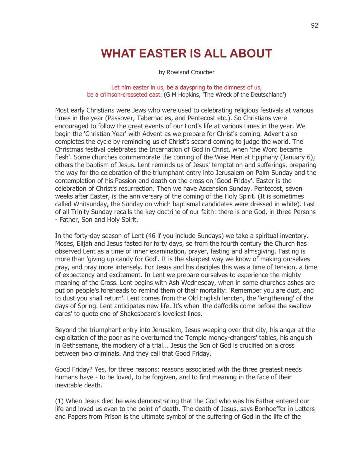# WHAT EASTER IS ALL ABOUT

by Rowland Croucher

#### Let him easter in us, be a dayspring to the dimness of us, be a crimson-cresseted east. (G M Hopkins, 'The Wreck of the Deutschland')

Most early Christians were Jews who were used to celebrating religious festivals at various times in the year (Passover, Tabernacles, and Pentecost etc.). So Christians were encouraged to follow the great events of our Lord's life at various times in the year. We begin the 'Christian Year' with Advent as we prepare for Christ's coming. Advent also completes the cycle by reminding us of Christ's second coming to judge the world. The Christmas festival celebrates the Incarnation of God in Christ, when 'the Word became flesh'. Some churches commemorate the coming of the Wise Men at Epiphany (January 6); others the baptism of Jesus. Lent reminds us of Jesus' temptation and sufferings, preparing the way for the celebration of the triumphant entry into Jerusalem on Palm Sunday and the contemplation of his Passion and death on the cross on 'Good Friday'. Easter is the celebration of Christ's resurrection. Then we have Ascension Sunday. Pentecost, seven weeks after Easter, is the anniversary of the coming of the Holy Spirit. (It is sometimes called Whitsunday, the Sunday on which baptismal candidates were dressed in white). Last of all Trinity Sunday recalls the key doctrine of our faith: there is one God, in three Persons - Father, Son and Holy Spirit.

In the forty-day season of Lent (46 if you include Sundays) we take a spiritual inventory. Moses, Elijah and Jesus fasted for forty days, so from the fourth century the Church has observed Lent as a time of inner examination, prayer, fasting and almsgiving. Fasting is more than 'giving up candy for God'. It is the sharpest way we know of making ourselves pray, and pray more intensely. For Jesus and his disciples this was a time of tension, a time of expectancy and excitement. In Lent we prepare ourselves to experience the mighty meaning of the Cross. Lent begins with Ash Wednesday, when in some churches ashes are put on people's foreheads to remind them of their mortality: 'Remember you are dust, and to dust you shall return'. Lent comes from the Old English lencten, the 'lengthening' of the days of Spring. Lent anticipates new life. It's when 'the daffodils come before the swallow dares' to quote one of Shakespeare's loveliest lines.

Beyond the triumphant entry into Jerusalem, Jesus weeping over that city, his anger at the exploitation of the poor as he overturned the Temple money-changers' tables, his anguish in Gethsemane, the mockery of a trial... Jesus the Son of God is crucified on a cross between two criminals. And they call that Good Friday.

Good Friday? Yes, for three reasons: reasons associated with the three greatest needs humans have - to be loved, to be forgiven, and to find meaning in the face of their inevitable death.

(1) When Jesus died he was demonstrating that the God who was his Father entered our life and loved us even to the point of death. The death of Jesus, says Bonhoeffer in Letters and Papers from Prison is the ultimate symbol of the suffering of God in the life of the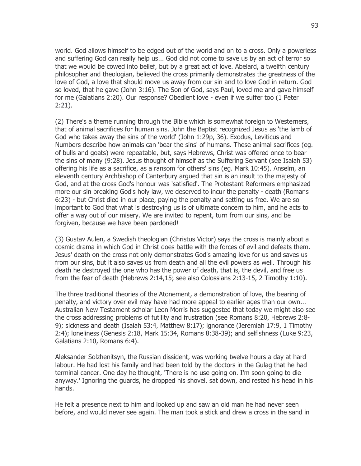world. God allows himself to be edged out of the world and on to a cross. Only a powerless and suffering God can really help us... God did not come to save us by an act of terror so that we would be cowed into belief, but by a great act of love. Abelard, a twelfth century philosopher and theologian, believed the cross primarily demonstrates the greatness of the love of God, a love that should move us away from our sin and to love God in return. God so loved, that he gave (John 3:16). The Son of God, says Paul, loved me and gave himself for me (Galatians 2:20). Our response? Obedient love - even if we suffer too (1 Peter 2:21).

(2) There's a theme running through the Bible which is somewhat foreign to Westerners, that of animal sacrifices for human sins. John the Baptist recognized Jesus as 'the lamb of God who takes away the sins of the world' (John 1:29p, 36). Exodus, Leviticus and Numbers describe how animals can 'bear the sins' of humans. These animal sacrifices (eg. of bulls and goats) were repeatable, but, says Hebrews, Christ was offered once to bear the sins of many (9:28). Jesus thought of himself as the Suffering Servant (see Isaiah 53) offering his life as a sacrifice, as a ransom for others' sins (eg. Mark 10:45). Anselm, an eleventh century Archbishop of Canterbury argued that sin is an insult to the majesty of God, and at the cross God's honour was 'satisfied'. The Protestant Reformers emphasized more our sin breaking God's holy law, we deserved to incur the penalty - death (Romans 6:23) - but Christ died in our place, paying the penalty and setting us free. We are so important to God that what is destroying us is of ultimate concern to him, and he acts to offer a way out of our misery. We are invited to repent, turn from our sins, and be forgiven, because we have been pardoned!

(3) Gustav Aulen, a Swedish theologian (Christus Victor) says the cross is mainly about a cosmic drama in which God in Christ does battle with the forces of evil and defeats them. Jesus' death on the cross not only demonstrates God's amazing love for us and saves us from our sins, but it also saves us from death and all the evil powers as well. Through his death he destroyed the one who has the power of death, that is, the devil, and free us from the fear of death (Hebrews 2:14,15; see also Colossians 2:13-15, 2 Timothy 1:10).

The three traditional theories of the Atonement, a demonstration of love, the bearing of penalty, and victory over evil may have had more appeal to earlier ages than our own... Australian New Testament scholar Leon Morris has suggested that today we might also see the cross addressing problems of futility and frustration (see Romans 8:20, Hebrews 2:8- 9); sickness and death (Isaiah 53:4, Matthew 8:17); ignorance (Jeremiah 17:9, 1 Timothy 2:4); loneliness (Genesis 2:18, Mark 15:34, Romans 8:38-39); and selfishness (Luke 9:23, Galatians 2:10, Romans 6:4).

Aleksander Solzhenitsyn, the Russian dissident, was working twelve hours a day at hard labour. He had lost his family and had been told by the doctors in the Gulag that he had terminal cancer. One day he thought, 'There is no use going on. I'm soon going to die anyway.' Ignoring the guards, he dropped his shovel, sat down, and rested his head in his hands.

He felt a presence next to him and looked up and saw an old man he had never seen before, and would never see again. The man took a stick and drew a cross in the sand in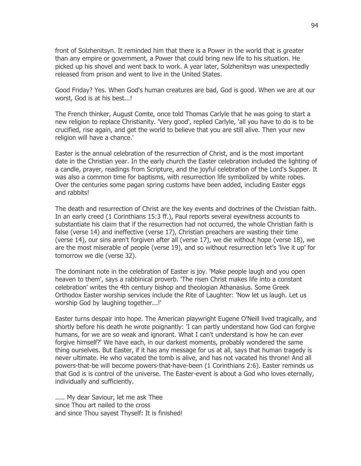front of Solzhenitsyn. It reminded him that there is a Power in the world that is greater than any empire or government, a Power that could bring new life to his situation. He picked up his shovel and went back to work. A year later, Solzhenitsyn was unexpectedly released from prison and went to live in the United States.

Good Friday? Yes. When God's human creatures are bad, God is good. When we are at our worst, God is at his best...!

The French thinker, August Comte, once told Thomas Carlyle that he was going to start a new religion to replace Christianity. 'Very good', replied Carlyle, 'all you have to do is to be crucified, rise again, and get the world to believe that you are still alive. Then your new religion will have a chance.'

Easter is the annual celebration of the resurrection of Christ, and is the most important date in the Christian year. In the early church the Easter celebration included the lighting of a candle, prayer, readings from Scripture, and the joyful celebration of the Lord's Supper. It was also a common time for baptisms, with resurrection life symbolized by white robes. Over the centuries some pagan spring customs have been added, including Easter eggs and rabbits!

The death and resurrection of Christ are the key events and doctrines of the Christian faith. In an early creed (1 Corinthians 15:3 ff.), Paul reports several eyewitness accounts to substantiate his claim that if the resurrection had not occurred, the whole Christian faith is false (verse 14) and ineffective (verse 17), Christian preachers are wasting their time (verse 14), our sins aren't forgiven after all (verse 17), we die without hope (verse 18), we are the most miserable of people (verse 19), and so without resurrection let's 'live it up' for tomorrow we die (verse 32).

The dominant note in the celebration of Easter is joy. 'Make people laugh and you open heaven to them', says a rabbinical proverb. 'The risen Christ makes life into a constant celebration' writes the 4th century bishop and theologian Athanasius. Some Greek Orthodox Easter worship services include the Rite of Laughter: 'Now let us laugh. Let us worship God by laughing together...!'

Easter turns despair into hope. The American playwright Eugene O'Neill lived tragically, and shortly before his death he wrote poignantly: 'I can partly understand how God can forgive humans, for we are so weak and ignorant. What I can't understand is how he can ever forgive himself?' We have each, in our darkest moments, probably wondered the same thing ourselves. But Easter, if it has any message for us at all, says that human tragedy is never ultimate. He who vacated the tomb is alive, and has not vacated his throne! And all powers-that-be will become powers-that-have-been (1 Corinthians 2:6). Easter reminds us that God is is control of the universe. The Easter-event is about a God who loves eternally, individually and sufficiently.

..... My dear Saviour, let me ask Thee since Thou art nailed to the cross and since Thou sayest Thyself: It is finished!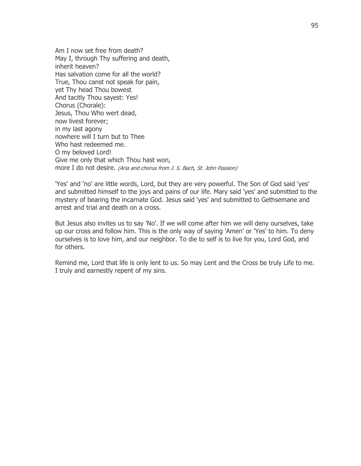Am I now set free from death? May I, through Thy suffering and death, inherit heaven? Has salvation come for all the world? True, Thou canst not speak for pain, yet Thy head Thou bowest And tacitly Thou sayest: Yes! Chorus (Chorale): Jesus, Thou Who wert dead, now livest forever; in my last agony nowhere will I turn but to Thee Who hast redeemed me. O my beloved Lord! Give me only that which Thou hast won, more I do not desire. (Aria and chorus from J. S. Bach, St. John Passion)

'Yes' and 'no' are little words, Lord, but they are very powerful. The Son of God said 'yes' and submitted himself to the joys and pains of our life. Mary said 'yes' and submitted to the mystery of bearing the incarnate God. Jesus said 'yes' and submitted to Gethsemane and arrest and trial and death on a cross.

But Jesus also invites us to say 'No'. If we will come after him we will deny ourselves, take up our cross and follow him. This is the only way of saying 'Amen' or 'Yes' to him. To deny ourselves is to love him, and our neighbor. To die to self is to live for you, Lord God, and for others.

Remind me, Lord that life is only lent to us. So may Lent and the Cross be truly Life to me. I truly and earnestly repent of my sins.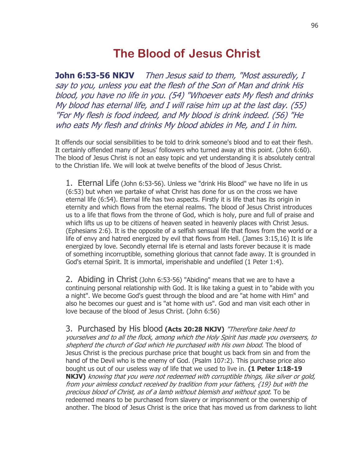### The Blood of Jesus Christ

John 6:53-56 NKJV Then Jesus said to them, "Most assuredly, I say to you, unless you eat the flesh of the Son of Man and drink His blood, you have no life in you. (54) "Whoever eats My flesh and drinks My blood has eternal life, and I will raise him up at the last day. (55) "For My flesh is food indeed, and My blood is drink indeed. (56) "He who eats My flesh and drinks My blood abides in Me, and I in him.

It offends our social sensibilities to be told to drink someone's blood and to eat their flesh. It certainly offended many of Jesus' followers who turned away at this point. (John 6:60). The blood of Jesus Christ is not an easy topic and yet understanding it is absolutely central to the Christian life. We will look at twelve benefits of the blood of Jesus Christ.

1. Eternal Life (John 6:53-56). Unless we "drink His Blood" we have no life in us (6:53) but when we partake of what Christ has done for us on the cross we have eternal life (6:54). Eternal life has two aspects. Firstly it is life that has its origin in eternity and which flows from the eternal realms. The blood of Jesus Christ introduces us to a life that flows from the throne of God, which is holy, pure and full of praise and which lifts us up to be citizens of heaven seated in heavenly places with Christ Jesus. (Ephesians 2:6). It is the opposite of a selfish sensual life that flows from the world or a life of envy and hatred energized by evil that flows from Hell. (James 3:15,16) It is life energized by love. Secondly eternal life is eternal and lasts forever because it is made of something incorruptible, something glorious that cannot fade away. It is grounded in God's eternal Spirit. It is immortal, imperishable and undefiled (1 Peter 1:4).

2. Abiding in Christ (John 6:53-56) "Abiding" means that we are to have a continuing personal relationship with God. It is like taking a guest in to "abide with you a night". We become God's guest through the blood and are "at home with Him" and also he becomes our guest and is "at home with us". God and man visit each other in love because of the blood of Jesus Christ. (John 6:56)

3. Purchased by His blood (Acts 20:28 NKJV) "Therefore take heed to yourselves and to all the flock, among which the Holy Spirit has made you overseers, to shepherd the church of God which He purchased with His own blood. The blood of Jesus Christ is the precious purchase price that bought us back from sin and from the hand of the Devil who is the enemy of God. (Psalm 107:2). This purchase price also bought us out of our useless way of life that we used to live in. **(1 Peter 1:18-19** NKJV) knowing that you were not redeemed with corruptible things, like silver or gold, from your aimless conduct received by tradition from your fathers, {19} but with the precious blood of Christ, as of a lamb without blemish and without spot. To be redeemed means to be purchased from slavery or imprisonment or the ownership of another. The blood of Jesus Christ is the price that has moved us from darkness to light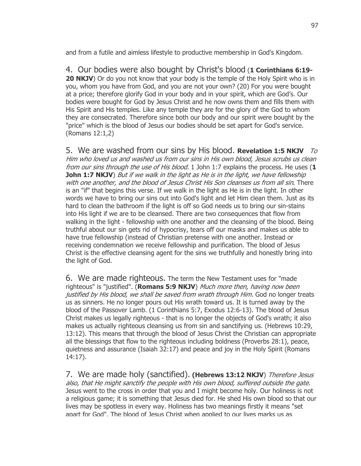and from a futile and aimless lifestyle to productive membership in God's Kingdom.

4. Our bodies were also bought by Christ's blood (1 Corinthians 6:19- 20 NKJV) Or do you not know that your body is the temple of the Holy Spirit who is in you, whom you have from God, and you are not your own? (20) For you were bought at a price; therefore glorify God in your body and in your spirit, which are God's. Our bodies were bought for God by Jesus Christ and he now owns them and fills them with His Spirit and His temples. Like any temple they are for the glory of the God to whom they are consecrated. Therefore since both our body and our spirit were bought by the "price" which is the blood of Jesus our bodies should be set apart for God's service. (Romans 12:1,2)

5. We are washed from our sins by His blood. Revelation 1:5 NKJV  $\bar{7}$ Him who loved us and washed us from our sins in His own blood, Jesus scrubs us clean from our sins through the use of His blood. 1 John 1:7 explains the process. He uses  $(1)$ John 1:7 NKJV) But if we walk in the light as He is in the light, we have fellowship with one another, and the blood of Jesus Christ His Son cleanses us from all sin. There is an "if" that begins this verse. If we walk in the light as He is in the light. In other words we have to bring our sins out into God's light and let Him clean them. Just as its hard to clean the bathroom if the light is off so God needs us to bring our sin-stains into His light if we are to be cleansed. There are two consequences that flow from walking in the light - fellowship with one another and the cleansing of the blood. Being truthful about our sin gets rid of hypocrisy, tears off our masks and makes us able to have true fellowship (instead of Christian pretense with one another. Instead or receiving condemnation we receive fellowship and purification. The blood of Jesus Christ is the effective cleansing agent for the sins we truthfully and honestly bring into the light of God.

6. We are made righteous. The term the New Testament uses for "made righteous" is "justified". (Romans 5:9 NKJV) Much more then, having now been justified by His blood, we shall be saved from wrath through Him. God no longer treats us as sinners. He no longer pours out His wrath toward us. It is turned away by the blood of the Passover Lamb. (1 Corinthians 5:7, Exodus 12:6-13). The blood of Jesus Christ makes us legally righteous - that is no longer the objects of God's wrath; it also makes us actually righteous cleansing us from sin and sanctifying us. (Hebrews 10:29, 13:12). This means that through the blood of Jesus Christ the Christian can appropriate all the blessings that flow to the righteous including boldness (Proverbs 28:1), peace, quietness and assurance (Isaiah 32:17) and peace and joy in the Holy Spirit (Romans 14:17).

7. We are made holy (sanctified). (Hebrews 13:12 NKJV) Therefore Jesus also, that He might sanctify the people with His own blood, suffered outside the gate. Jesus went to the cross in order that you and I might become holy. Our holiness is not a religious game; it is something that Jesus died for. He shed His own blood so that our lives may be spotless in every way. Holiness has two meanings firstly it means "set apart for God". The blood of Jesus Christ when applied to our lives marks us as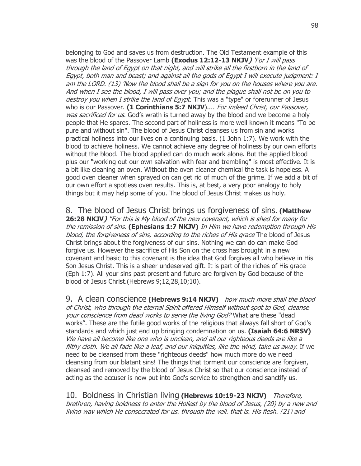belonging to God and saves us from destruction. The Old Testament example of this was the blood of the Passover Lamb (Exodus 12:12-13 NKJV) 'For I will pass through the land of Egypt on that night, and will strike all the firstborn in the land of Egypt, both man and beast; and against all the gods of Egypt I will execute judgment: I am the LORD. (13) 'Now the blood shall be a sign for you on the houses where you are. And when I see the blood, I will pass over you; and the plague shall not be on you to destroy you when I strike the land of Egypt. This was a "type" or forerunner of Jesus who is our Passover. (1 Corinthians 5:7 NKJV).... For indeed Christ, our Passover, was sacrificed for us. God's wrath is turned away by the blood and we become a holy people that He spares. The second part of holiness is more well known it means "To be pure and without sin". The blood of Jesus Christ cleanses us from sin and works practical holiness into our lives on a continuing basis. (1 John 1:7). We work with the blood to achieve holiness. We cannot achieve any degree of holiness by our own efforts without the blood. The blood applied can do much work alone. But the applied blood plus our "working out our own salvation with fear and trembling" is most effective. It is a bit like cleaning an oven. Without the oven cleaner chemical the task is hopeless. A good oven cleaner when sprayed on can get rid of much of the grime. If we add a bit of our own effort a spotless oven results. This is, at best, a very poor analogy to holy things but it may help some of you. The blood of Jesus Christ makes us holy.

8. The blood of Jesus Christ brings us forgiveness of sins. (Matthew 26:28 NKJV) "For this is My blood of the new covenant, which is shed for many for the remission of sins. (Ephesians 1:7 NKJV) In Him we have redemption through His blood, the forgiveness of sins, according to the riches of His grace The blood of Jesus Christ brings about the forgiveness of our sins. Nothing we can do can make God forgive us. However the sacrifice of His Son on the cross has brought in a new covenant and basic to this covenant is the idea that God forgives all who believe in His Son Jesus Christ. This is a sheer undeserved gift. It is part of the riches of His grace (Eph 1:7). All your sins past present and future are forgiven by God because of the blood of Jesus Christ.(Hebrews 9;12,28,10;10).

9. A clean conscience (**Hebrews 9:14 NKJV**) how much more shall the blood of Christ, who through the eternal Spirit offered Himself without spot to God, cleanse your conscience from dead works to serve the living God? What are these "dead works". These are the futile good works of the religious that always fall short of God's standards and which just end up bringing condemnation on us. (Isaiah 64:6 NRSV) We have all become like one who is unclean, and all our righteous deeds are like a filthy cloth. We all fade like a leaf, and our iniquities, like the wind, take us away. If we need to be cleansed from these "righteous deeds" how much more do we need cleansing from our blatant sins! The things that torment our conscience are forgiven, cleansed and removed by the blood of Jesus Christ so that our conscience instead of acting as the accuser is now put into God's service to strengthen and sanctify us.

10. Boldness in Christian living (Hebrews 10:19-23 NKJV) Therefore, brethren, having boldness to enter the Holiest by the blood of Jesus, (20) by a new and living way which He consecrated for us, through the veil, that is, His flesh, (21) and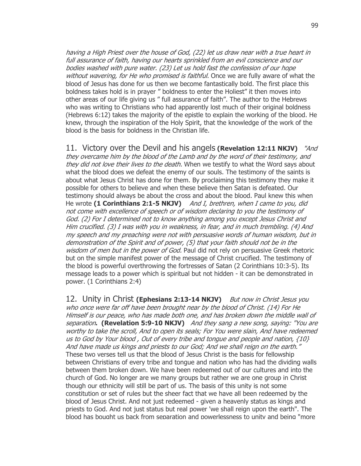having a High Priest over the house of God, (22) let us draw near with a true heart in full assurance of faith, having our hearts sprinkled from an evil conscience and our bodies washed with pure water. (23) Let us hold fast the confession of our hope without wavering, for He who promised is faithful. Once we are fully aware of what the blood of Jesus has done for us then we become fantastically bold. The first place this boldness takes hold is in prayer " boldness to enter the Holiest" it then moves into other areas of our life giving us " full assurance of faith". The author to the Hebrews who was writing to Christians who had apparently lost much of their original boldness (Hebrews 6:12) takes the majority of the epistle to explain the working of the blood. He knew, through the inspiration of the Holy Spirit, that the knowledge of the work of the blood is the basis for boldness in the Christian life.

11. Victory over the Devil and his angels (Revelation 12:11 NKJV) "And they overcame him by the blood of the Lamb and by the word of their testimony, and they did not love their lives to the death. When we testify to what the Word says about what the blood does we defeat the enemy of our souls. The testimony of the saints is about what Jesus Christ has done for them. By proclaiming this testimony they make it possible for others to believe and when these believe then Satan is defeated. Our testimony should always be about the cross and about the blood. Paul knew this when He wrote (1 Corinthians 2:1-5 NKJV) And I, brethren, when I came to you, did not come with excellence of speech or of wisdom declaring to you the testimony of God. (2) For I determined not to know anything among you except Jesus Christ and Him crucified. (3) I was with you in weakness, in fear, and in much trembling. (4) And my speech and my preaching were not with persuasive words of human wisdom, but in demonstration of the Spirit and of power, (5) that your faith should not be in the wisdom of men but in the power of God. Paul did not rely on persuasive Greek rhetoric but on the simple manifest power of the message of Christ crucified. The testimony of the blood is powerful overthrowing the fortresses of Satan (2 Corinthians 10:3-5). Its message leads to a power which is spiritual but not hidden - it can be demonstrated in power. (1 Corinthians 2:4)

12. Unity in Christ (Ephesians 2:13-14 NKJV) *But now in Christ Jesus you* who once were far off have been brought near by the blood of Christ. (14) For He Himself is our peace, who has made both one, and has broken down the middle wall of separation. (Revelation 5:9-10 NKJV) And they sang a new song, saying: "You are worthy to take the scroll, And to open its seals; For You were slain, And have redeemed us to God by Your blood , Out of every tribe and tongue and people and nation,  $\{10\}$ And have made us kings and priests to our God; And we shall reign on the earth." These two verses tell us that the blood of Jesus Christ is the basis for fellowship between Christians of every tribe and tongue and nation who has had the dividing walls between them broken down. We have been redeemed out of our cultures and into the church of God. No longer are we many groups but rather we are one group in Christ though our ethnicity will still be part of us. The basis of this unity is not some constitution or set of rules but the sheer fact that we have all been redeemed by the blood of Jesus Christ. And not just redeemed - given a heavenly status as kings and priests to God. And not just status but real power 'we shall reign upon the earth". The blood has bought us back from separation and powerlessness to unity and being "more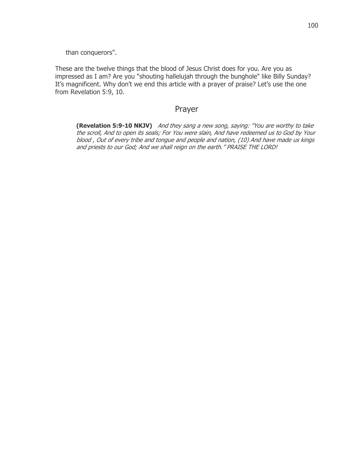than conquerors".

These are the twelve things that the blood of Jesus Christ does for you. Are you as impressed as I am? Are you "shouting hallelujah through the bunghole" like Billy Sunday? It's magnificent. Why don't we end this article with a prayer of praise? Let's use the one from Revelation 5:9, 10.

### Prayer

(Revelation 5:9-10 NKJV) And they sang a new song, saying: "You are worthy to take the scroll, And to open its seals; For You were slain, And have redeemed us to God by Your blood , Out of every tribe and tongue and people and nation, (10) And have made us kings and priests to our God; And we shall reign on the earth." PRAISE THE LORD!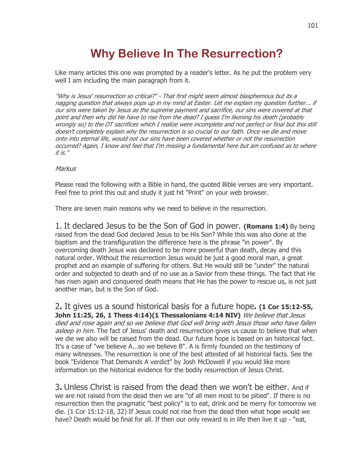# Why Believe In The Resurrection?

Like many articles this one was prompted by a reader's letter. As he put the problem very well I am including the main paragraph from it.

"Why is Jesus' resurrection so critical?" - That first might seem almost blasphemous but its a nagging question that always pops up in my mind at Easter. Let me explain my question further... if our sins were taken by Jesus as the supreme payment and sacrifice, our sins were covered at that point and then why did He have to rise from the dead? I guess I'm likening his death (probably wrongly so) to the OT sacrifices which I realize were incomplete and not perfect or final but this still doesn't completely explain why the resurrection is so crucial to our faith. Once we die and move onto into eternal life, would not our sins have been covered whether or not the resurrection occurred? Again, I know and feel that I'm missing a fundamental here but am confused as to where  $it$  is."

#### **Markus**

Please read the following with a Bible in hand, the quoted Bible verses are very important. Feel free to print this out and study it just hit "Print" on your web browser.

There are seven main reasons why we need to believe in the resurrection.

1. It declared Jesus to be the Son of God in power. (Romans 1:4) By being raised from the dead God declared Jesus to be His Son? While this was also done at the baptism and the transfiguration the difference here is the phrase "in power". By overcoming death Jesus was declared to be more powerful than death, decay and this natural order. Without the resurrection Jesus would be just a good moral man, a great prophet and an example of suffering for others. But He would still be "under" the natural order and subjected to death and of no use as a Savior from these things. The fact that He has risen again and conquered death means that He has the power to rescue us, is not just another man, but is the Son of God.

2. It gives us a sound historical basis for a future hope. (1 Cor 15:12-55, John 11:25, 26, 1 Thess 4:14)(1 Thessalonians 4:14 NIV) We believe that Jesus died and rose again and so we believe that God will bring with Jesus those who have fallen asleep in him. The fact of Jesus' death and resurrection gives us cause to believe that when we die we also will be raised from the dead. Our future hope is based on an historical fact. It's a case of "we believe A...so we believe B". A is firmly founded on the testimony of many witnesses. The resurrection is one of the best attested of all historical facts. See the book "Evidence That Demands A verdict" by Josh McDowell if you would like more information on the historical evidence for the bodily resurrection of Jesus Christ.

3. Unless Christ is raised from the dead then we won't be either. And if we are not raised from the dead then we are "of all men most to be pitied". If there is no resurrection then the pragmatic "best policy" is to eat, drink and be merry for tomorrow we die. (1 Cor 15:12-18, 32) If Jesus could not rise from the dead then what hope would we have? Death would be final for all. If then our only reward is in life then live it up - "eat,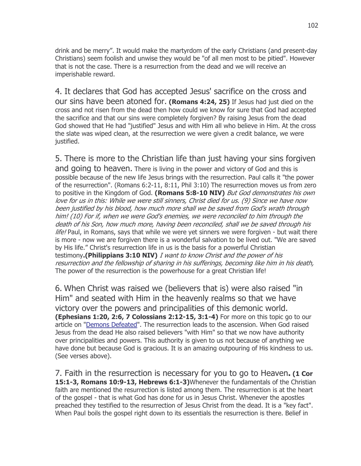drink and be merry". It would make the martyrdom of the early Christians (and present-day Christians) seem foolish and unwise they would be "of all men most to be pitied". However that is not the case. There is a resurrection from the dead and we will receive an imperishable reward.

4. It declares that God has accepted Jesus' sacrifice on the cross and our sins have been atoned for. (Romans 4:24, 25) If Jesus had just died on the cross and not risen from the dead then how could we know for sure that God had accepted the sacrifice and that our sins were completely forgiven? By raising Jesus from the dead God showed that He had "justified" Jesus and with Him all who believe in Him. At the cross the slate was wiped clean, at the resurrection we were given a credit balance, we were justified.

5. There is more to the Christian life than just having your sins forgiven and going to heaven. There is living in the power and victory of God and this is possible because of the new life Jesus brings with the resurrection. Paul calls it "the power of the resurrection". (Romans 6:2-11, 8:11, Phil 3:10) The resurrection moves us from zero to positive in the Kingdom of God. (Romans 5:8-10 NIV) But God demonstrates his own love for us in this: While we were still sinners, Christ died for us. (9) Since we have now been justified by his blood, how much more shall we be saved from God's wrath through him! (10) For if, when we were God's enemies, we were reconciled to him through the death of his Son, how much more, having been reconciled, shall we be saved through his life! Paul, in Romans, says that while we were yet sinners we were forgiven - but wait there is more - now we are forgiven there is a wonderful salvation to be lived out. "We are saved by His life." Christ's resurrection life in us is the basis for a powerful Christian testimony.(Philippians 3:10 NIV) I want to know Christ and the power of his resurrection and the fellowship of sharing in his sufferings, becoming like him in his death, The power of the resurrection is the powerhouse for a great Christian life!

6. When Christ was raised we (believers that is) were also raised "in Him" and seated with Him in the heavenly realms so that we have victory over the powers and principalities of this demonic world. (Ephesians 1:20, 2:6, 7 Colossians 2:12-15, 3:1-4) For more on this topic go to our article on "Demons Defeated". The resurrection leads to the ascension. When God raised Jesus from the dead He also raised believers "with Him" so that we now have authority over principalities and powers. This authority is given to us not because of anything we have done but because God is gracious. It is an amazing outpouring of His kindness to us. (See verses above).

7. Faith in the resurrection is necessary for you to go to Heaven. (1 Cor 15:1-3, Romans 10:9-13, Hebrews 6:1-3)Whenever the fundamentals of the Christian faith are mentioned the resurrection is listed among them. The resurrection is at the heart of the gospel - that is what God has done for us in Jesus Christ. Whenever the apostles preached they testified to the resurrection of Jesus Christ from the dead. It is a "key fact". When Paul boils the gospel right down to its essentials the resurrection is there. Belief in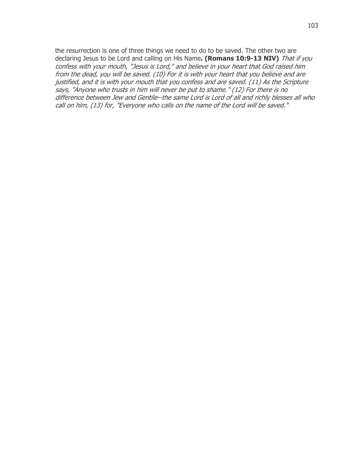the resurrection is one of three things we need to do to be saved. The other two are declaring Jesus to be Lord and calling on His Name. (Romans 10:9-13 NIV) That if you confess with your mouth, "Jesus is Lord," and believe in your heart that God raised him from the dead, you will be saved. (10) For it is with your heart that you believe and are justified, and it is with your mouth that you confess and are saved. (11) As the Scripture says, "Anyone who trusts in him will never be put to shame." (12) For there is no difference between Jew and Gentile--the same Lord is Lord of all and richly blesses all who call on him, (13) for, "Everyone who calls on the name of the Lord will be saved."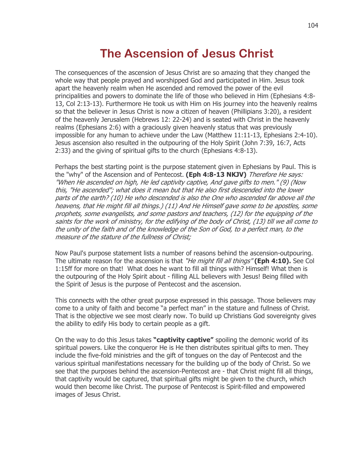## The Ascension of Jesus Christ

The consequences of the ascension of Jesus Christ are so amazing that they changed the whole way that people prayed and worshipped God and participated in Him. Jesus took apart the heavenly realm when He ascended and removed the power of the evil principalities and powers to dominate the life of those who believed in Him (Ephesians 4:8- 13, Col 2:13-13). Furthermore He took us with Him on His journey into the heavenly realms so that the believer in Jesus Christ is now a citizen of heaven (Phillipians 3:20), a resident of the heavenly Jerusalem (Hebrews 12: 22-24) and is seated with Christ in the heavenly realms (Ephesians 2:6) with a graciously given heavenly status that was previously impossible for any human to achieve under the Law (Matthew 11:11-13, Ephesians 2:4-10). Jesus ascension also resulted in the outpouring of the Holy Spirit (John 7:39, 16:7, Acts 2:33) and the giving of spiritual gifts to the church (Ephesians 4:8-13).

Perhaps the best starting point is the purpose statement given in Ephesians by Paul. This is the "why" of the Ascension and of Pentecost. (Eph 4:8-13 NKJV) Therefore He says: "When He ascended on high, He led captivity captive, And gave gifts to men." (9) (Now this, "He ascended"; what does it mean but that He also first descended into the lower parts of the earth? (10) He who descended is also the One who ascended far above all the heavens, that He might fill all things.) (11) And He Himself gave some to be apostles, some prophets, some evangelists, and some pastors and teachers, (12) for the equipping of the saints for the work of ministry, for the edifying of the body of Christ, (13) till we all come to the unity of the faith and of the knowledge of the Son of God, to a perfect man, to the measure of the stature of the fullness of Christ;

Now Paul's purpose statement lists a number of reasons behind the ascension-outpouring. The ultimate reason for the ascension is that "He might fill all things" (Eph 4:10). See Col 1:15ff for more on that! What does he want to fill all things with? Himself! What then is the outpouring of the Holy Spirit about - filling ALL believers with Jesus! Being filled with the Spirit of Jesus is the purpose of Pentecost and the ascension.

This connects with the other great purpose expressed in this passage. Those believers may come to a unity of faith and become "a perfect man" in the stature and fullness of Christ. That is the objective we see most clearly now. To build up Christians God sovereignty gives the ability to edify His body to certain people as a gift.

On the way to do this Jesus takes "captivity captive" spoiling the demonic world of its spiritual powers. Like the conqueror He is He then distributes spiritual gifts to men. They include the five-fold ministries and the gift of tongues on the day of Pentecost and the various spiritual manifestations necessary for the building up of the body of Christ. So we see that the purposes behind the ascension-Pentecost are - that Christ might fill all things, that captivity would be captured, that spiritual gifts might be given to the church, which would then become like Christ. The purpose of Pentecost is Spirit-filled and empowered images of Jesus Christ.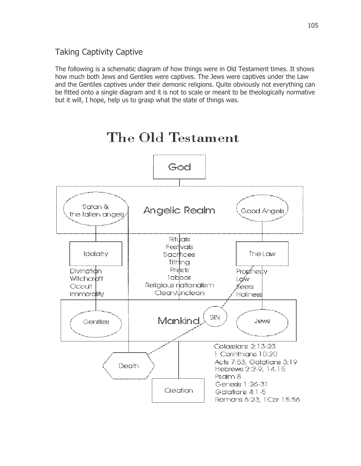### Taking Captivity Captive

The following is a schematic diagram of how things were in Old Testament times. It shows how much both Jews and Gentiles were captives. The Jews were captives under the Law and the Gentiles captives under their demonic religions. Quite obviously not everything can be fitted onto a single diagram and it is not to scale or meant to be theologically normative but it will, I hope, help us to grasp what the state of things was.

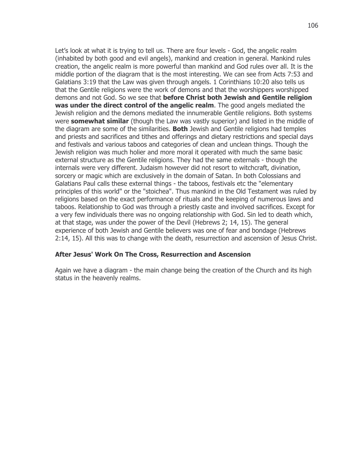Let's look at what it is trying to tell us. There are four levels - God, the angelic realm (inhabited by both good and evil angels), mankind and creation in general. Mankind rules creation, the angelic realm is more powerful than mankind and God rules over all. It is the middle portion of the diagram that is the most interesting. We can see from Acts 7:53 and Galatians 3:19 that the Law was given through angels. 1 Corinthians 10:20 also tells us that the Gentile religions were the work of demons and that the worshippers worshipped demons and not God. So we see that before Christ both Jewish and Gentile religion was under the direct control of the angelic realm. The good angels mediated the Jewish religion and the demons mediated the innumerable Gentile religions. Both systems were **somewhat similar** (though the Law was vastly superior) and listed in the middle of the diagram are some of the similarities. **Both** Jewish and Gentile religions had temples and priests and sacrifices and tithes and offerings and dietary restrictions and special days and festivals and various taboos and categories of clean and unclean things. Though the Jewish religion was much holier and more moral it operated with much the same basic external structure as the Gentile religions. They had the same externals - though the internals were very different. Judaism however did not resort to witchcraft, divination, sorcery or magic which are exclusively in the domain of Satan. In both Colossians and Galatians Paul calls these external things - the taboos, festivals etc the "elementary principles of this world" or the "stoichea". Thus mankind in the Old Testament was ruled by religions based on the exact performance of rituals and the keeping of numerous laws and taboos. Relationship to God was through a priestly caste and involved sacrifices. Except for a very few individuals there was no ongoing relationship with God. Sin led to death which, at that stage, was under the power of the Devil (Hebrews 2; 14, 15). The general experience of both Jewish and Gentile believers was one of fear and bondage (Hebrews 2:14, 15). All this was to change with the death, resurrection and ascension of Jesus Christ.

#### After Jesus' Work On The Cross, Resurrection and Ascension

Again we have a diagram - the main change being the creation of the Church and its high status in the heavenly realms.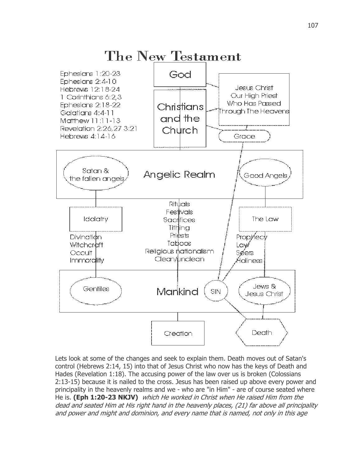

Lets look at some of the changes and seek to explain them. Death moves out of Satan's control (Hebrews 2:14, 15) into that of Jesus Christ who now has the keys of Death and Hades (Revelation 1:18). The accusing power of the law over us is broken (Colossians 2:13-15) because it is nailed to the cross. Jesus has been raised up above every power and principality in the heavenly realms and we - who are "in Him" - are of course seated where He is. (Eph 1:20-23 NKJV) which He worked in Christ when He raised Him from the dead and seated Him at His right hand in the heavenly places, (21) far above all principality and power and might and dominion, and every name that is named, not only in this age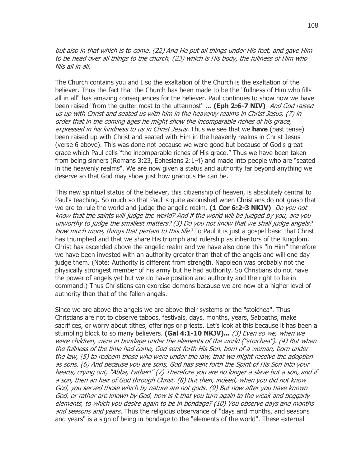but also in that which is to come. (22) And He put all things under His feet, and gave Him to be head over all things to the church, (23) which is His body, the fullness of Him who fills all in all.

The Church contains you and I so the exaltation of the Church is the exaltation of the believer. Thus the fact that the Church has been made to be the "fullness of Him who fills all in all" has amazing consequences for the believer. Paul continues to show how we have been raised "from the gutter most to the uttermost" ... (Eph 2:6-7 NIV) And God raised us up with Christ and seated us with him in the heavenly realms in Christ Jesus, (7) in order that in the coming ages he might show the incomparable riches of his grace, expressed in his kindness to us in Christ Jesus. Thus we see that we have (past tense) been raised up with Christ and seated with Him in the heavenly realms in Christ Jesus (verse 6 above). This was done not because we were good but because of God's great grace which Paul calls "the incomparable riches of His grace." Thus we have been taken from being sinners (Romans 3:23, Ephesians 2:1-4) and made into people who are "seated in the heavenly realms". We are now given a status and authority far beyond anything we deserve so that God may show just how gracious He can be.

This new spiritual status of the believer, this citizenship of heaven, is absolutely central to Paul's teaching. So much so that Paul is quite astonished when Christians do not grasp that we are to rule the world and judge the angelic realm. (1 Cor 6:2-3 NKJV) Do you not know that the saints will judge the world? And if the world will be judged by you, are you unworthy to judge the smallest matters? (3) Do you not know that we shall judge angels? How much more, things that pertain to this life? To Paul it is just a gospel basic that Christ has triumphed and that we share His triumph and rulership as inheritors of the Kingdom. Christ has ascended above the angelic realm and we have also done this "in Him" therefore we have been invested with an authority greater than that of the angels and will one day judge them. (Note: Authority is different from strength, Napoleon was probably not the physically strongest member of his army but he had authority. So Christians do not have the power of angels yet but we do have position and authority and the right to be in command.) Thus Christians can exorcise demons because we are now at a higher level of authority than that of the fallen angels.

Since we are above the angels we are above their systems or the "stoichea". Thus Christians are not to observe taboos, festivals, days, months, years, Sabbaths, make sacrifices, or worry about tithes, offerings or priests. Let's look at this because it has been a stumbling block to so many believers. (Gal 4:1-10 NKJV)... (3) Even so we, when we were children, were in bondage under the elements of the world ("stoichea"). (4) But when the fullness of the time had come, God sent forth His Son, born of a woman, born under the law, (5) to redeem those who were under the law, that we might receive the adoption as sons. (6) And because you are sons, God has sent forth the Spirit of His Son into your hearts, crying out, "Abba, Father!" (7) Therefore you are no longer a slave but a son, and if a son, then an heir of God through Christ. (8) But then, indeed, when you did not know God, you served those which by nature are not gods. (9) But now after you have known God, or rather are known by God, how is it that you turn again to the weak and beggarly elements, to which you desire again to be in bondage? (10) You observe days and months and seasons and years. Thus the religious observance of "days and months, and seasons and years" is a sign of being in bondage to the "elements of the world". These external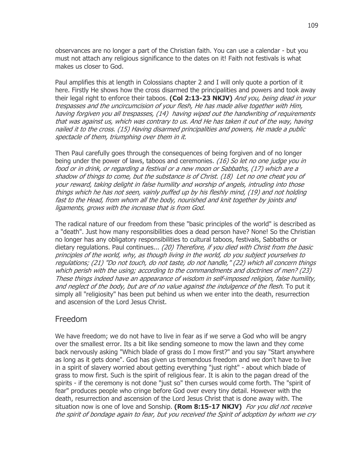observances are no longer a part of the Christian faith. You can use a calendar - but you must not attach any religious significance to the dates on it! Faith not festivals is what makes us closer to God.

Paul amplifies this at length in Colossians chapter 2 and I will only quote a portion of it here. Firstly He shows how the cross disarmed the principalities and powers and took away their legal right to enforce their taboos. (Col 2:13-23 NKJV) And you, being dead in your trespasses and the uncircumcision of your flesh, He has made alive together with Him, having forgiven you all trespasses, (14) having wiped out the handwriting of requirements that was against us, which was contrary to us. And He has taken it out of the way, having nailed it to the cross. (15) Having disarmed principalities and powers, He made a public spectacle of them, triumphing over them in it.

Then Paul carefully goes through the consequences of being forgiven and of no longer being under the power of laws, taboos and ceremonies. (16) So let no one judge you in food or in drink, or regarding a festival or a new moon or Sabbaths, (17) which are a shadow of things to come, but the substance is of Christ. (18) Let no one cheat you of your reward, taking delight in false humility and worship of angels, intruding into those things which he has not seen, vainly puffed up by his fleshly mind, (19) and not holding fast to the Head, from whom all the body, nourished and knit together by joints and ligaments, grows with the increase that is from God.

The radical nature of our freedom from these "basic principles of the world" is described as a "death". Just how many responsibilities does a dead person have? None! So the Christian no longer has any obligatory responsibilities to cultural taboos, festivals, Sabbaths or dietary regulations. Paul continues... (20) Therefore, if you died with Christ from the basic principles of the world, why, as though living in the world, do you subject yourselves to regulations; (21) "Do not touch, do not taste, do not handle," (22) which all concern things which perish with the using; according to the commandments and doctrines of men? (23) These things indeed have an appearance of wisdom in self-imposed religion, false humility, and neglect of the body, but are of no value against the indulgence of the flesh. To put it simply all "religiosity" has been put behind us when we enter into the death, resurrection and ascension of the Lord Jesus Christ.

### Freedom

We have freedom; we do not have to live in fear as if we serve a God who will be angry over the smallest error. Its a bit like sending someone to mow the lawn and they come back nervously asking "Which blade of grass do I mow first?" and you say "Start anywhere as long as it gets done". God has given us tremendous freedom and we don't have to live in a spirit of slavery worried about getting everything "just right" - about which blade of grass to mow first. Such is the spirit of religious fear. It is akin to the pagan dread of the spirits - if the ceremony is not done "just so" then curses would come forth. The "spirit of fear" produces people who cringe before God over every tiny detail. However with the death, resurrection and ascension of the Lord Jesus Christ that is done away with. The situation now is one of love and Sonship. (Rom 8:15-17 NKJV) For you did not receive the spirit of bondage again to fear, but you received the Spirit of adoption by whom we cry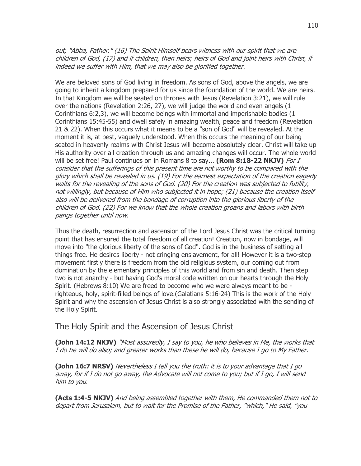out, "Abba, Father." (16) The Spirit Himself bears witness with our spirit that we are children of God, (17) and if children, then heirs; heirs of God and joint heirs with Christ, if indeed we suffer with Him, that we may also be glorified together.

We are beloved sons of God living in freedom. As sons of God, above the angels, we are going to inherit a kingdom prepared for us since the foundation of the world. We are heirs. In that Kingdom we will be seated on thrones with Jesus (Revelation 3:21), we will rule over the nations (Revelation 2:26, 27), we will judge the world and even angels (1 Corinthians 6:2,3), we will become beings with immortal and imperishable bodies (1 Corinthians 15:45-55) and dwell safely in amazing wealth, peace and freedom (Revelation 21 & 22). When this occurs what it means to be a "son of God" will be revealed. At the moment it is, at best, vaguely understood. When this occurs the meaning of our being seated in heavenly realms with Christ Jesus will become absolutely clear. Christ will take up His authority over all creation through us and amazing changes will occur. The whole world will be set free! Paul continues on in Romans 8 to say... (Rom  $8:18-22$  NKJV) For I consider that the sufferings of this present time are not worthy to be compared with the glory which shall be revealed in us. (19) For the earnest expectation of the creation eagerly waits for the revealing of the sons of God. (20) For the creation was subjected to futility, not willingly, but because of Him who subjected it in hope; (21) because the creation itself also will be delivered from the bondage of corruption into the glorious liberty of the children of God. (22) For we know that the whole creation groans and labors with birth pangs together until now.

Thus the death, resurrection and ascension of the Lord Jesus Christ was the critical turning point that has ensured the total freedom of all creation! Creation, now in bondage, will move into "the glorious liberty of the sons of God". God is in the business of setting all things free. He desires liberty - not cringing enslavement, for all! However it is a two-step movement firstly there is freedom from the old religious system, our coming out from domination by the elementary principles of this world and from sin and death. Then step two is not anarchy - but having God's moral code written on our hearts through the Holy Spirit. (Hebrews 8:10) We are freed to become who we were always meant to be righteous, holy, spirit-filled beings of love.(Galatians 5:16-24) This is the work of the Holy Spirit and why the ascension of Jesus Christ is also strongly associated with the sending of the Holy Spirit.

The Holy Spirit and the Ascension of Jesus Christ

(John 14:12 NKJV) "Most assuredly, I say to you, he who believes in Me, the works that I do he will do also; and greater works than these he will do, because I go to My Father.

(John 16:7 NRSV) Nevertheless I tell you the truth: it is to your advantage that I go away, for if I do not go away, the Advocate will not come to you; but if I go, I will send him to you.

(Acts 1:4-5 NKJV) And being assembled together with them, He commanded them not to depart from Jerusalem, but to wait for the Promise of the Father, "which," He said, "you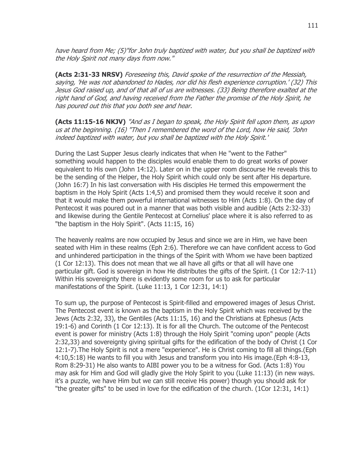have heard from Me; (5)"for John truly baptized with water, but you shall be baptized with the Holy Spirit not many days from now."

(Acts 2:31-33 NRSV) Foreseeing this, David spoke of the resurrection of the Messiah, saying, 'He was not abandoned to Hades, nor did his flesh experience corruption.' (32) This Jesus God raised up, and of that all of us are witnesses. (33) Being therefore exalted at the right hand of God, and having received from the Father the promise of the Holy Spirit, he has poured out this that you both see and hear.

(Acts 11:15-16 NKJV) "And as I began to speak, the Holy Spirit fell upon them, as upon us at the beginning. (16) "Then I remembered the word of the Lord, how He said, 'John indeed baptized with water, but you shall be baptized with the Holy Spirit.'

During the Last Supper Jesus clearly indicates that when He "went to the Father" something would happen to the disciples would enable them to do great works of power equivalent to His own (John 14:12). Later on in the upper room discourse He reveals this to be the sending of the Helper, the Holy Spirit which could only be sent after His departure. (John 16:7) In his last conversation with His disciples He termed this empowerment the baptism in the Holy Spirit (Acts 1:4,5) and promised them they would receive it soon and that it would make them powerful international witnesses to Him (Acts 1:8). On the day of Pentecost it was poured out in a manner that was both visible and audible (Acts 2:32-33) and likewise during the Gentile Pentecost at Cornelius' place where it is also referred to as "the baptism in the Holy Spirit". (Acts 11:15, 16)

The heavenly realms are now occupied by Jesus and since we are in Him, we have been seated with Him in these realms (Eph 2:6). Therefore we can have confident access to God and unhindered participation in the things of the Spirit with Whom we have been baptized (1 Cor 12:13). This does not mean that we all have all gifts or that all will have one particular gift. God is sovereign in how He distributes the gifts of the Spirit. (1 Cor 12:7-11) Within His sovereignty there is evidently some room for us to ask for particular manifestations of the Spirit. (Luke 11:13, 1 Cor 12:31, 14:1)

To sum up, the purpose of Pentecost is Spirit-filled and empowered images of Jesus Christ. The Pentecost event is known as the baptism in the Holy Spirit which was received by the Jews (Acts 2:32, 33), the Gentiles (Acts 11:15, 16) and the Christians at Ephesus (Acts 19:1-6) and Corinth (1 Cor 12:13). It is for all the Church. The outcome of the Pentecost event is power for ministry (Acts 1:8) through the Holy Spirit "coming upon" people (Acts 2:32,33) and sovereignty giving spiritual gifts for the edification of the body of Christ (1 Cor 12:1-7).The Holy Spirit is not a mere "experience". He is Christ coming to fill all things.(Eph 4:10,5:18) He wants to fill you with Jesus and transform you into His image.(Eph 4:8-13, Rom 8:29-31) He also wants to AIBI power you to be a witness for God. (Acts 1:8) You may ask for Him and God will gladly give the Holy Spirit to you (Luke 11:13) (in new ways. it's a puzzle, we have Him but we can still receive His power) though you should ask for "the greater gifts" to be used in love for the edification of the church. (1Cor 12:31, 14:1)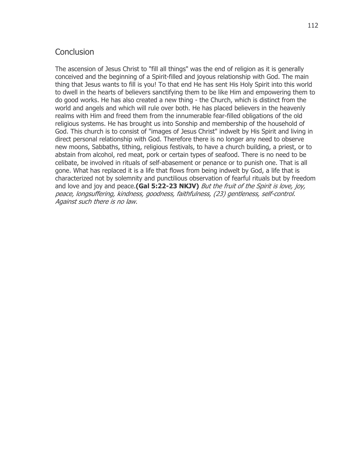## **Conclusion**

The ascension of Jesus Christ to "fill all things" was the end of religion as it is generally conceived and the beginning of a Spirit-filled and joyous relationship with God. The main thing that Jesus wants to fill is you! To that end He has sent His Holy Spirit into this world to dwell in the hearts of believers sanctifying them to be like Him and empowering them to do good works. He has also created a new thing - the Church, which is distinct from the world and angels and which will rule over both. He has placed believers in the heavenly realms with Him and freed them from the innumerable fear-filled obligations of the old religious systems. He has brought us into Sonship and membership of the household of God. This church is to consist of "images of Jesus Christ" indwelt by His Spirit and living in direct personal relationship with God. Therefore there is no longer any need to observe new moons, Sabbaths, tithing, religious festivals, to have a church building, a priest, or to abstain from alcohol, red meat, pork or certain types of seafood. There is no need to be celibate, be involved in rituals of self-abasement or penance or to punish one. That is all gone. What has replaced it is a life that flows from being indwelt by God, a life that is characterized not by solemnity and punctilious observation of fearful rituals but by freedom and love and joy and peace.(Gal 5:22-23 NKJV) But the fruit of the Spirit is love, joy, peace, longsuffering, kindness, goodness, faithfulness, (23) gentleness, self-control. Against such there is no law.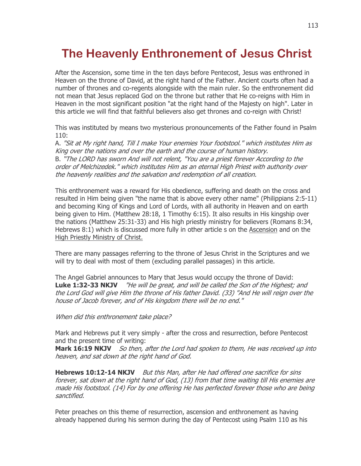# The Heavenly Enthronement of Jesus Christ

After the Ascension, some time in the ten days before Pentecost, Jesus was enthroned in Heaven on the throne of David, at the right hand of the Father. Ancient courts often had a number of thrones and co-regents alongside with the main ruler. So the enthronement did not mean that Jesus replaced God on the throne but rather that He co-reigns with Him in Heaven in the most significant position "at the right hand of the Majesty on high". Later in this article we will find that faithful believers also get thrones and co-reign with Christ!

This was instituted by means two mysterious pronouncements of the Father found in Psalm 110:

A. "Sit at My right hand, Till I make Your enemies Your footstool." which institutes Him as King over the nations and over the earth and the course of human history. B. "The LORD has sworn And will not relent, "You are a priest forever According to the order of Melchizedek." which institutes Him as an eternal High Priest with authority over the heavenly realities and the salvation and redemption of all creation.

This enthronement was a reward for His obedience, suffering and death on the cross and resulted in Him being given "the name that is above every other name" (Philippians 2:5-11) and becoming King of Kings and Lord of Lords, with all authority in Heaven and on earth being given to Him. (Matthew 28:18, 1 Timothy 6:15). It also results in His kingship over the nations (Matthew 25:31-33) and His high priestly ministry for believers (Romans 8:34, Hebrews 8:1) which is discussed more fully in other article s on the Ascension and on the High Priestly Ministry of Christ.

There are many passages referring to the throne of Jesus Christ in the Scriptures and we will try to deal with most of them (excluding parallel passages) in this article.

The Angel Gabriel announces to Mary that Jesus would occupy the throne of David: **Luke 1:32-33 NKJV** The will be great, and will be called the Son of the Highest; and the Lord God will give Him the throne of His father David. (33) "And He will reign over the house of Jacob forever, and of His kingdom there will be no end."

When did this enthronement take place?

Mark and Hebrews put it very simply - after the cross and resurrection, before Pentecost and the present time of writing:

Mark 16:19 NKJV So then, after the Lord had spoken to them, He was received up into heaven, and sat down at the right hand of God.

Hebrews 10:12-14 NKJV But this Man, after He had offered one sacrifice for sins forever, sat down at the right hand of God, (13) from that time waiting till His enemies are made His footstool. (14) For by one offering He has perfected forever those who are being sanctified.

Peter preaches on this theme of resurrection, ascension and enthronement as having already happened during his sermon during the day of Pentecost using Psalm 110 as his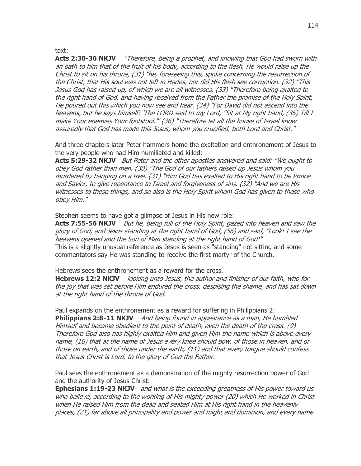text:

Acts 2:30-36 NKJV "Therefore, being a prophet, and knowing that God had sworn with an oath to him that of the fruit of his body, according to the flesh, He would raise up the Christ to sit on his throne, (31) "he, foreseeing this, spoke concerning the resurrection of the Christ, that His soul was not left in Hades, nor did His flesh see corruption. (32) "This Jesus God has raised up, of which we are all witnesses. (33) "Therefore being exalted to the right hand of God, and having received from the Father the promise of the Holy Spirit, He poured out this which you now see and hear. (34) "For David did not ascend into the heavens, but he says himself: 'The LORD said to my Lord, "Sit at My right hand, (35) Till I make Your enemies Your footstool."' (36) "Therefore let all the house of Israel know assuredly that God has made this Jesus, whom you crucified, both Lord and Christ."

And three chapters later Peter hammers home the exaltation and enthronement of Jesus to the very people who had Him humiliated and killed:

Acts 5:29-32 NKJV But Peter and the other apostles answered and said: "We ought to obey God rather than men. (30) "The God of our fathers raised up Jesus whom you murdered by hanging on a tree. (31) "Him God has exalted to His right hand to be Prince and Savior, to give repentance to Israel and forgiveness of sins. (32) "And we are His witnesses to these things, and so also is the Holy Spirit whom God has given to those who obey Him."

Stephen seems to have got a glimpse of Jesus in His new role:

**Acts 7:55-56 NKJV** But he, being full of the Holy Spirit, gazed into heaven and saw the glory of God, and Jesus standing at the right hand of God, (56) and said, "Look! I see the heavens opened and the Son of Man standing at the right hand of God!" This is a slightly unusual reference as Jesus is seen as "standing" not sitting and some commentators say He was standing to receive the first martyr of the Church.

Hebrews sees the enthronement as a reward for the cross.

Hebrews 12:2 NKJV looking unto Jesus, the author and finisher of our faith, who for the joy that was set before Him endured the cross, despising the shame, and has sat down at the right hand of the throne of God.

Paul expands on the enthronement as a reward for suffering in Philippians 2: **Philippians 2:8-11 NKJV** And being found in appearance as a man, He humbled Himself and became obedient to the point of death, even the death of the cross. (9) Therefore God also has highly exalted Him and given Him the name which is above every name, (10) that at the name of Jesus every knee should bow, of those in heaven, and of those on earth, and of those under the earth, (11) and that every tongue should confess that Jesus Christ is Lord, to the glory of God the Father.

Paul sees the enthronement as a demonstration of the mighty resurrection power of God and the authority of Jesus Christ:

**Ephesians 1:19-23 NKJV** and what is the exceeding greatness of His power toward us who believe, according to the working of His mighty power (20) which He worked in Christ when He raised Him from the dead and seated Him at His right hand in the heavenly places, (21) far above all principality and power and might and dominion, and every name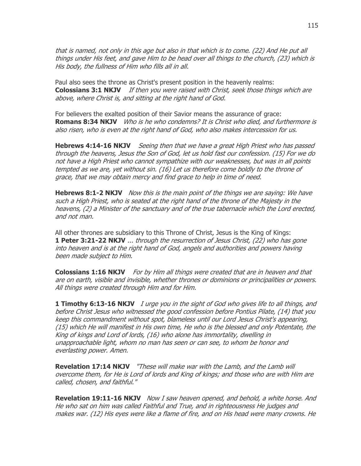that is named, not only in this age but also in that which is to come. (22) And He put all things under His feet, and gave Him to be head over all things to the church, (23) which is His body, the fullness of Him who fills all in all.

Paul also sees the throne as Christ's present position in the heavenly realms: **Colossians 3:1 NKJV** If then you were raised with Christ, seek those things which are above, where Christ is, and sitting at the right hand of God.

For believers the exalted position of their Savior means the assurance of grace: Romans 8:34 NKJV Who is he who condemns? It is Christ who died, and furthermore is also risen, who is even at the right hand of God, who also makes intercession for us.

Hebrews 4:14-16 NKJV Seeing then that we have a great High Priest who has passed through the heavens, Jesus the Son of God, let us hold fast our confession. (15) For we do not have a High Priest who cannot sympathize with our weaknesses, but was in all points tempted as we are, yet without sin. (16) Let us therefore come boldly to the throne of grace, that we may obtain mercy and find grace to help in time of need.

**Hebrews 8:1-2 NKJV** Now this is the main point of the things we are saying: We have such a High Priest, who is seated at the right hand of the throne of the Majesty in the heavens, (2) a Minister of the sanctuary and of the true tabernacle which the Lord erected, and not man.

All other thrones are subsidiary to this Throne of Christ, Jesus is the King of Kings: **1 Peter 3:21-22 NKJV** ... through the resurrection of Jesus Christ, (22) who has gone into heaven and is at the right hand of God, angels and authorities and powers having been made subject to Him.

**Colossians 1:16 NKJV** For by Him all things were created that are in heaven and that are on earth, visible and invisible, whether thrones or dominions or principalities or powers. All things were created through Him and for Him.

**1 Timothy 6:13-16 NKJV** I urge you in the sight of God who gives life to all things, and before Christ Jesus who witnessed the good confession before Pontius Pilate, (14) that you keep this commandment without spot, blameless until our Lord Jesus Christ's appearing, (15) which He will manifest in His own time, He who is the blessed and only Potentate, the King of kings and Lord of lords, (16) who alone has immortality, dwelling in unapproachable light, whom no man has seen or can see, to whom be honor and everlasting power. Amen.

Revelation 17:14 NKJV "These will make war with the Lamb, and the Lamb will overcome them, for He is Lord of lords and King of kings; and those who are with Him are called, chosen, and faithful."

Revelation 19:11-16 NKJV Now I saw heaven opened, and behold, a white horse. And He who sat on him was called Faithful and True, and in righteousness He judges and makes war. (12) His eyes were like a flame of fire, and on His head were many crowns. He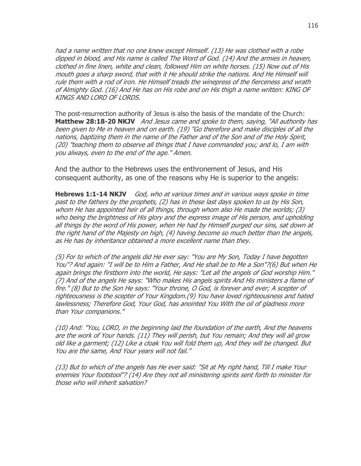had a name written that no one knew except Himself. (13) He was clothed with a robe dipped in blood, and His name is called The Word of God. (14) And the armies in heaven, clothed in fine linen, white and clean, followed Him on white horses. (15) Now out of His mouth goes a sharp sword, that with it He should strike the nations. And He Himself will rule them with a rod of iron. He Himself treads the winepress of the fierceness and wrath of Almighty God. (16) And He has on His robe and on His thigh a name written: KING OF KINGS AND LORD OF LORDS.

The post-resurrection authority of Jesus is also the basis of the mandate of the Church: Matthew 28:18-20 NKJV And Jesus came and spoke to them, saying, "All authority has been given to Me in heaven and on earth. (19) "Go therefore and make disciples of all the nations, baptizing them in the name of the Father and of the Son and of the Holy Spirit, (20) "teaching them to observe all things that I have commanded you; and lo, I am with you always, even to the end of the age." Amen.

And the author to the Hebrews uses the enthronement of Jesus, and His consequent authority, as one of the reasons why He is superior to the angels:

Hebrews 1:1-14 NKJV God, who at various times and in various ways spoke in time past to the fathers by the prophets, (2) has in these last days spoken to us by His Son, whom He has appointed heir of all things, through whom also He made the worlds; (3) who being the brightness of His glory and the express image of His person, and upholding all things by the word of His power, when He had by Himself purged our sins, sat down at the right hand of the Majesty on high, (4) having become so much better than the angels, as He has by inheritance obtained a more excellent name than they.

(5) For to which of the angels did He ever say: "You are My Son, Today I have begotten You"? And again: "I will be to Him a Father, And He shall be to Me a Son"?(6) But when He again brings the firstborn into the world, He says: "Let all the angels of God worship Him." (7) And of the angels He says: "Who makes His angels spirits And His ministers a flame of fire." (8) But to the Son He says: "Your throne, O God, is forever and ever; A scepter of righteousness is the scepter of Your Kingdom.(9) You have loved righteousness and hated lawlessness; Therefore God, Your God, has anointed You With the oil of gladness more than Your companions."

(10) And: "You, LORD, in the beginning laid the foundation of the earth, And the heavens are the work of Your hands. (11) They will perish, but You remain; And they will all grow old like a garment; (12) Like a cloak You will fold them up, And they will be changed. But You are the same, And Your years will not fail."

(13) But to which of the angels has He ever said: "Sit at My right hand, Till I make Your enemies Your footstool"? (14) Are they not all ministering spirits sent forth to minister for those who will inherit salvation?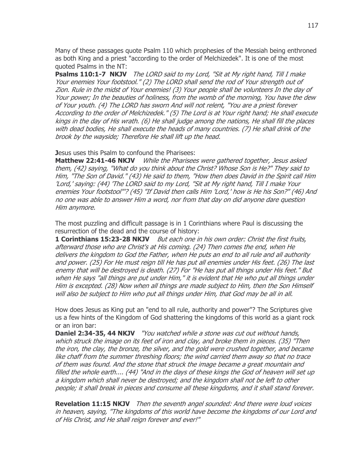Many of these passages quote Psalm 110 which prophesies of the Messiah being enthroned as both King and a priest "according to the order of Melchizedek". It is one of the most quoted Psalms in the NT:

**Psalms 110:1-7 NKJV** The LORD said to my Lord, "Sit at My right hand, Till I make Your enemies Your footstool." (2) The LORD shall send the rod of Your strength out of Zion. Rule in the midst of Your enemies! (3) Your people shall be volunteers In the day of Your power; In the beauties of holiness, from the womb of the morning, You have the dew of Your youth. (4) The LORD has sworn And will not relent, "You are a priest forever According to the order of Melchizedek." (5) The Lord is at Your right hand; He shall execute kings in the day of His wrath. (6) He shall judge among the nations, He shall fill the places with dead bodies, He shall execute the heads of many countries. (7) He shall drink of the brook by the wayside; Therefore He shall lift up the head.

#### Jesus uses this Psalm to confound the Pharisees:

Matthew 22:41-46 NKJV While the Pharisees were gathered together, Jesus asked them, (42) saying, "What do you think about the Christ? Whose Son is He?" They said to Him, "The Son of David." (43) He said to them, "How then does David in the Spirit call Him 'Lord,' saying: (44) 'The LORD said to my Lord, "Sit at My right hand, Till I make Your enemies Your footstool"'? (45) "If David then calls Him 'Lord,' how is He his Son?" (46) And no one was able to answer Him a word, nor from that day on did anyone dare question Him anymore.

The most puzzling and difficult passage is in 1 Corinthians where Paul is discussing the resurrection of the dead and the course of history:

1 Corinthians 15:23-28 NKJV But each one in his own order: Christ the first fruits, afterward those who are Christ's at His coming. (24) Then comes the end, when He delivers the kingdom to God the Father, when He puts an end to all rule and all authority and power. (25) For He must reign till He has put all enemies under His feet. (26) The last enemy that will be destroyed is death. (27) For "He has put all things under His feet." But when He says "all things are put under Him," it is evident that He who put all things under Him is excepted. (28) Now when all things are made subject to Him, then the Son Himself will also be subject to Him who put all things under Him, that God may be all in all.

How does Jesus as King put an "end to all rule, authority and power"? The Scriptures give us a few hints of the Kingdom of God shattering the kingdoms of this world as a giant rock or an iron bar:

Daniel 2:34-35, 44 NKJV "You watched while a stone was cut out without hands, which struck the image on its feet of iron and clay, and broke them in pieces. (35) "Then the iron, the clay, the bronze, the silver, and the gold were crushed together, and became like chaff from the summer threshing floors; the wind carried them away so that no trace of them was found. And the stone that struck the image became a great mountain and filled the whole earth.... (44) "And in the days of these kings the God of heaven will set up a kingdom which shall never be destroyed; and the kingdom shall not be left to other people; it shall break in pieces and consume all these kingdoms, and it shall stand forever.

Revelation 11:15 NKJV Then the seventh angel sounded: And there were loud voices in heaven, saying, "The kingdoms of this world have become the kingdoms of our Lord and of His Christ, and He shall reign forever and ever!"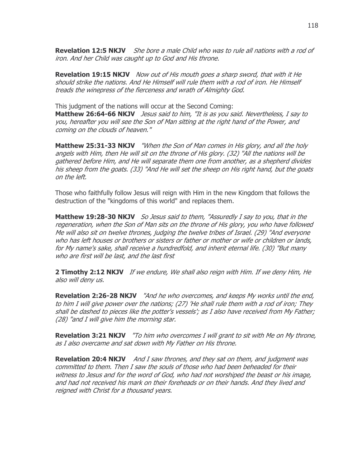**Revelation 12:5 NKJV** She bore a male Child who was to rule all nations with a rod of iron. And her Child was caught up to God and His throne.

Revelation 19:15 NKJV Now out of His mouth goes a sharp sword, that with it He should strike the nations. And He Himself will rule them with a rod of iron. He Himself treads the winepress of the fierceness and wrath of Almighty God.

This judgment of the nations will occur at the Second Coming:

Matthew 26:64-66 NKJV *Jesus said to him, "It is as you said. Nevertheless, I say to* you, hereafter you will see the Son of Man sitting at the right hand of the Power, and coming on the clouds of heaven."

Matthew 25:31-33 NKJV "When the Son of Man comes in His glory, and all the holy angels with Him, then He will sit on the throne of His glory. (32) "All the nations will be gathered before Him, and He will separate them one from another, as a shepherd divides his sheep from the goats. (33) "And He will set the sheep on His right hand, but the goats on the left.

Those who faithfully follow Jesus will reign with Him in the new Kingdom that follows the destruction of the "kingdoms of this world" and replaces them.

Matthew 19:28-30 NKJV So Jesus said to them, "Assuredly I say to you, that in the regeneration, when the Son of Man sits on the throne of His glory, you who have followed Me will also sit on twelve thrones, judging the twelve tribes of Israel. (29) "And everyone who has left houses or brothers or sisters or father or mother or wife or children or lands, for My name's sake, shall receive a hundredfold, and inherit eternal life. (30) "But many who are first will be last, and the last first

2 Timothy 2:12 NKJV If we endure, We shall also reign with Him. If we deny Him, He also will deny us.

Revelation 2:26-28 NKJV "And he who overcomes, and keeps My works until the end, to him I will give power over the nations; (27) 'He shall rule them with a rod of iron; They shall be dashed to pieces like the potter's vessels'; as I also have received from My Father; (28) "and I will give him the morning star.

**Revelation 3:21 NKJV** "To him who overcomes I will grant to sit with Me on My throne, as I also overcame and sat down with My Father on His throne.

Revelation 20:4 NKJV And I saw thrones, and they sat on them, and judgment was committed to them. Then I saw the souls of those who had been beheaded for their witness to Jesus and for the word of God, who had not worshiped the beast or his image, and had not received his mark on their foreheads or on their hands. And they lived and reigned with Christ for a thousand years.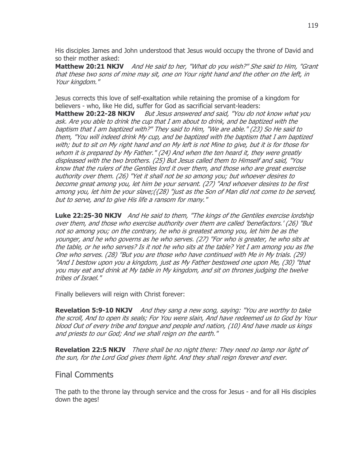His disciples James and John understood that Jesus would occupy the throne of David and so their mother asked:

Matthew 20:21 NKJV And He said to her, "What do you wish?" She said to Him, "Grant that these two sons of mine may sit, one on Your right hand and the other on the left, in Your kingdom."

Jesus corrects this love of self-exaltation while retaining the promise of a kingdom for believers - who, like He did, suffer for God as sacrificial servant-leaders:

Matthew 20:22-28 NKJV But Jesus answered and said, "You do not know what you ask. Are you able to drink the cup that I am about to drink, and be baptized with the baptism that I am baptized with?" They said to Him, "We are able." (23) So He said to them, "You will indeed drink My cup, and be baptized with the baptism that I am baptized with; but to sit on My right hand and on My left is not Mine to give, but it is for those for whom it is prepared by My Father." (24) And when the ten heard it, they were greatly displeased with the two brothers. (25) But Jesus called them to Himself and said, "You know that the rulers of the Gentiles lord it over them, and those who are great exercise authority over them. (26) "Yet it shall not be so among you; but whoever desires to become great among you, let him be your servant. (27) "And whoever desires to be first among you, let him be your slave;({28) "just as the Son of Man did not come to be served, but to serve, and to give His life a ransom for many."

Luke 22:25-30 NKJV And He said to them, "The kings of the Gentiles exercise lordship over them, and those who exercise authority over them are called 'benefactors.' (26) "But not so among you; on the contrary, he who is greatest among you, let him be as the younger, and he who governs as he who serves. (27) "For who is greater, he who sits at the table, or he who serves? Is it not he who sits at the table? Yet I am among you as the One who serves. (28) "But you are those who have continued with Me in My trials. (29) "And I bestow upon you a kingdom, just as My Father bestowed one upon Me, (30) "that you may eat and drink at My table in My kingdom, and sit on thrones judging the twelve tribes of Israel."

Finally believers will reign with Christ forever:

Revelation 5:9-10 NKJV And they sang a new song, saying: "You are worthy to take the scroll, And to open its seals; For You were slain, And have redeemed us to God by Your blood Out of every tribe and tongue and people and nation, (10) And have made us kings and priests to our God; And we shall reign on the earth."

Revelation 22:5 NKJV There shall be no night there: They need no lamp nor light of the sun, for the Lord God gives them light. And they shall reign forever and ever.

# Final Comments

The path to the throne lay through service and the cross for Jesus - and for all His disciples down the ages!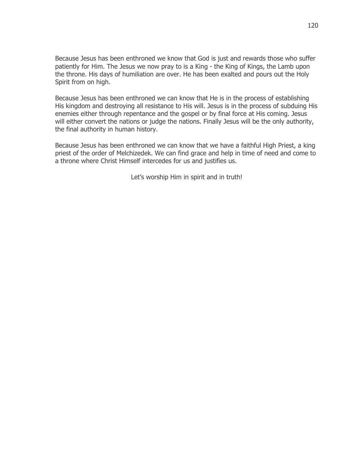Because Jesus has been enthroned we know that God is just and rewards those who suffer patiently for Him. The Jesus we now pray to is a King - the King of Kings, the Lamb upon the throne. His days of humiliation are over. He has been exalted and pours out the Holy Spirit from on high.

Because Jesus has been enthroned we can know that He is in the process of establishing His kingdom and destroying all resistance to His will. Jesus is in the process of subduing His enemies either through repentance and the gospel or by final force at His coming. Jesus will either convert the nations or judge the nations. Finally Jesus will be the only authority, the final authority in human history.

Because Jesus has been enthroned we can know that we have a faithful High Priest, a king priest of the order of Melchizedek. We can find grace and help in time of need and come to a throne where Christ Himself intercedes for us and justifies us.

Let's worship Him in spirit and in truth!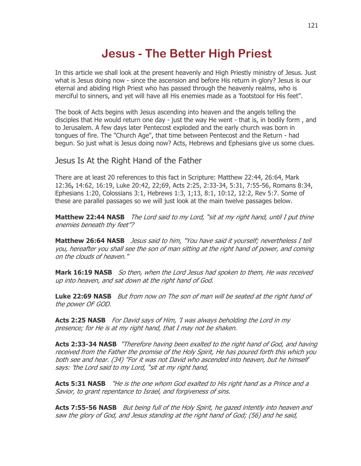# Jesus - The Better High Priest

In this article we shall look at the present heavenly and High Priestly ministry of Jesus. Just what is Jesus doing now - since the ascension and before His return in glory? Jesus is our eternal and abiding High Priest who has passed through the heavenly realms, who is merciful to sinners, and yet will have all His enemies made as a 'footstool for His feet".

The book of Acts begins with Jesus ascending into heaven and the angels telling the disciples that He would return one day - just the way He went - that is, in bodily form , and to Jerusalem. A few days later Pentecost exploded and the early church was born in tongues of fire. The "Church Age", that time between Pentecost and the Return - had begun. So just what is Jesus doing now? Acts, Hebrews and Ephesians give us some clues.

## Jesus Is At the Right Hand of the Father

There are at least 20 references to this fact in Scripture: Matthew 22:44, 26:64, Mark 12:36, 14:62, 16:19, Luke 20:42, 22;69, Acts 2:25, 2:33-34, 5:31, 7:55-56, Romans 8:34, Ephesians 1:20, Colossians 3:1, Hebrews 1:3, 1;13, 8:1, 10:12, 12:2, Rev 5:7. Some of these are parallel passages so we will just look at the main twelve passages below.

Matthew 22:44 NASB The Lord said to my Lord, "sit at my right hand, until I put thine enemies beneath thy feet"?

**Matthew 26:64 NASB** Jesus said to him, "You have said it yourself; nevertheless I tell you, hereafter you shall see the son of man sitting at the right hand of power, and coming on the clouds of heaven."

Mark 16:19 NASB So then, when the Lord Jesus had spoken to them, He was received up into heaven, and sat down at the right hand of God.

Luke 22:69 NASB But from now on The son of man will be seated at the right hand of the power OF GOD.

Acts 2:25 NASB For David says of Him, 'I was always beholding the Lord in my presence; for He is at my right hand, that I may not be shaken.

Acts 2:33-34 NASB "Therefore having been exalted to the right hand of God, and having received from the Father the promise of the Holy Spirit, He has poured forth this which you both see and hear. (34) "For it was not David who ascended into heaven, but he himself says: 'the Lord said to my Lord, "sit at my right hand,

**Acts 5:31 NASB** The is the one whom God exalted to His right hand as a Prince and a Savior, to grant repentance to Israel, and forgiveness of sins.

Acts 7:55-56 NASB But being full of the Holy Spirit, he gazed intently into heaven and saw the glory of God, and Jesus standing at the right hand of God; (56) and he said,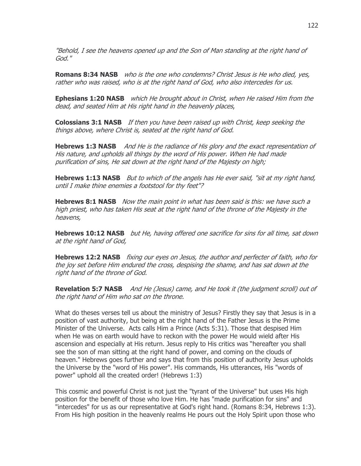"Behold, I see the heavens opened up and the Son of Man standing at the right hand of God."

Romans 8:34 NASB who is the one who condemns? Christ Jesus is He who died, yes, rather who was raised, who is at the right hand of God, who also intercedes for us.

**Ephesians 1:20 NASB** which He brought about in Christ, when He raised Him from the dead, and seated Him at His right hand in the heavenly places,

**Colossians 3:1 NASB** If then you have been raised up with Christ, keep seeking the things above, where Christ is, seated at the right hand of God.

**Hebrews 1:3 NASB** And He is the radiance of His glory and the exact representation of His nature, and upholds all things by the word of His power. When He had made purification of sins, He sat down at the right hand of the Majesty on high;

Hebrews 1:13 NASB But to which of the angels has He ever said, "sit at my right hand, until I make thine enemies a footstool for thy feet"?

**Hebrews 8:1 NASB** Now the main point in what has been said is this: we have such a high priest, who has taken His seat at the right hand of the throne of the Majesty in the heavens,

Hebrews 10:12 NASB but He, having offered one sacrifice for sins for all time, sat down at the right hand of God,

Hebrews 12:2 NASB *fixing our eyes on Jesus, the author and perfecter of faith, who for* the joy set before Him endured the cross, despising the shame, and has sat down at the right hand of the throne of God.

Revelation 5:7 NASB And He (Jesus) came, and He took it (the judgment scroll) out of the right hand of Him who sat on the throne.

What do theses verses tell us about the ministry of Jesus? Firstly they say that Jesus is in a position of vast authority, but being at the right hand of the Father Jesus is the Prime Minister of the Universe. Acts calls Him a Prince (Acts 5:31). Those that despised Him when He was on earth would have to reckon with the power He would wield after His ascension and especially at His return. Jesus reply to His critics was "hereafter you shall see the son of man sitting at the right hand of power, and coming on the clouds of heaven." Hebrews goes further and says that from this position of authority Jesus upholds the Universe by the "word of His power". His commands, His utterances, His "words of power" uphold all the created order! (Hebrews 1:3)

This cosmic and powerful Christ is not just the "tyrant of the Universe" but uses His high position for the benefit of those who love Him. He has "made purification for sins" and "intercedes" for us as our representative at God's right hand. (Romans 8:34, Hebrews 1:3). From His high position in the heavenly realms He pours out the Holy Spirit upon those who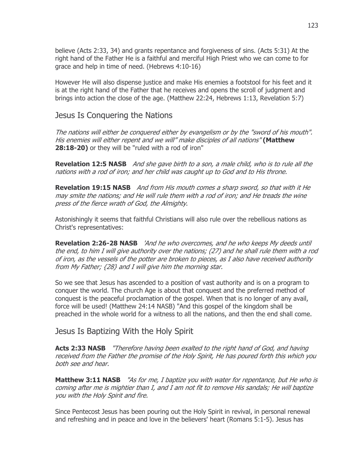believe (Acts 2:33, 34) and grants repentance and forgiveness of sins. (Acts 5:31) At the right hand of the Father He is a faithful and merciful High Priest who we can come to for grace and help in time of need. (Hebrews 4:10-16)

However He will also dispense justice and make His enemies a footstool for his feet and it is at the right hand of the Father that he receives and opens the scroll of judgment and brings into action the close of the age. (Matthew 22:24, Hebrews 1:13, Revelation 5:7)

## Jesus Is Conquering the Nations

The nations will either be conquered either by evangelism or by the "sword of his mouth". His enemies will either repent and we will" make disciples of all nations" (Matthew 28:18-20) or they will be "ruled with a rod of iron"

**Revelation 12:5 NASB** And she gave birth to a son, a male child, who is to rule all the nations with a rod of iron; and her child was caught up to God and to His throne.

Revelation 19:15 NASB And from His mouth comes a sharp sword, so that with it He may smite the nations; and He will rule them with a rod of iron; and He treads the wine press of the fierce wrath of God, the Almighty.

Astonishingly it seems that faithful Christians will also rule over the rebellious nations as Christ's representatives:

Revelation 2:26-28 NASB *'And he who overcomes, and he who keeps My deeds until* the end, to him I will give authority over the nations; (27) and he shall rule them with a rod of iron, as the vessels of the potter are broken to pieces, as I also have received authority from My Father; {28} and I will give him the morning star.

So we see that Jesus has ascended to a position of vast authority and is on a program to conquer the world. The church Age is about that conquest and the preferred method of conquest is the peaceful proclamation of the gospel. When that is no longer of any avail, force will be used! (Matthew 24:14 NASB) "And this gospel of the kingdom shall be preached in the whole world for a witness to all the nations, and then the end shall come.

Jesus Is Baptizing With the Holy Spirit

Acts 2:33 NASB *"Therefore having been exalted to the right hand of God, and having* received from the Father the promise of the Holy Spirit, He has poured forth this which you both see and hear.

Matthew 3:11 NASB "As for me, I baptize you with water for repentance, but He who is coming after me is mightier than I, and I am not fit to remove His sandals; He will baptize you with the Holy Spirit and fire.

Since Pentecost Jesus has been pouring out the Holy Spirit in revival, in personal renewal and refreshing and in peace and love in the believers' heart (Romans 5:1-5). Jesus has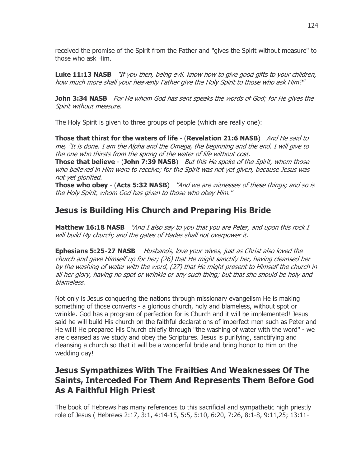received the promise of the Spirit from the Father and "gives the Spirit without measure" to those who ask Him.

Luke 11:13 NASB "If you then, being evil, know how to give good gifts to your children. how much more shall your heavenly Father give the Holy Spirit to those who ask Him?"

**John 3:34 NASB** For He whom God has sent speaks the words of God; for He gives the Spirit without measure.

The Holy Spirit is given to three groups of people (which are really one):

**Those that thirst for the waters of life - (Revelation 21:6 NASB)** And He said to me, "It is done. I am the Alpha and the Omega, the beginning and the end. I will give to the one who thirsts from the spring of the water of life without cost.

Those that believe - (John 7:39 NASB) But this He spoke of the Spirit, whom those who believed in Him were to receive; for the Spirit was not yet given, because Jesus was not yet glorified.

Those who obey - (Acts 5:32 NASB) "And we are witnesses of these things; and so is the Holy Spirit, whom God has given to those who obey Him."

# Jesus is Building His Church and Preparing His Bride

**Matthew 16:18 NASB** "And I also say to you that you are Peter, and upon this rock I will build My church; and the gates of Hades shall not overpower it.

**Ephesians 5:25-27 NASB** Husbands, love your wives, just as Christ also loved the church and gave Himself up for her; (26) that He might sanctify her, having cleansed her by the washing of water with the word, (27) that He might present to Himself the church in all her glory, having no spot or wrinkle or any such thing; but that she should be holy and blameless.

Not only is Jesus conquering the nations through missionary evangelism He is making something of those converts - a glorious church, holy and blameless, without spot or wrinkle. God has a program of perfection for is Church and it will be implemented! Jesus said he will build His church on the faithful declarations of imperfect men such as Peter and He will! He prepared His Church chiefly through "the washing of water with the word" - we are cleansed as we study and obey the Scriptures. Jesus is purifying, sanctifying and cleansing a church so that it will be a wonderful bride and bring honor to Him on the wedding day!

# Jesus Sympathizes With The Frailties And Weaknesses Of The Saints, Interceded For Them And Represents Them Before God As A Faithful High Priest

The book of Hebrews has many references to this sacrificial and sympathetic high priestly role of Jesus ( Hebrews 2:17, 3:1, 4:14-15, 5:5, 5:10, 6:20, 7:26, 8:1-8, 9:11,25; 13:11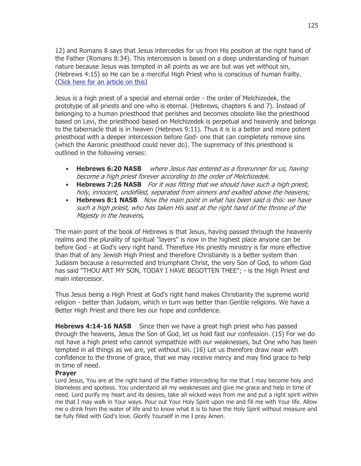12) and Romans 8 says that Jesus intercedes for us from His position at the right hand of the Father (Romans 8:34). This intercession is based on a deep understanding of human nature because Jesus was tempted in all points as we are but was yet without sin, (Hebrews 4:15) so He can be a merciful High Priest who is conscious of human frailty. (Click here for an article on this)

Jesus is a high priest of a special and eternal order - the order of Melchizedek, the prototype of all priests and one who is eternal. (Hebrews, chapters 6 and 7). Instead of belonging to a human priesthood that perishes and becomes obsolete like the priesthood based on Levi, the priesthood based on Melchizedek is perpetual and heavenly and belongs to the tabernacle that is in heaven (Hebrews 9:11). Thus it is is a better and more potent priesthood with a deeper intercession before God- one that can completely remove sins (which the Aaronic priesthood could never do). The supremacy of this priesthood is outlined in the following verses:

- Hebrews 6:20 NASB where Jesus has entered as a forerunner for us, having become a high priest forever according to the order of Melchizedek.
- Hebrews 7:26 NASB For it was fitting that we should have such a high priest, holy, innocent, undefiled, separated from sinners and exalted above the heavens;
- Hebrews 8:1 NASB Now the main point in what has been said is this: we have such a high priest, who has taken His seat at the right hand of the throne of the Majesty in the heavens,

The main point of the book of Hebrews is that Jesus, having passed through the heavenly realms and the plurality of spiritual "layers" is now in the highest place anyone can be before God - at God's very right hand. Therefore His priestly ministry is far more effective than that of any Jewish High Priest and therefore Christianity is a better system than Judaism because a resurrected and triumphant Christ, the very Son of God, to whom God has said "THOU ART MY SON, TODAY I HAVE BEGOTTEN THEE"; - is the High Priest and main intercessor.

Thus Jesus being a High Priest at God's right hand makes Christianity the supreme world religion - better than Judaism, which in turn was better than Gentile religions. We have a Better High Priest and there lies our hope and confidence.

**Hebrews 4:14-16 NASB** Since then we have a great high priest who has passed through the heavens, Jesus the Son of God, let us hold fast our confession. (15) For we do not have a high priest who cannot sympathize with our weaknesses, but One who has been tempted in all things as we are, yet without sin. (16) Let us therefore draw near with confidence to the throne of grace, that we may receive mercy and may find grace to help in time of need.

#### Prayer

Lord Jesus, You are at the right hand of the Father interceding for me that I may become holy and blameless and spotless. You understand all my weaknesses and give me grace and help in time of need. Lord purify my heart and its desires, take all wicked ways from me and put a right spirit within me that I may walk in Your ways. Pour out Your Holy Spirit upon me and fill me with Your life. Allow me o drink from the water of life and to know what it is to have the Holy Spirit without measure and be fully filled with God's love. Glorify Yourself in me I pray Amen.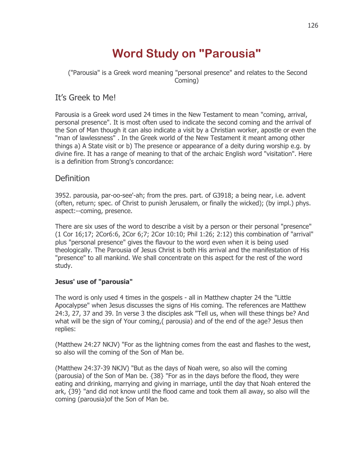# Word Study on "Parousia"

 ("Parousia" is a Greek word meaning "personal presence" and relates to the Second Coming)

# It's Greek to Me!

Parousia is a Greek word used 24 times in the New Testament to mean "coming, arrival, personal presence". It is most often used to indicate the second coming and the arrival of the Son of Man though it can also indicate a visit by a Christian worker, apostle or even the "man of lawlessness" . In the Greek world of the New Testament it meant among other things a) A State visit or b) The presence or appearance of a deity during worship e.g. by divine fire. It has a range of meaning to that of the archaic English word "visitation". Here is a definition from Strong's concordance:

## **Definition**

3952. parousia, par-oo-see'-ah; from the pres. part. of G3918; a being near, i.e. advent (often, return; spec. of Christ to punish Jerusalem, or finally the wicked); (by impl.) phys. aspect:--coming, presence.

There are six uses of the word to describe a visit by a person or their personal "presence" (1 Cor 16;17; 2Cor6:6, 2Cor 6;7; 2Cor 10:10; Phil 1:26; 2:12) this combination of "arrival" plus "personal presence" gives the flavour to the word even when it is being used theologically. The Parousia of Jesus Christ is both His arrival and the manifestation of His "presence" to all mankind. We shall concentrate on this aspect for the rest of the word study.

### Jesus' use of "parousia"

The word is only used 4 times in the gospels - all in Matthew chapter 24 the "Little Apocalypse" when Jesus discusses the signs of His coming. The references are Matthew 24:3, 27, 37 and 39. In verse 3 the disciples ask "Tell us, when will these things be? And what will be the sign of Your coming,( parousia) and of the end of the age? Jesus then replies:

(Matthew 24:27 NKJV) "For as the lightning comes from the east and flashes to the west, so also will the coming of the Son of Man be.

(Matthew 24:37-39 NKJV) "But as the days of Noah were, so also will the coming (parousia) of the Son of Man be. {38} "For as in the days before the flood, they were eating and drinking, marrying and giving in marriage, until the day that Noah entered the ark, {39} "and did not know until the flood came and took them all away, so also will the coming (parousia)of the Son of Man be.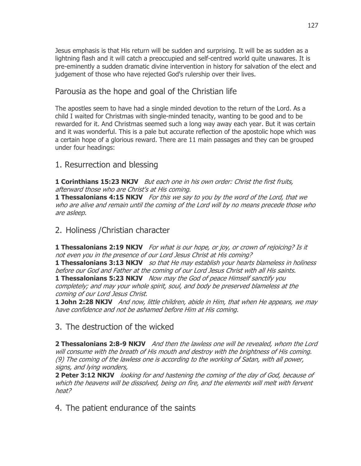Jesus emphasis is that His return will be sudden and surprising. It will be as sudden as a lightning flash and it will catch a preoccupied and self-centred world quite unawares. It is pre-eminently a sudden dramatic divine intervention in history for salvation of the elect and judgement of those who have rejected God's rulership over their lives.

# Parousia as the hope and goal of the Christian life

The apostles seem to have had a single minded devotion to the return of the Lord. As a child I waited for Christmas with single-minded tenacity, wanting to be good and to be rewarded for it. And Christmas seemed such a long way away each year. But it was certain and it was wonderful. This is a pale but accurate reflection of the apostolic hope which was a certain hope of a glorious reward. There are 11 main passages and they can be grouped under four headings:

# 1. Resurrection and blessing

1 Corinthians 15:23 NKJV But each one in his own order: Christ the first fruits, afterward those who are Christ's at His coming.

**1 Thessalonians 4:15 NKJV** For this we say to you by the word of the Lord, that we who are alive and remain until the coming of the Lord will by no means precede those who are asleep.

# 2. Holiness /Christian character

**1 Thessalonians 2:19 NKJV** For what is our hope, or joy, or crown of rejoicing? Is it not even you in the presence of our Lord Jesus Christ at His coming? **1 Thessalonians 3:13 NKJV** so that He may establish your hearts blameless in holiness before our God and Father at the coming of our Lord Jesus Christ with all His saints. **1 Thessalonians 5:23 NKJV** Now may the God of peace Himself sanctify you completely; and may your whole spirit, soul, and body be preserved blameless at the coming of our Lord Jesus Christ.

1 John 2:28 NKJV And now, little children, abide in Him, that when He appears, we may have confidence and not be ashamed before Him at His coming.

# 3. The destruction of the wicked

2 Thessalonians 2:8-9 NKJV And then the lawless one will be revealed, whom the Lord will consume with the breath of His mouth and destroy with the brightness of His coming. (9) The coming of the lawless one is according to the working of Satan, with all power, signs, and lying wonders,

2 Peter 3:12 NKJV looking for and hastening the coming of the day of God, because of which the heavens will be dissolved, being on fire, and the elements will melt with fervent heat?

4. The patient endurance of the saints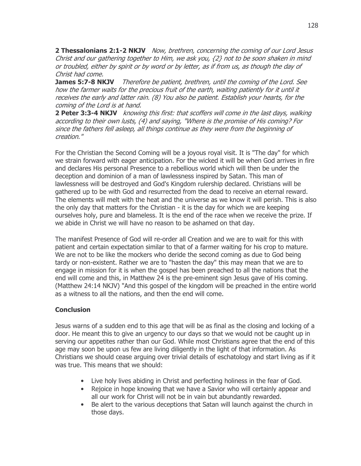2 Thessalonians 2:1-2 NKJV Now, brethren, concerning the coming of our Lord Jesus Christ and our gathering together to Him, we ask you, {2} not to be soon shaken in mind or troubled, either by spirit or by word or by letter, as if from us, as though the day of Christ had come.

**James 5:7-8 NKJV** Therefore be patient, brethren, until the coming of the Lord, See how the farmer waits for the precious fruit of the earth, waiting patiently for it until it receives the early and latter rain. (8) You also be patient. Establish your hearts, for the coming of the Lord is at hand.

2 Peter 3:3-4 NKJV knowing this first: that scoffers will come in the last days, walking according to their own lusts, (4) and saying, "Where is the promise of His coming? For since the fathers fell asleep, all things continue as they were from the beginning of creation."

For the Christian the Second Coming will be a joyous royal visit. It is "The day" for which we strain forward with eager anticipation. For the wicked it will be when God arrives in fire and declares His personal Presence to a rebellious world which will then be under the deception and dominion of a man of lawlessness inspired by Satan. This man of lawlessness will be destroyed and God's Kingdom rulership declared. Christians will be gathered up to be with God and resurrected from the dead to receive an eternal reward. The elements will melt with the heat and the universe as we know it will perish. This is also the only day that matters for the Christian - it is the day for which we are keeping ourselves holy, pure and blameless. It is the end of the race when we receive the prize. If we abide in Christ we will have no reason to be ashamed on that day.

The manifest Presence of God will re-order all Creation and we are to wait for this with patient and certain expectation similar to that of a farmer waiting for his crop to mature. We are not to be like the mockers who deride the second coming as due to God being tardy or non-existent. Rather we are to "hasten the day" this may mean that we are to engage in mission for it is when the gospel has been preached to all the nations that the end will come and this, in Matthew 24 is the pre-eminent sign Jesus gave of His coming. (Matthew 24:14 NKJV) "And this gospel of the kingdom will be preached in the entire world as a witness to all the nations, and then the end will come.

### **Conclusion**

Jesus warns of a sudden end to this age that will be as final as the closing and locking of a door. He meant this to give an urgency to our days so that we would not be caught up in serving our appetites rather than our God. While most Christians agree that the end of this age may soon be upon us few are living diligently in the light of that information. As Christians we should cease arguing over trivial details of eschatology and start living as if it was true. This means that we should:

- Live holy lives abiding in Christ and perfecting holiness in the fear of God.
- Rejoice in hope knowing that we have a Savior who will certainly appear and all our work for Christ will not be in vain but abundantly rewarded.
- Be alert to the various deceptions that Satan will launch against the church in those days.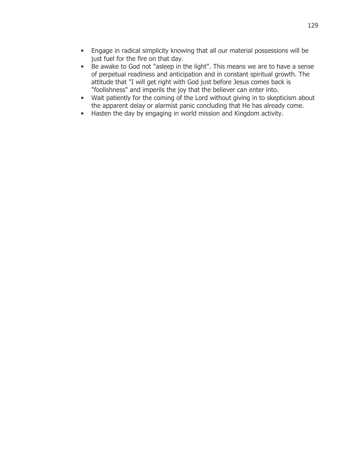- Engage in radical simplicity knowing that all our material possessions will be just fuel for the fire on that day.
- Be awake to God not "asleep in the light". This means we are to have a sense of perpetual readiness and anticipation and in constant spiritual growth. The attitude that "I will get right with God just before Jesus comes back is "foolishness" and imperils the joy that the believer can enter into.
- Wait patiently for the coming of the Lord without giving in to skepticism about the apparent delay or alarmist panic concluding that He has already come.
- Hasten the day by engaging in world mission and Kingdom activity.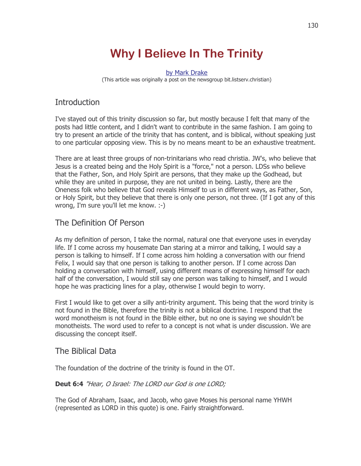# Why I Believe In The Trinity

#### by Mark Drake

(This article was originally a post on the newsgroup bit.listserv.christian)

## **Introduction**

I've stayed out of this trinity discussion so far, but mostly because I felt that many of the posts had little content, and I didn't want to contribute in the same fashion. I am going to try to present an article of the trinity that has content, and is biblical, without speaking just to one particular opposing view. This is by no means meant to be an exhaustive treatment.

There are at least three groups of non-trinitarians who read christia. JW's, who believe that Jesus is a created being and the Holy Spirit is a "force," not a person. LDSs who believe that the Father, Son, and Holy Spirit are persons, that they make up the Godhead, but while they are united in purpose, they are not united in being. Lastly, there are the Oneness folk who believe that God reveals Himself to us in different ways, as Father, Son, or Holy Spirit, but they believe that there is only one person, not three. (If I got any of this wrong, I'm sure you'll let me know. :-)

# The Definition Of Person

As my definition of person, I take the normal, natural one that everyone uses in everyday life. If I come across my housemate Dan staring at a mirror and talking, I would say a person is talking to himself. If I come across him holding a conversation with our friend Felix, I would say that one person is talking to another person. If I come across Dan holding a conversation with himself, using different means of expressing himself for each half of the conversation, I would still say one person was talking to himself, and I would hope he was practicing lines for a play, otherwise I would begin to worry.

First I would like to get over a silly anti-trinity argument. This being that the word trinity is not found in the Bible, therefore the trinity is not a biblical doctrine. I respond that the word monotheism is not found in the Bible either, but no one is saying we shouldn't be monotheists. The word used to refer to a concept is not what is under discussion. We are discussing the concept itself.

### The Biblical Data

The foundation of the doctrine of the trinity is found in the OT.

#### Deut 6:4 "Hear, O Israel: The LORD our God is one LORD;

The God of Abraham, Isaac, and Jacob, who gave Moses his personal name YHWH (represented as LORD in this quote) is one. Fairly straightforward.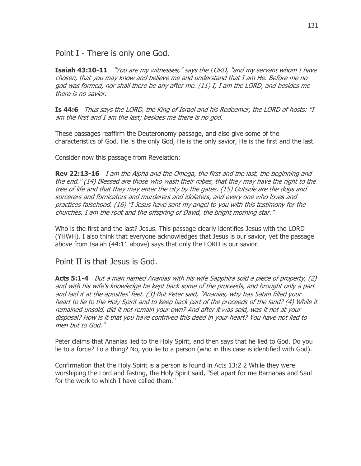Point I - There is only one God.

**Isaiah 43:10-11** "You are my witnesses," says the LORD, "and my servant whom I have chosen, that you may know and believe me and understand that I am He. Before me no god was formed, nor shall there be any after me. (11) I, I am the LORD, and besides me there is no savior.

Is 44:6 Thus says the LORD, the King of Israel and his Redeemer, the LORD of hosts: "I am the first and I am the last; besides me there is no god.

These passages reaffirm the Deuteronomy passage, and also give some of the characteristics of God. He is the only God, He is the only savior, He is the first and the last.

Consider now this passage from Revelation:

**Rev 22:13-16** I am the Alpha and the Omega, the first and the last, the beginning and the end." (14) Blessed are those who wash their robes, that they may have the right to the tree of life and that they may enter the city by the gates. (15) Outside are the dogs and sorcerers and fornicators and murderers and idolaters, and every one who loves and practices falsehood. (16) "I Jesus have sent my angel to you with this testimony for the churches. I am the root and the offspring of David, the bright morning star."

Who is the first and the last? Jesus. This passage clearly identifies Jesus with the LORD (YHWH). I also think that everyone acknowledges that Jesus is our savior, yet the passage above from Isaiah (44:11 above) says that only the LORD is our savior.

Point II is that Jesus is God.

Acts 5:1-4 But a man named Ananias with his wife Sapphira sold a piece of property, (2) and with his wife's knowledge he kept back some of the proceeds, and brought only a part and laid it at the apostles' feet. (3) But Peter said, "Ananias, why has Satan filled your heart to lie to the Holy Spirit and to keep back part of the proceeds of the land? (4) While it remained unsold, did it not remain your own? And after it was sold, was it not at your disposal? How is it that you have contrived this deed in your heart? You have not lied to men but to God."

Peter claims that Ananias lied to the Holy Spirit, and then says that he lied to God. Do you lie to a force? To a thing? No, you lie to a person (who in this case is identified with God).

Confirmation that the Holy Spirit is a person is found in Acts 13:2 2 While they were worshiping the Lord and fasting, the Holy Spirit said, "Set apart for me Barnabas and Saul for the work to which I have called them."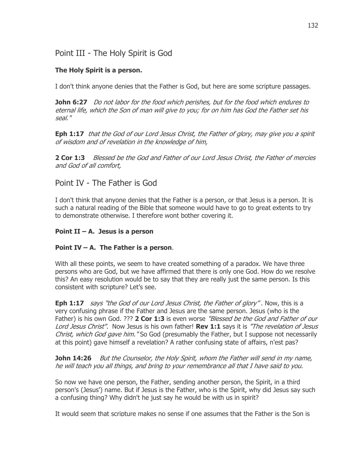Point III - The Holy Spirit is God

## The Holy Spirit is a person.

I don't think anyone denies that the Father is God, but here are some scripture passages.

**John 6:27** Do not labor for the food which perishes, but for the food which endures to eternal life, which the Son of man will give to you; for on him has God the Father set his seal."

**Eph 1:17** that the God of our Lord Jesus Christ, the Father of glory, may give you a spirit of wisdom and of revelation in the knowledge of him,

2 Cor 1:3 Blessed be the God and Father of our Lord Jesus Christ, the Father of mercies and God of all comfort,

Point IV - The Father is God

I don't think that anyone denies that the Father is a person, or that Jesus is a person. It is such a natural reading of the Bible that someone would have to go to great extents to try to demonstrate otherwise. I therefore wont bother covering it.

## Point  $II - A$ . Jesus is a person

### Point IV – A. The Father is a person.

With all these points, we seem to have created something of a paradox. We have three persons who are God, but we have affirmed that there is only one God. How do we resolve this? An easy resolution would be to say that they are really just the same person. Is this consistent with scripture? Let's see.

**Eph 1:17** says "the God of our Lord Jesus Christ, the Father of glory". Now, this is a very confusing phrase if the Father and Jesus are the same person. Jesus (who is the Father) is his own God. ??? 2 Cor 1:3 is even worse *"Blessed be the God and Father of our* Lord Jesus Christ". Now Jesus is his own father! Rev 1:1 says it is "The revelation of Jesus Christ, which God gave him." So God (presumably the Father, but I suppose not necessarily at this point) gave himself a revelation? A rather confusing state of affairs, n'est pas?

**John 14:26** But the Counselor, the Holy Spirit, whom the Father will send in my name, he will teach you all things, and bring to your remembrance all that I have said to you.

So now we have one person, the Father, sending another person, the Spirit, in a third person's (Jesus') name. But if Jesus is the Father, who is the Spirit, why did Jesus say such a confusing thing? Why didn't he just say he would be with us in spirit?

It would seem that scripture makes no sense if one assumes that the Father is the Son is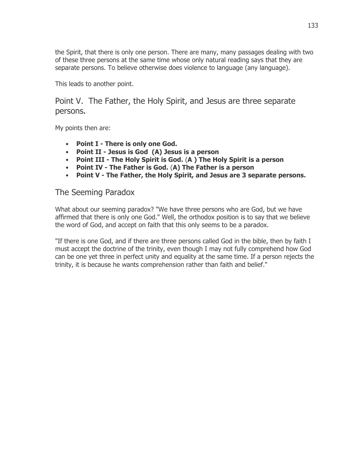the Spirit, that there is only one person. There are many, many passages dealing with two of these three persons at the same time whose only natural reading says that they are separate persons. To believe otherwise does violence to language (any language).

This leads to another point.

Point V. The Father, the Holy Spirit, and Jesus are three separate persons.

My points then are:

- Point I There is only one God.
- Point II Jesus is God (A) Jesus is a person
- Point III The Holy Spirit is God. (A ) The Holy Spirit is a person
- Point IV The Father is God. (A) The Father is a person
- Point V The Father, the Holy Spirit, and Jesus are 3 separate persons.

## The Seeming Paradox

What about our seeming paradox? "We have three persons who are God, but we have affirmed that there is only one God." Well, the orthodox position is to say that we believe the word of God, and accept on faith that this only seems to be a paradox.

"If there is one God, and if there are three persons called God in the bible, then by faith I must accept the doctrine of the trinity, even though I may not fully comprehend how God can be one yet three in perfect unity and equality at the same time. If a person rejects the trinity, it is because he wants comprehension rather than faith and belief."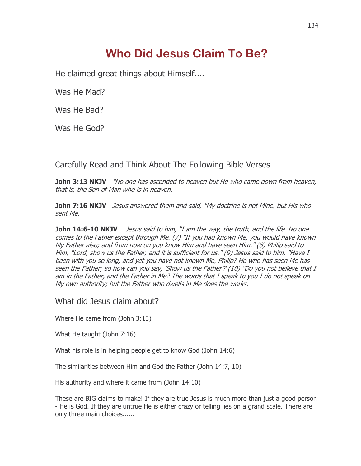# Who Did Jesus Claim To Be?

He claimed great things about Himself....

Was He Mad?

Was He Bad?

Was He God?

Carefully Read and Think About The Following Bible Verses.....

John 3:13 NKJV "No one has ascended to heaven but He who came down from heaven, that is, the Son of Man who is in heaven.

John 7:16 NKJV Jesus answered them and said, "My doctrine is not Mine, but His who sent Me.

John 14:6-10 NKJV Jesus said to him, "I am the way, the truth, and the life. No one comes to the Father except through Me. (7) "If you had known Me, you would have known My Father also; and from now on you know Him and have seen Him." (8) Philip said to Him, "Lord, show us the Father, and it is sufficient for us." (9) Jesus said to him, "Have I been with you so long, and yet you have not known Me, Philip? He who has seen Me has seen the Father; so how can you say, 'Show us the Father'? (10) "Do you not believe that I am in the Father, and the Father in Me? The words that I speak to you I do not speak on My own authority; but the Father who dwells in Me does the works.

What did Jesus claim about?

Where He came from (John 3:13)

What He taught (John 7:16)

What his role is in helping people get to know God (John 14:6)

The similarities between Him and God the Father (John 14:7, 10)

His authority and where it came from (John 14:10)

These are BIG claims to make! If they are true Jesus is much more than just a good person - He is God. If they are untrue He is either crazy or telling lies on a grand scale. There are only three main choices......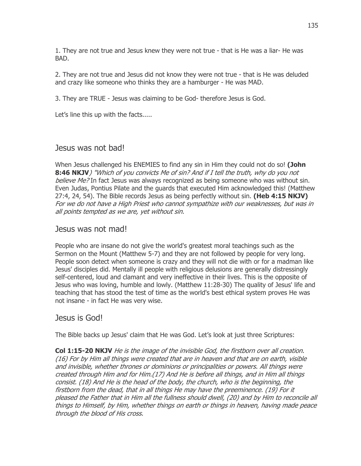1. They are not true and Jesus knew they were not true - that is He was a liar- He was BAD.

2. They are not true and Jesus did not know they were not true - that is He was deluded and crazy like someone who thinks they are a hamburger - He was MAD.

3. They are TRUE - Jesus was claiming to be God- therefore Jesus is God.

Let's line this up with the facts.....

## Jesus was not bad!

When Jesus challenged his ENEMIES to find any sin in Him they could not do so! (John 8:46 NKJV) "Which of you convicts Me of sin? And if I tell the truth, why do you not believe Me? In fact Jesus was always recognized as being someone who was without sin. Even Judas, Pontius Pilate and the guards that executed Him acknowledged this! (Matthew 27:4, 24, 54). The Bible records Jesus as being perfectly without sin. (Heb 4:15 NKJV) For we do not have a High Priest who cannot sympathize with our weaknesses, but was in all points tempted as we are, yet without sin.

## Jesus was not mad!

People who are insane do not give the world's greatest moral teachings such as the Sermon on the Mount (Matthew 5-7) and they are not followed by people for very long. People soon detect when someone is crazy and they will not die with or for a madman like Jesus' disciples did. Mentally ill people with religious delusions are generally distressingly self-centered, loud and clamant and very ineffective in their lives. This is the opposite of Jesus who was loving, humble and lowly. (Matthew 11:28-30) The quality of Jesus' life and teaching that has stood the test of time as the world's best ethical system proves He was not insane - in fact He was very wise.

# Jesus is God!

The Bible backs up Jesus' claim that He was God. Let's look at just three Scriptures:

Col 1:15-20 NKJV He is the image of the invisible God, the firstborn over all creation. (16) For by Him all things were created that are in heaven and that are on earth, visible and invisible, whether thrones or dominions or principalities or powers. All things were created through Him and for Him.(17) And He is before all things, and in Him all things consist. (18) And He is the head of the body, the church, who is the beginning, the firstborn from the dead, that in all things He may have the preeminence. (19) For it pleased the Father that in Him all the fullness should dwell, (20) and by Him to reconcile all things to Himself, by Him, whether things on earth or things in heaven, having made peace through the blood of His cross.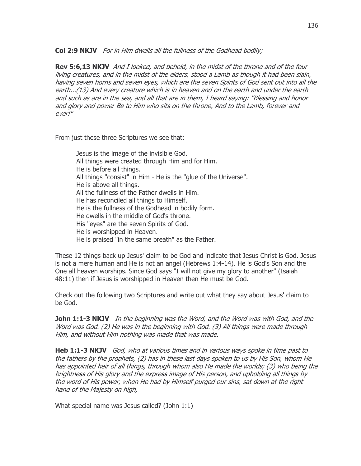Col 2:9 NKJV For in Him dwells all the fullness of the Godhead bodily;

**Rev 5:6,13 NKJV** And I looked, and behold, in the midst of the throne and of the four living creatures, and in the midst of the elders, stood a Lamb as though it had been slain, having seven horns and seven eyes, which are the seven Spirits of God sent out into all the earth...(13) And every creature which is in heaven and on the earth and under the earth and such as are in the sea, and all that are in them, I heard saying: "Blessing and honor and glory and power Be to Him who sits on the throne, And to the Lamb, forever and ever!"

From just these three Scriptures we see that:

Jesus is the image of the invisible God. All things were created through Him and for Him. He is before all things. All things "consist" in Him - He is the "glue of the Universe". He is above all things. All the fullness of the Father dwells in Him. He has reconciled all things to Himself. He is the fullness of the Godhead in bodily form. He dwells in the middle of God's throne. His "eyes" are the seven Spirits of God. He is worshipped in Heaven. He is praised "in the same breath" as the Father.

These 12 things back up Jesus' claim to be God and indicate that Jesus Christ is God. Jesus is not a mere human and He is not an angel (Hebrews 1:4-14). He is God's Son and the One all heaven worships. Since God says "I will not give my glory to another" (Isaiah 48:11) then if Jesus is worshipped in Heaven then He must be God.

Check out the following two Scriptures and write out what they say about Jesus' claim to be God.

**John 1:1-3 NKJV** In the beginning was the Word, and the Word was with God, and the Word was God. (2) He was in the beginning with God. (3) All things were made through Him, and without Him nothing was made that was made.

**Heb 1:1-3 NKJV** God, who at various times and in various ways spoke in time past to the fathers by the prophets, (2) has in these last days spoken to us by His Son, whom He has appointed heir of all things, through whom also He made the worlds; (3) who being the brightness of His glory and the express image of His person, and upholding all things by the word of His power, when He had by Himself purged our sins, sat down at the right hand of the Majesty on high,

What special name was Jesus called? (John 1:1)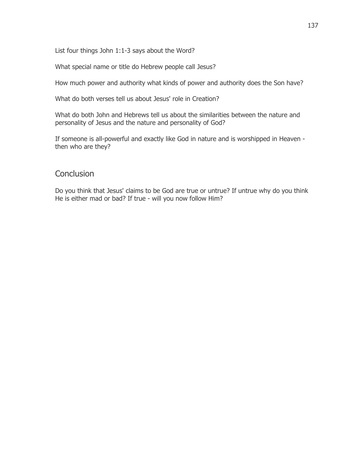List four things John 1:1-3 says about the Word?

What special name or title do Hebrew people call Jesus?

How much power and authority what kinds of power and authority does the Son have?

What do both verses tell us about Jesus' role in Creation?

What do both John and Hebrews tell us about the similarities between the nature and personality of Jesus and the nature and personality of God?

If someone is all-powerful and exactly like God in nature and is worshipped in Heaven then who are they?

# **Conclusion**

Do you think that Jesus' claims to be God are true or untrue? If untrue why do you think He is either mad or bad? If true - will you now follow Him?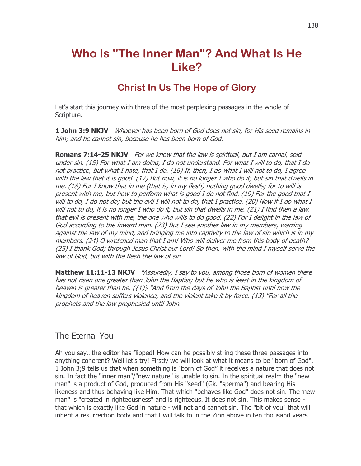# Who Is "The Inner Man"? And What Is He Like?

# Christ In Us The Hope of Glory

Let's start this journey with three of the most perplexing passages in the whole of Scripture.

1 John 3:9 NKJV Whoever has been born of God does not sin, for His seed remains in him; and he cannot sin, because he has been born of God.

Romans 7:14-25 NKJV For we know that the law is spiritual, but I am carnal, sold under sin. (15) For what I am doing, I do not understand. For what I will to do, that I do not practice; but what I hate, that I do. (16) If, then, I do what I will not to do, I agree with the law that it is good. (17) But now, it is no longer I who do it, but sin that dwells in me. (18) For I know that in me (that is, in my flesh) nothing good dwells; for to will is present with me, but how to perform what is good I do not find. (19) For the good that I will to do, I do not do; but the evil I will not to do, that I practice. (20) Now if I do what I will not to do, it is no longer I who do it, but sin that dwells in me. (21) I find then a law, that evil is present with me, the one who wills to do good. (22) For I delight in the law of God according to the inward man. (23) But I see another law in my members, warring against the law of my mind, and bringing me into captivity to the law of sin which is in my members. (24) O wretched man that I am! Who will deliver me from this body of death? (25) I thank God; through Jesus Christ our Lord! So then, with the mind I myself serve the law of God, but with the flesh the law of sin.

**Matthew 11:11-13 NKJV** "Assuredly, I say to you, among those born of women there has not risen one greater than John the Baptist; but he who is least in the kingdom of heaven is greater than he. ({1)} "And from the days of John the Baptist until now the kingdom of heaven suffers violence, and the violent take it by force. (13) "For all the prophets and the law prophesied until John.

## The Eternal You

Ah you say…the editor has flipped! How can he possibly string these three passages into anything coherent? Well let's try! Firstly we will look at what it means to be "born of God". 1 John 3;9 tells us that when something is "born of God" it receives a nature that does not sin. In fact the "inner man"/"new nature" is unable to sin. In the spiritual realm the "new man" is a product of God, produced from His "seed" (Gk. "sperma") and bearing His likeness and thus behaving like Him. That which "behaves like God" does not sin. The 'new man" is "created in righteousness" and is righteous. It does not sin. This makes sense that which is exactly like God in nature - will not and cannot sin. The "bit of you" that will inherit a resurrection body and that I will talk to in the Zion above in ten thousand years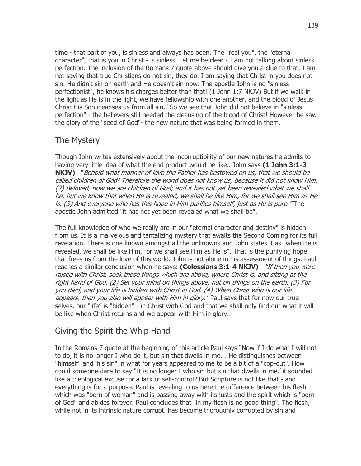time - that part of you, is sinless and always has been. The "real you", the "eternal character", that is you in Christ - is sinless. Let me be clear - I am not talking about sinless perfection. The inclusion of the Romans 7 quote above should give you a clue to that. I am not saying that true Christians do not sin, they do. I am saying that Christ in you does not sin. He didn't sin on earth and He doesn't sin now. The apostle John is no "sinless perfectionist", he knows his charges better than that! (1 John 1:7 NKJV) But if we walk in the light as He is in the light, we have fellowship with one another, and the blood of Jesus Christ His Son cleanses us from all sin." So we see that John did not believe in "sinless perfection" - the believers still needed the cleansing of the blood of Christ! However he saw the glory of the "seed of God"- the new nature that was being formed in them.

# The Mystery

Though John writes extensively about the incorruptibility of our new natures he admits to having very little idea of what the end product would be like.. John says (1 John 3:1-3 NKJV) "Behold what manner of love the Father has bestowed on us, that we should be called children of God! Therefore the world does not know us, because it did not know Him. (2) Beloved, now we are children of God; and it has not yet been revealed what we shall be, but we know that when He is revealed, we shall be like Him, for we shall see Him as He is. (3) And everyone who has this hope in Him purifies himself, just as He is pure." The apostle John admitted "it has not yet been revealed what we shall be".

The full knowledge of who we really are in our "eternal character and destiny" is hidden from us. It is a marvelous and tantalizing mystery that awaits the Second Coming for its full revelation. There is one known amongst all the unknowns and John states it as "when He is revealed, we shall be like Him, for we shall see Him as He is". That is the purifying hope that frees us from the love of this world. John is not alone in his assessment of things. Paul reaches a similar conclusion when he says: (Colossians 3:1-4 NKJV) *"If then you were* raised with Christ, seek those things which are above, where Christ is, and sitting at the right hand of God. (2) Set your mind on things above, not on things on the earth. (3) For you died, and your life is hidden with Christ in God. (4) When Christ who is our life appears, then you also will appear with Him in glory. "Paul says that for now our true selves, our "life" is "hidden" - in Christ with God and that we shall only find out what it will be like when Christ returns and we appear with Him in glory..

# Giving the Spirit the Whip Hand

In the Romans 7 quote at the beginning of this article Paul says "Now if I do what I will not to do, it is no longer I who do it, but sin that dwells in me.". He distinguishes between "himself" and 'his sin" in what for years appeared to me to be a bit of a "cop-out". How could someone dare to say "It is no longer I who sin but sin that dwells in me.' it sounded like a theological excuse for a lack of self-control? But Scripture is not like that - and everything is for a purpose. Paul is revealing to us here the difference between his flesh which was "born of woman" and is passing away with its lusts and the spirit which is "born of God" and abides forever. Paul concludes that "in my flesh is no good thing". The flesh, while not in its intrinsic nature corrupt, has become thoroughly corrupted by sin and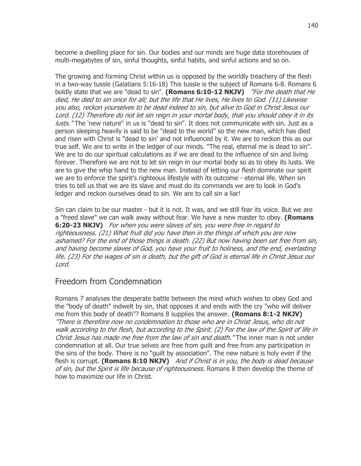become a dwelling place for sin. Our bodies and our minds are huge data storehouses of multi-megabytes of sin, sinful thoughts, sinful habits, and sinful actions and so on.

The growing and forming Christ within us is opposed by the worldly treachery of the flesh in a two-way tussle (Galatians 5:16-18) This tussle is the subject of Romans 6-8. Romans 6 boldly state that we are "dead to sin". (Romans 6:10-12 NKJV) *"For the death that He* died, He died to sin once for all; but the life that He lives, He lives to God. (11) Likewise you also, reckon yourselves to be dead indeed to sin, but alive to God in Christ Jesus our Lord. (12) Therefore do not let sin reign in your mortal body, that you should obey it in its lusts. "The 'new nature" in us is "dead to sin". It does not communicate with sin. Just as a person sleeping heavily is said to be "dead to the world" so the new man, which has died and risen with Christ is "dead to sin' and not influenced by it. We are to reckon this as our true self. We are to write in the ledger of our minds. "The real, eternal me is dead to sin". We are to do our spiritual calculations as if we are dead to the influence of sin and living forever. Therefore we are not to let sin reign in our mortal body so as to obey its lusts. We are to give the whip hand to the new man. Instead of letting our flesh dominate our spirit we are to enforce the spirit's righteous lifestyle with its outcome - eternal life. When sin tries to tell us that we are its slave and must do its commands we are to look in God's ledger and reckon ourselves dead to sin. We are to call sin a liar!

Sin can claim to be our master - but it is not. It was, and we still fear its voice. But we are a "freed slave" we can walk away without fear. We have a new master to obey. (Romans **6:20-23 NKJV)** For when you were slaves of sin, you were free in regard to righteousness. (21) What fruit did you have then in the things of which you are now ashamed? For the end of those things is death. (22) But now having been set free from sin, and having become slaves of God, you have your fruit to holiness, and the end, everlasting life. (23) For the wages of sin is death, but the gift of God is eternal life in Christ Jesus our Lord.

# Freedom from Condemnation

Romans 7 analyses the desperate battle between the mind which wishes to obey God and the "body of death" indwelt by sin, that opposes it and ends with the cry "who will deliver me from this body of death"? Romans 8 supplies the answer. (**Romans 8:1-2 NKJV**) "There is therefore now no condemnation to those who are in Christ Jesus, who do not walk according to the flesh, but according to the Spirit. (2) For the law of the Spirit of life in Christ Jesus has made me free from the law of sin and death." The inner man is not under condemnation at all. Our true selves are free from guilt and free from any participation in the sins of the body. There is no "guilt by association". The new nature is holy even if the flesh is corrupt. (**Romans 8:10 NKJV**) And if Christ is in you, the body is dead because of sin, but the Spirit is life because of righteousness. Romans 8 then develop the theme of how to maximize our life in Christ.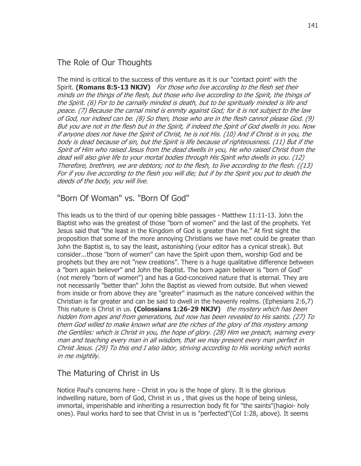# The Role of Our Thoughts

The mind is critical to the success of this venture as it is our "contact point' with the Spirit. (Romans 8:5-13 NKJV) For those who live according to the flesh set their minds on the things of the flesh, but those who live according to the Spirit, the things of the Spirit. (6) For to be carnally minded is death, but to be spiritually minded is life and peace. (7) Because the carnal mind is enmity against God; for it is not subject to the law of God, nor indeed can be. (8) So then, those who are in the flesh cannot please God. (9) But you are not in the flesh but in the Spirit, if indeed the Spirit of God dwells in you. Now if anyone does not have the Spirit of Christ, he is not His. (10) And if Christ is in you, the body is dead because of sin, but the Spirit is life because of righteousness. (11) But if the Spirit of Him who raised Jesus from the dead dwells in you, He who raised Christ from the dead will also give life to your mortal bodies through His Spirit who dwells in you. (12) Therefore, brethren, we are debtors; not to the flesh, to live according to the flesh. ( $\{13\}$ ) For if you live according to the flesh you will die; but if by the Spirit you put to death the deeds of the body, you will live.

"Born Of Woman" vs. "Born Of God"

This leads us to the third of our opening bible passages - Matthew 11:11-13. John the Baptist who was the greatest of those "born of women" and the last of the prophets. Yet Jesus said that "the least in the Kingdom of God is greater than he." At first sight the proposition that some of the more annoying Christians we have met could be greater than John the Baptist is, to say the least, astonishing (your editor has a cynical streak). But consider...those "born of women" can have the Spirit upon them, worship God and be prophets but they are not "new creations". There is a huge qualitative difference between a "born again believer" and John the Baptist. The born again believer is "born of God" (not merely "born of women") and has a God-conceived nature that is eternal. They are not necessarily "better than" John the Baptist as viewed from outside. But when viewed from inside or from above they are "greater" inasmuch as the nature conceived within the Christian is far greater and can be said to dwell in the heavenly realms. (Ephesians 2:6,7) This nature is Christ in us. (Colossians 1:26-29 NKJV) the mystery which has been hidden from ages and from generations, but now has been revealed to His saints. (27) To them God willed to make known what are the riches of the glory of this mystery among the Gentiles: which is Christ in you, the hope of glory. (28) Him we preach, warning every man and teaching every man in all wisdom, that we may present every man perfect in Christ Jesus. (29) To this end I also labor, striving according to His working which works in me mightily.

# The Maturing of Christ in Us

Notice Paul's concerns here - Christ in you is the hope of glory. It is the glorious indwelling nature, born of God, Christ in us , that gives us the hope of being sinless, immortal, imperishable and inheriting a resurrection body fit for "the saints"(hagioi- holy ones). Paul works hard to see that Christ in us is "perfected"(Col 1:28, above). It seems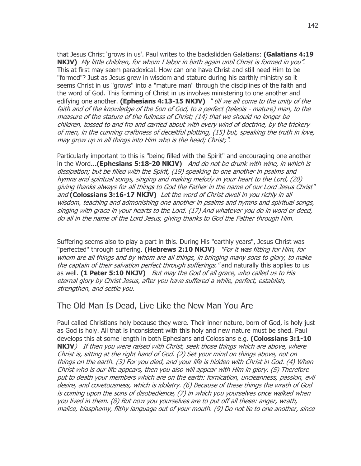that Jesus Christ 'grows in us'. Paul writes to the backslidden Galatians: (Galatians 4:19 NKJV) My little children, for whom I labor in birth again until Christ is formed in you". This at first may seem paradoxical. How can one have Christ and still need Him to be "formed"? Just as Jesus grew in wisdom and stature during his earthly ministry so it seems Christ in us "grows" into a "mature man" through the disciplines of the faith and the word of God. This forming of Christ in us involves ministering to one another and edifying one another. (Ephesians 4:13-15 NKJV) " till we all come to the unity of the faith and of the knowledge of the Son of God, to a perfect (teleois - mature) man, to the measure of the stature of the fullness of Christ; (14) that we should no longer be children, tossed to and fro and carried about with every wind of doctrine, by the trickery of men, in the cunning craftiness of deceitful plotting, (15) but, speaking the truth in love, may grow up in all things into Him who is the head; Christ;".

Particularly important to this is "being filled with the Spirit" and encouraging one another in the Word...(Ephesians 5:18-20 NKJV) And do not be drunk with wine, in which is dissipation; but be filled with the Spirit, (19) speaking to one another in psalms and hymns and spiritual songs, singing and making melody in your heart to the Lord, (20) giving thanks always for all things to God the Father in the name of our Lord Jesus Christ" and (Colossians 3:16-17 NKJV) Let the word of Christ dwell in you richly in all wisdom, teaching and admonishing one another in psalms and hymns and spiritual songs, singing with grace in your hearts to the Lord. (17) And whatever you do in word or deed, do all in the name of the Lord Jesus, giving thanks to God the Father through Him.

Suffering seems also to play a part in this. During His "earthly years", Jesus Christ was "perfected" through suffering. (Hebrews 2:10 NKJV) *"For it was fitting for Him, for* whom are all things and by whom are all things, in bringing many sons to glory, to make the captain of their salvation perfect through sufferings." and naturally this applies to us as well. (1 Peter 5:10 NKJV) But may the God of all grace, who called us to His eternal glory by Christ Jesus, after you have suffered a while, perfect, establish, strengthen, and settle you.

## The Old Man Is Dead, Live Like the New Man You Are

Paul called Christians holy because they were. Their inner nature, born of God, is holy just as God is holy. All that is inconsistent with this holy and new nature must be shed. Paul develops this at some length in both Ephesians and Colossians e.g. **(Colossians 3:1-10** NKJV) If then you were raised with Christ, seek those things which are above, where Christ is, sitting at the right hand of God. (2) Set your mind on things above, not on things on the earth. (3) For you died, and your life is hidden with Christ in God. (4) When Christ who is our life appears, then you also will appear with Him in glory. (5) Therefore put to death your members which are on the earth: fornication, uncleanness, passion, evil desire, and covetousness, which is idolatry. (6) Because of these things the wrath of God is coming upon the sons of disobedience, (7) in which you yourselves once walked when you lived in them. (8) But now you yourselves are to put off all these: anger, wrath, malice, blasphemy, filthy language out of your mouth. (9) Do not lie to one another, since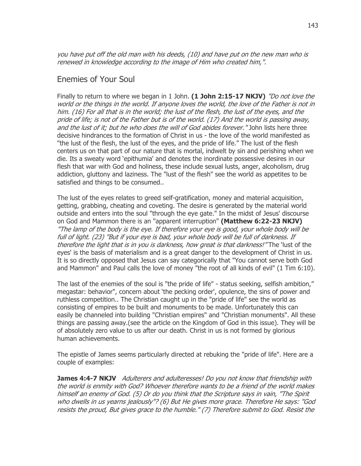you have put off the old man with his deeds, (10) and have put on the new man who is renewed in knowledge according to the image of Him who created him,".

## Enemies of Your Soul

Finally to return to where we began in 1 John.  $(1$  John 2:15-17 NKJV) *"Do not love the* world or the things in the world. If anyone loves the world, the love of the Father is not in him. (16) For all that is in the world; the lust of the flesh, the lust of the eyes, and the pride of life; is not of the Father but is of the world. (17) And the world is passing away, and the lust of it; but he who does the will of God abides forever." John lists here three decisive hindrances to the formation of Christ in us - the love of the world manifested as "the lust of the flesh, the lust of the eyes, and the pride of life." The lust of the flesh centers us on that part of our nature that is mortal, indwelt by sin and perishing when we die. Its a sweaty word 'epithumia' and denotes the inordinate possessive desires in our flesh that war with God and holiness, these include sexual lusts, anger, alcoholism, drug addiction, gluttony and laziness. The "lust of the flesh" see the world as appetites to be satisfied and things to be consumed..

The lust of the eyes relates to greed self-gratification, money and material acquisition, getting, grabbing, cheating and coveting. The desire is generated by the material world outside and enters into the soul "through the eye gate." In the midst of Jesus' discourse on God and Mammon there is an "apparent interruption" (Matthew 6:22-23 NKJV) "The lamp of the body is the eye. If therefore your eye is good, your whole body will be full of light. (23) "But if your eye is bad, your whole body will be full of darkness. If therefore the light that is in you is darkness, how great is that darkness!" The 'lust of the eyes' is the basis of materialism and is a great danger to the development of Christ in us. It is so directly opposed that Jesus can say categorically that "You cannot serve both God and Mammon" and Paul calls the love of money "the root of all kinds of evil" (1 Tim 6:10).

The last of the enemies of the soul is "the pride of life" - status seeking, selfish ambition," megastar: behavior", concern about 'the pecking order', opulence, the sins of power and ruthless competition.. The Christian caught up in the "pride of life" see the world as consisting of empires to be built and monuments to be made. Unfortunately this can easily be channeled into building "Christian empires" and "Christian monuments". All these things are passing away.(see the article on the Kingdom of God in this issue). They will be of absolutely zero value to us after our death. Christ in us is not formed by glorious human achievements.

The epistle of James seems particularly directed at rebuking the "pride of life". Here are a couple of examples:

**James 4:4-7 NKJV** Adulterers and adulteresses! Do you not know that friendship with the world is enmity with God? Whoever therefore wants to be a friend of the world makes himself an enemy of God. (5) Or do you think that the Scripture says in vain, "The Spirit who dwells in us yearns jealously"? (6) But He gives more grace. Therefore He says: "God resists the proud, But gives grace to the humble." (7) Therefore submit to God. Resist the